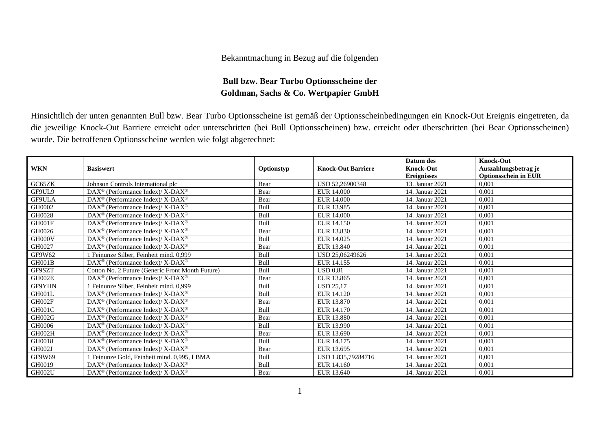## Bekanntmachung in Bezug auf die folgenden

## **Bull bzw. Bear Turbo Optionsscheine der Goldman, Sachs & Co. Wertpapier GmbH**

Hinsichtlich der unten genannten Bull bzw. Bear Turbo Optionsscheine ist gemäß der Optionsscheinbedingungen ein Knock-Out Ereignis eingetreten, da die jeweilige Knock-Out Barriere erreicht oder unterschritten (bei Bull Optionsscheinen) bzw. erreicht oder überschritten (bei Bear Optionsscheinen) wurde. Die betroffenen Optionsscheine werden wie folgt abgerechnet:

|            |                                                                    |            |                           | Datum des          | <b>Knock-Out</b>            |
|------------|--------------------------------------------------------------------|------------|---------------------------|--------------------|-----------------------------|
| <b>WKN</b> | <b>Basiswert</b>                                                   | Optionstyp | <b>Knock-Out Barriere</b> | <b>Knock-Out</b>   | Auszahlungsbetrag je        |
|            |                                                                    |            |                           | <b>Ereignisses</b> | <b>Optionsschein in EUR</b> |
| GC65ZK     | Johnson Controls International plc                                 | Bear       | USD 52,26900348           | 13. Januar 2021    | 0.001                       |
| GF9UL9     | $\text{DAX}^{\circledast}$ (Performance Index)/ X-DAX <sup>®</sup> | Bear       | EUR 14.000                | 14. Januar 2021    | 0,001                       |
| GF9ULA     | DAX <sup>®</sup> (Performance Index)/ X-DAX <sup>®</sup>           | Bear       | EUR 14.000                | 14. Januar 2021    | 0,001                       |
| GH0002     | $\text{DAX}^{\circledast}$ (Performance Index)/ X-DAX <sup>®</sup> | Bull       | EUR 13.985                | 14. Januar 2021    | 0.001                       |
| GH0028     | $DAX^{\circledcirc}$ (Performance Index)/ X-DAX <sup>®</sup>       | Bull       | <b>EUR 14.000</b>         | 14. Januar 2021    | 0,001                       |
| GH001F     | DAX <sup>®</sup> (Performance Index)/ X-DAX <sup>®</sup>           | Bull       | EUR 14.150                | 14. Januar 2021    | 0,001                       |
| GH0026     | $\text{DAX}^{\circledast}$ (Performance Index)/ X-DAX <sup>®</sup> | Bear       | EUR 13.830                | 14. Januar 2021    | 0.001                       |
| GH000V     | $DAX^{\circledast}$ (Performance Index)/ X-DAX <sup>®</sup>        | Bull       | EUR 14.025                | 14. Januar 2021    | 0,001                       |
| GH0027     | DAX <sup>®</sup> (Performance Index)/ X-DAX <sup>®</sup>           | Bear       | EUR 13.840                | 14. Januar 2021    | 0,001                       |
| GF9W62     | 1 Feinunze Silber, Feinheit mind. 0,999                            | Bull       | USD 25,06249626           | 14. Januar 2021    | 0.001                       |
| GH001B     | $DAX^{\circledcirc}$ (Performance Index)/ X-DAX <sup>®</sup>       | Bull       | EUR 14.155                | 14. Januar 2021    | 0,001                       |
| GF9SZT     | Cotton No. 2 Future (Generic Front Month Future)                   | Bull       | <b>USD 0.81</b>           | 14. Januar 2021    | 0.001                       |
| GH002E     | $DAX^{\circledcirc}$ (Performance Index)/ X-DAX <sup>®</sup>       | Bear       | EUR 13.865                | 14. Januar 2021    | 0.001                       |
| GF9YHN     | 1 Feinunze Silber, Feinheit mind. 0,999                            | Bull       | <b>USD 25,17</b>          | 14. Januar 2021    | 0,001                       |
| GH001L     | $DAX^{\circledcirc}$ (Performance Index)/ X-DAX <sup>®</sup>       | Bull       | EUR 14.120                | 14. Januar 2021    | 0.001                       |
| GH002F     | DAX <sup>®</sup> (Performance Index)/ X-DAX <sup>®</sup>           | Bear       | EUR 13.870                | 14. Januar 2021    | 0.001                       |
| GH001C     | $DAX^{\circledcirc}$ (Performance Index)/ X-DAX <sup>®</sup>       | Bull       | EUR 14.170                | 14. Januar 2021    | 0,001                       |
| GH002G     | $DAX^{\circledast}$ (Performance Index)/ X-DAX <sup>®</sup>        | Bear       | EUR 13.880                | 14. Januar 2021    | 0.001                       |
| GH0006     | DAX <sup>®</sup> (Performance Index)/ X-DAX <sup>®</sup>           | Bull       | EUR 13.990                | 14. Januar 2021    | 0,001                       |
| GH002H     | $DAX^{\circledast}$ (Performance Index)/ X-DAX <sup>®</sup>        | Bear       | EUR 13.690                | 14. Januar 2021    | 0,001                       |
| GH0018     | $DAX^{\circledast}$ (Performance Index)/ X-DAX <sup>®</sup>        | Bull       | EUR 14.175                | 14. Januar 2021    | 0.001                       |
| GH002J     | DAX <sup>®</sup> (Performance Index)/ X-DAX <sup>®</sup>           | Bear       | EUR 13.695                | 14. Januar 2021    | 0,001                       |
| GF9W69     | 1 Feinunze Gold, Feinheit mind. 0,995, LBMA                        | Bull       | USD 1.835,79284716        | 14. Januar 2021    | 0,001                       |
| GH0019     | DAX <sup>®</sup> (Performance Index)/ X-DAX <sup>®</sup>           | Bull       | EUR 14.160                | 14. Januar 2021    | 0,001                       |
| GH002U     | DAX <sup>®</sup> (Performance Index)/ X-DAX <sup>®</sup>           | Bear       | EUR 13.640                | 14. Januar 2021    | 0,001                       |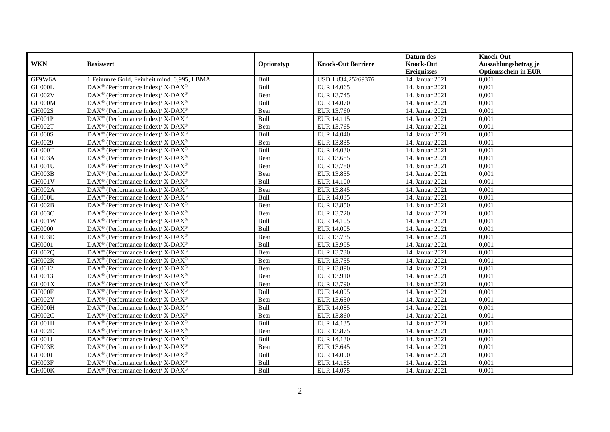|               |                                                             |            |                           | Datum des          | <b>Knock-Out</b>            |
|---------------|-------------------------------------------------------------|------------|---------------------------|--------------------|-----------------------------|
| <b>WKN</b>    | <b>Basiswert</b>                                            | Optionstyp | <b>Knock-Out Barriere</b> | <b>Knock-Out</b>   | Auszahlungsbetrag je        |
|               |                                                             |            |                           | <b>Ereignisses</b> | <b>Optionsschein in EUR</b> |
| GF9W6A        | 1 Feinunze Gold, Feinheit mind. 0,995, LBMA                 | Bull       | USD 1.834,25269376        | 14. Januar 2021    | 0,001                       |
| GH000L        | $DAX^{\circledast}$ (Performance Index)/ X-DAX <sup>®</sup> | Bull       | EUR 14.065                | 14. Januar 2021    | 0,001                       |
| GH002V        | DAX <sup>®</sup> (Performance Index)/ X-DAX <sup>®</sup>    | Bear       | EUR 13.745                | 14. Januar 2021    | 0,001                       |
| GH000M        | DAX <sup>®</sup> (Performance Index)/ X-DAX <sup>®</sup>    | Bull       | EUR 14.070                | 14. Januar 2021    | 0,001                       |
| <b>GH002S</b> | DAX <sup>®</sup> (Performance Index)/ X-DAX <sup>®</sup>    | Bear       | EUR 13.760                | 14. Januar 2021    | 0,001                       |
| GH001P        | DAX <sup>®</sup> (Performance Index)/ X-DAX <sup>®</sup>    | Bull       | EUR 14.115                | 14. Januar 2021    | 0,001                       |
| GH002T        | $DAX^{\circledast}$ (Performance Index)/ X-DAX <sup>®</sup> | Bear       | EUR 13.765                | 14. Januar 2021    | 0,001                       |
| GH000S        | $DAX^{\circledast}$ (Performance Index)/ X-DAX <sup>®</sup> | Bull       | EUR 14.040                | 14. Januar 2021    | 0,001                       |
| GH0029        | DAX <sup>®</sup> (Performance Index)/ X-DAX <sup>®</sup>    | Bear       | EUR 13.835                | 14. Januar 2021    | 0.001                       |
| GH000T        | DAX <sup>®</sup> (Performance Index)/ X-DAX <sup>®</sup>    | Bull       | EUR 14.030                | 14. Januar 2021    | 0,001                       |
| GH003A        | DAX <sup>®</sup> (Performance Index)/ X-DAX <sup>®</sup>    | Bear       | EUR 13.685                | 14. Januar 2021    | 0,001                       |
| GH001U        | DAX <sup>®</sup> (Performance Index)/ X-DAX <sup>®</sup>    | Bear       | EUR 13.780                | 14. Januar 2021    | 0,001                       |
| GH003B        | $DAX^{\circledast}$ (Performance Index)/ X-DAX <sup>®</sup> | Bear       | EUR 13.855                | 14. Januar 2021    | 0,001                       |
| GH001V        | DAX <sup>®</sup> (Performance Index)/ X-DAX <sup>®</sup>    | Bull       | EUR 14.100                | 14. Januar 2021    | 0,001                       |
| GH002A        | DAX <sup>®</sup> (Performance Index)/ X-DAX <sup>®</sup>    | Bear       | EUR 13.845                | 14. Januar 2021    | 0,001                       |
| GH000U        | DAX <sup>®</sup> (Performance Index)/ X-DAX <sup>®</sup>    | Bull       | EUR 14.035                | 14. Januar 2021    | 0,001                       |
| GH002B        | DAX <sup>®</sup> (Performance Index)/X-DAX <sup>®</sup>     | Bear       | EUR 13.850                | 14. Januar 2021    | 0,001                       |
| GH003C        | $DAX^{\circledast}$ (Performance Index)/ X-DAX <sup>®</sup> | Bear       | EUR 13.720                | 14. Januar 2021    | 0,001                       |
| GH001W        | DAX <sup>®</sup> (Performance Index)/ X-DAX <sup>®</sup>    | Bull       | EUR 14.105                | 14. Januar 2021    | 0,001                       |
| GH0000        | DAX <sup>®</sup> (Performance Index)/ X-DAX <sup>®</sup>    | Bull       | EUR 14.005                | 14. Januar 2021    | 0,001                       |
| GH003D        | $DAX^{\circledast}$ (Performance Index)/ X-DAX <sup>®</sup> | Bear       | EUR 13.735                | 14. Januar 2021    | 0,001                       |
| GH0001        | DAX <sup>®</sup> (Performance Index)/ X-DAX <sup>®</sup>    | Bull       | EUR 13.995                | 14. Januar 2021    | 0,001                       |
| GH002Q        | $DAX^{\circledast}$ (Performance Index)/ X-DAX <sup>®</sup> | Bear       | EUR 13.730                | 14. Januar 2021    | 0,001                       |
| GH002R        | DAX <sup>®</sup> (Performance Index)/ X-DAX <sup>®</sup>    | Bear       | EUR 13.755                | 14. Januar 2021    | 0,001                       |
| GH0012        | $DAX^{\circledast}$ (Performance Index)/ X-DAX <sup>®</sup> | Bear       | EUR 13.890                | 14. Januar 2021    | 0,001                       |
| GH0013        | DAX <sup>®</sup> (Performance Index)/ X-DAX <sup>®</sup>    | Bear       | EUR 13.910                | 14. Januar 2021    | 0,001                       |
| GH001X        | $DAX^{\circledast}$ (Performance Index)/ X-DAX <sup>®</sup> | Bear       | EUR 13.790                | 14. Januar 2021    | 0.001                       |
| GH000F        | DAX <sup>®</sup> (Performance Index)/ X-DAX <sup>®</sup>    | Bull       | EUR 14.095                | 14. Januar 2021    | 0,001                       |
| GH002Y        | DAX <sup>®</sup> (Performance Index)/ X-DAX <sup>®</sup>    | Bear       | EUR 13.650                | 14. Januar 2021    | 0,001                       |
| GH000H        | $DAX^{\circledast}$ (Performance Index)/ X-DAX <sup>®</sup> | Bull       | <b>EUR 14.085</b>         | 14. Januar 2021    | 0,001                       |
| GH002C        | $DAX^{\circledast}$ (Performance Index)/ X-DAX <sup>®</sup> | Bear       | EUR 13.860                | 14. Januar 2021    | 0,001                       |
| GH001H        | $DAX^{\circledast}$ (Performance Index)/ X-DAX <sup>®</sup> | Bull       | EUR 14.135                | 14. Januar 2021    | 0,001                       |
| GH002D        | DAX <sup>®</sup> (Performance Index)/ X-DAX <sup>®</sup>    | Bear       | EUR 13.875                | 14. Januar 2021    | 0,001                       |
| GH001J        | DAX <sup>®</sup> (Performance Index)/ X-DAX <sup>®</sup>    | Bull       | EUR 14.130                | 14. Januar 2021    | 0,001                       |
| GH003E        | DAX <sup>®</sup> (Performance Index)/ X-DAX <sup>®</sup>    | Bear       | EUR 13.645                | 14. Januar 2021    | 0,001                       |
| GH000J        | $DAX^{\circledast}$ (Performance Index)/ X-DAX <sup>®</sup> | Bull       | EUR 14.090                | 14. Januar 2021    | 0,001                       |
| GH003F        | DAX <sup>®</sup> (Performance Index)/ X-DAX <sup>®</sup>    | Bull       | EUR 14.185                | 14. Januar 2021    | 0,001                       |
| GH000K        | $DAX^{\circledast}$ (Performance Index)/ X-DAX <sup>®</sup> | Bull       | EUR 14.075                | 14. Januar 2021    | 0,001                       |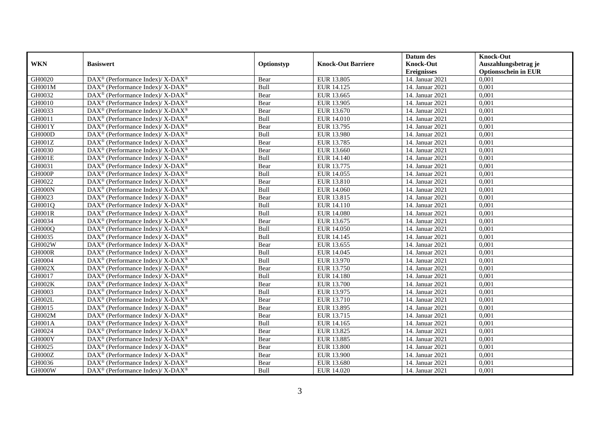|                     |                                                              |            |                           | Datum des          | <b>Knock-Out</b>            |
|---------------------|--------------------------------------------------------------|------------|---------------------------|--------------------|-----------------------------|
| <b>WKN</b>          | <b>Basiswert</b>                                             | Optionstyp | <b>Knock-Out Barriere</b> | <b>Knock-Out</b>   | Auszahlungsbetrag je        |
|                     |                                                              |            |                           | <b>Ereignisses</b> | <b>Optionsschein in EUR</b> |
| GH0020              | DAX <sup>®</sup> (Performance Index)/ X-DAX <sup>®</sup>     | Bear       | EUR 13.805                | 14. Januar 2021    | 0,001                       |
| GH001M              | $DAX^{\circledast}$ (Performance Index)/ X-DAX <sup>®</sup>  | Bull       | EUR 14.125                | 14. Januar 2021    | 0,001                       |
| GH0032              | $DAX^{\circledcirc}$ (Performance Index)/ X-DAX <sup>®</sup> | Bear       | EUR 13.665                | 14. Januar 2021    | 0,001                       |
| GH0010              | DAX <sup>®</sup> (Performance Index)/ X-DAX <sup>®</sup>     | Bear       | EUR 13.905                | 14. Januar 2021    | 0,001                       |
| GH0033              | DAX <sup>®</sup> (Performance Index)/ X-DAX <sup>®</sup>     | Bear       | EUR 13.670                | 14. Januar 2021    | 0,001                       |
| $G\overline{H0011}$ | DAX <sup>®</sup> (Performance Index)/ X-DAX <sup>®</sup>     | Bull       | EUR 14.010                | 14. Januar 2021    | 0,001                       |
| GH001Y              | DAX <sup>®</sup> (Performance Index)/ X-DAX <sup>®</sup>     | Bear       | EUR 13.795                | 14. Januar 2021    | 0,001                       |
| GH000D              | DAX <sup>®</sup> (Performance Index)/ X-DAX <sup>®</sup>     | Bull       | EUR 13.980                | 14. Januar 2021    | 0,001                       |
| GH001Z              | $DAX^{\circledast}$ (Performance Index)/ X-DAX <sup>®</sup>  | Bear       | EUR 13.785                | 14. Januar 2021    | 0.001                       |
| GH0030              | DAX <sup>®</sup> (Performance Index)/ X-DAX <sup>®</sup>     | Bear       | EUR 13.660                | 14. Januar 2021    | 0,001                       |
| GH001E              | DAX <sup>®</sup> (Performance Index)/ X-DAX <sup>®</sup>     | Bull       | EUR 14.140                | 14. Januar 2021    | 0,001                       |
| GH0031              | DAX <sup>®</sup> (Performance Index)/ X-DAX <sup>®</sup>     | Bear       | EUR 13.775                | 14. Januar 2021    | 0,001                       |
| GH000P              | $DAX^{\circledast}$ (Performance Index)/ X-DAX <sup>®</sup>  | Bull       | EUR 14.055                | 14. Januar 2021    | 0,001                       |
| GH0022              | $DAX^{\circledast}$ (Performance Index)/ X-DAX <sup>®</sup>  | Bear       | EUR 13.810                | 14. Januar 2021    | 0,001                       |
| GH000N              | $DAX^{\circledast}$ (Performance Index)/ X-DAX <sup>®</sup>  | Bull       | EUR 14.060                | 14. Januar 2021    | 0,001                       |
| GH0023              | DAX <sup>®</sup> (Performance Index)/ X-DAX <sup>®</sup>     | Bear       | EUR 13.815                | 14. Januar 2021    | 0,001                       |
| GH001Q              | $DAX^{\circledcirc}$ (Performance Index)/ X-DAX <sup>®</sup> | Bull       | EUR 14.110                | 14. Januar 2021    | 0,001                       |
| GH001R              | $DAX^{\circledast}$ (Performance Index)/ X-DAX <sup>®</sup>  | Bull       | <b>EUR 14.080</b>         | 14. Januar 2021    | 0,001                       |
| GH0034              | $DAX^{\circledast}$ (Performance Index)/ X-DAX <sup>®</sup>  | Bear       | EUR 13.675                | 14. Januar 2021    | 0,001                       |
| GH000Q              | DAX <sup>®</sup> (Performance Index)/ X-DAX <sup>®</sup>     | Bull       | EUR 14.050                | 14. Januar 2021    | 0,001                       |
| GH0035              | DAX <sup>®</sup> (Performance Index)/ X-DAX <sup>®</sup>     | Bull       | EUR 14.145                | 14. Januar 2021    | 0.001                       |
| GH002W              | DAX <sup>®</sup> (Performance Index)/ X-DAX <sup>®</sup>     | Bear       | EUR 13.655                | 14. Januar 2021    | 0,001                       |
| GH000R              | DAX <sup>®</sup> (Performance Index)/ X-DAX <sup>®</sup>     | Bull       | EUR 14.045                | 14. Januar 2021    | 0,001                       |
| GH0004              | $DAX^{\circledast}$ (Performance Index)/ X-DAX <sup>®</sup>  | Bull       | EUR 13.970                | 14. Januar 2021    | 0,001                       |
| GH002X              | $DAX^{\circledast}$ (Performance Index)/ X-DAX <sup>®</sup>  | Bear       | EUR 13.750                | 14. Januar 2021    | 0,001                       |
| GH0017              | DAX <sup>®</sup> (Performance Index)/ X-DAX <sup>®</sup>     | Bull       | EUR 14.180                | 14. Januar 2021    | 0,001                       |
| GH002K              | $DAX^{\circledast}$ (Performance Index)/ X-DAX <sup>®</sup>  | Bear       | EUR 13.700                | 14. Januar 2021    | 0.001                       |
| GH0003              | DAX <sup>®</sup> (Performance Index)/ X-DAX <sup>®</sup>     | Bull       | EUR 13.975                | 14. Januar 2021    | 0,001                       |
| GH002L              | $DAX^{\circledast}$ (Performance Index)/ X-DAX <sup>®</sup>  | Bear       | EUR 13.710                | 14. Januar 2021    | 0,001                       |
| GH0015              | DAX <sup>®</sup> (Performance Index)/ X-DAX <sup>®</sup>     | Bear       | EUR 13.895                | 14. Januar 2021    | 0,001                       |
| GH002M              | $DAX^{\circledast}$ (Performance Index)/ X-DAX <sup>®</sup>  | Bear       | EUR 13.715                | 14. Januar 2021    | 0,001                       |
| GH001A              | DAX <sup>®</sup> (Performance Index)/ X-DAX <sup>®</sup>     | Bull       | EUR 14.165                | 14. Januar 2021    | 0,001                       |
| GH0024              | $DAX^{\circledast}$ (Performance Index)/ X-DAX <sup>®</sup>  | Bear       | EUR 13.825                | 14. Januar 2021    | 0.001                       |
| GH000Y              | DAX <sup>®</sup> (Performance Index)/ X-DAX <sup>®</sup>     | Bear       | <b>EUR 13.885</b>         | 14. Januar 2021    | 0,001                       |
| GH0025              | DAX <sup>®</sup> (Performance Index)/ X-DAX <sup>®</sup>     | Bear       | <b>EUR 13.800</b>         | 14. Januar 2021    | 0,001                       |
| GH000Z              | DAX <sup>®</sup> (Performance Index)/ X-DAX <sup>®</sup>     | Bear       | <b>EUR 13.900</b>         | 14. Januar 2021    | 0,001                       |
| GH0036              | DAX <sup>®</sup> (Performance Index)/ X-DAX <sup>®</sup>     | Bear       | EUR 13.680                | 14. Januar 2021    | 0,001                       |
| GH000W              | $DAX^{\circledast}$ (Performance Index)/ X-DAX <sup>®</sup>  | Bull       | EUR 14.020                | 14. Januar 2021    | 0,001                       |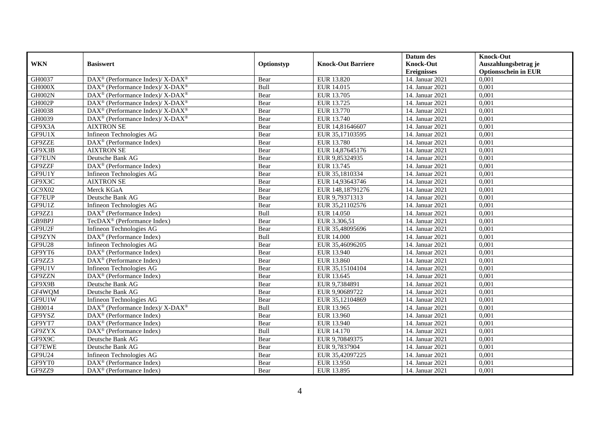|               |                                                             |             |                           | Datum des          | <b>Knock-Out</b>            |
|---------------|-------------------------------------------------------------|-------------|---------------------------|--------------------|-----------------------------|
| <b>WKN</b>    | <b>Basiswert</b>                                            | Optionstyp  | <b>Knock-Out Barriere</b> | <b>Knock-Out</b>   | Auszahlungsbetrag je        |
|               |                                                             |             |                           | <b>Ereignisses</b> | <b>Optionsschein in EUR</b> |
| GH0037        | DAX <sup>®</sup> (Performance Index)/ X-DAX <sup>®</sup>    | Bear        | EUR 13.820                | 14. Januar 2021    | 0,001                       |
| GH000X        | $DAX^{\circledast}$ (Performance Index)/ X-DAX <sup>®</sup> | Bull        | EUR 14.015                | 14. Januar 2021    | 0,001                       |
| GH002N        | DAX <sup>®</sup> (Performance Index)/ X-DAX <sup>®</sup>    | Bear        | EUR 13.705                | 14. Januar 2021    | 0,001                       |
| GH002P        | $DAX^{\circledast}$ (Performance Index)/ X-DAX <sup>®</sup> | Bear        | EUR 13.725                | 14. Januar 2021    | 0.001                       |
| GH0038        | DAX <sup>®</sup> (Performance Index)/ X-DAX <sup>®</sup>    | Bear        | EUR 13.770                | 14. Januar 2021    | 0,001                       |
| GH0039        | DAX <sup>®</sup> (Performance Index)/ X-DAX <sup>®</sup>    | Bear        | EUR 13.740                | 14. Januar 2021    | 0,001                       |
| GF9X3A        | <b>AIXTRON SE</b>                                           | Bear        | EUR 14,81646607           | 14. Januar 2021    | 0,001                       |
| GF9U1X        | Infineon Technologies AG                                    | Bear        | EUR 35,17103595           | 14. Januar 2021    | 0,001                       |
| GF9ZZE        | $DAX^{\circledast}$ (Performance Index)                     | Bear        | EUR 13.780                | 14. Januar 2021    | 0,001                       |
| GF9X3B        | <b>AIXTRON SE</b>                                           | Bear        | EUR 14,87645176           | 14. Januar 2021    | 0,001                       |
| <b>GF7EUN</b> | Deutsche Bank AG                                            | Bear        | EUR 9.85324935            | 14. Januar 2021    | 0.001                       |
| GF9ZZF        | DAX <sup>®</sup> (Performance Index)                        | Bear        | EUR 13.745                | 14. Januar 2021    | 0,001                       |
| GF9U1Y        | Infineon Technologies AG                                    | Bear        | EUR 35,1810334            | 14. Januar 2021    | 0,001                       |
| GF9X3C        | <b>AIXTRON SE</b>                                           | Bear        | EUR 14,93643746           | 14. Januar 2021    | 0,001                       |
| GC9X02        | Merck KGaA                                                  | Bear        | EUR 148,18791276          | 14. Januar 2021    | 0,001                       |
| GF7EUP        | Deutsche Bank AG                                            | Bear        | EUR 9,79371313            | 14. Januar 2021    | 0,001                       |
| GF9U1Z        | Infineon Technologies AG                                    | Bear        | EUR 35,21102576           | 14. Januar 2021    | 0,001                       |
| GF9ZZ1        | $DAX^{\circledcirc}$ (Performance Index)                    | <b>Bull</b> | EUR 14.050                | 14. Januar 2021    | 0.001                       |
| GB9BPJ        | $TecDAX^@$ (Performance Index)                              | Bear        | EUR 3.306,51              | 14. Januar 2021    | 0,001                       |
| GF9U2F        | Infineon Technologies AG                                    | Bear        | EUR 35,48095696           | 14. Januar 2021    | 0,001                       |
| GF9ZYN        | DAX <sup>®</sup> (Performance Index)                        | Bull        | <b>EUR 14.000</b>         | 14. Januar 2021    | 0,001                       |
| GF9U28        | Infineon Technologies AG                                    | Bear        | EUR 35,46096205           | 14. Januar 2021    | 0,001                       |
| GF9YT6        | $DAX^{\circledast}$ (Performance Index)                     | Bear        | EUR 13.940                | 14. Januar 2021    | 0,001                       |
| GF9ZZ3        | DAX <sup>®</sup> (Performance Index)                        | Bear        | EUR 13.860                | 14. Januar 2021    | 0,001                       |
| GF9U1V        | Infineon Technologies AG                                    | Bear        | EUR 35,15104104           | 14. Januar 2021    | 0.001                       |
| GF9ZZN        | DAX <sup>®</sup> (Performance Index)                        | Bear        | EUR 13.645                | 14. Januar 2021    | 0,001                       |
| GF9X9B        | Deutsche Bank AG                                            | Bear        | EUR 9,7384891             | 14. Januar 2021    | 0,001                       |
| GF4WQM        | Deutsche Bank AG                                            | Bear        | EUR 9,90689722            | 14. Januar 2021    | 0,001                       |
| GF9U1W        | Infineon Technologies AG                                    | Bear        | EUR 35,12104869           | 14. Januar 2021    | 0,001                       |
| GH0014        | $DAX^{\circledast}$ (Performance Index)/ X-DAX <sup>®</sup> | Bull        | EUR 13.965                | 14. Januar 2021    | 0,001                       |
| GF9YSZ        | $DAX^{\circledast}$ (Performance Index)                     | Bear        | EUR 13.960                | 14. Januar 2021    | 0,001                       |
| GF9YT7        | $DAX^{\circledcirc}$ (Performance Index)                    | Bear        | EUR 13.940                | 14. Januar 2021    | 0.001                       |
| GF9ZYX        | $DAX^{\circledR}$ (Performance Index)                       | Bull        | EUR 14.170                | 14. Januar 2021    | 0,001                       |
| GF9X9C        | Deutsche Bank AG                                            | Bear        | EUR 9,70849375            | 14. Januar 2021    | 0,001                       |
| <b>GF7EWE</b> | Deutsche Bank AG                                            | Bear        | EUR 9,7837904             | 14. Januar 2021    | 0,001                       |
| GF9U24        | Infineon Technologies AG                                    | Bear        | EUR 35,42097225           | 14. Januar 2021    | 0,001                       |
| GF9YT0        | $DAX^{\circledast}$ (Performance Index)                     | Bear        | EUR 13.950                | 14. Januar 2021    | 0,001                       |
| GF9ZZ9        | DAX <sup>®</sup> (Performance Index)                        | Bear        | EUR 13.895                | 14. Januar 2021    | 0,001                       |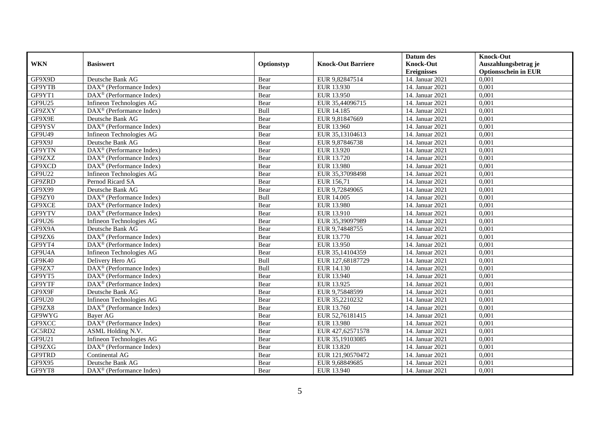|               |                                                         |            |                           | Datum des          | <b>Knock-Out</b>            |
|---------------|---------------------------------------------------------|------------|---------------------------|--------------------|-----------------------------|
| <b>WKN</b>    | <b>Basiswert</b>                                        | Optionstyp | <b>Knock-Out Barriere</b> | <b>Knock-Out</b>   | Auszahlungsbetrag je        |
|               |                                                         |            |                           | <b>Ereignisses</b> | <b>Optionsschein in EUR</b> |
| GF9X9D        | Deutsche Bank AG                                        | Bear       | EUR 9,82847514            | 14. Januar 2021    | 0,001                       |
| GF9YTB        | $DAX^{\circledR}$ (Performance Index)                   | Bear       | EUR 13.930                | 14. Januar 2021    | 0,001                       |
| GF9YT1        | $DAX^{\circledcirc}$ (Performance Index)                | Bear       | EUR 13.950                | 14. Januar 2021    | 0,001                       |
| GF9U25        | Infineon Technologies AG                                | Bear       | EUR 35,44096715           | 14. Januar 2021    | 0,001                       |
| GF9ZXY        | DAX <sup>®</sup> (Performance Index)                    | Bull       | EUR 14.185                | 14. Januar 2021    | 0,001                       |
| GF9X9E        | Deutsche Bank AG                                        | Bear       | EUR 9,81847669            | 14. Januar 2021    | 0,001                       |
| GF9YSV        | $DAX^{\circledast}$ (Performance Index)                 | Bear       | EUR 13.960                | 14. Januar 2021    | 0,001                       |
| GF9U49        | Infineon Technologies AG                                | Bear       | EUR 35,13104613           | 14. Januar 2021    | 0,001                       |
| GF9X9J        | Deutsche Bank AG                                        | Bear       | EUR 9,87846738            | 14. Januar 2021    | 0,001                       |
| GF9YTN        | DAX <sup>®</sup> (Performance Index)                    | Bear       | EUR 13.920                | 14. Januar 2021    | 0,001                       |
| GF9ZXZ        | $\overline{\text{DAX}}^{\textcirc}$ (Performance Index) | Bear       | EUR 13.720                | 14. Januar 2021    | 0,001                       |
| GF9XCD        | $\overline{\text{DAX}^{\otimes}}$ (Performance Index)   | Bear       | <b>EUR 13.980</b>         | 14. Januar 2021    | 0,001                       |
| GF9U22        | Infineon Technologies AG                                | Bear       | EUR 35,37098498           | 14. Januar 2021    | 0.001                       |
| GF9ZRD        | Pernod Ricard SA                                        | Bear       | EUR 156,71                | 14. Januar 2021    | 0,001                       |
| GF9X99        | Deutsche Bank AG                                        | Bear       | EUR 9,72849065            | 14. Januar 2021    | 0,001                       |
| GF9ZY0        | DAX <sup>®</sup> (Performance Index)                    | Bull       | EUR 14.005                | 14. Januar 2021    | 0,001                       |
| GF9XCE        | DAX <sup>®</sup> (Performance Index)                    | Bear       | EUR 13.980                | 14. Januar 2021    | 0,001                       |
| GF9YTV        | $DAX^{\circledcirc}$ (Performance Index)                | Bear       | EUR 13.910                | 14. Januar 2021    | 0,001                       |
| GF9U26        | Infineon Technologies AG                                | Bear       | EUR 35,39097989           | 14. Januar 2021    | 0,001                       |
| GF9X9A        | Deutsche Bank AG                                        | Bear       | EUR 9,74848755            | 14. Januar 2021    | 0,001                       |
| GF9ZX6        | DAX <sup>®</sup> (Performance Index)                    | Bear       | EUR 13.770                | 14. Januar 2021    | 0,001                       |
| GF9YT4        | $\overline{\text{DAX}^{\otimes}}$ (Performance Index)   | Bear       | EUR 13.950                | 14. Januar 2021    | 0,001                       |
| GF9U4A        | Infineon Technologies AG                                | Bear       | EUR 35,14104359           | 14. Januar 2021    | 0,001                       |
| GF9K40        | Delivery Hero AG                                        | Bull       | EUR 127,68187729          | 14. Januar 2021    | 0,001                       |
| GF9ZX7        | $\overline{\text{DAX}^{\otimes}}$ (Performance Index)   | Bull       | EUR 14.130                | 14. Januar 2021    | 0,001                       |
| GF9YT5        | DAX <sup>®</sup> (Performance Index)                    | Bear       | EUR 13.940                | 14. Januar 2021    | 0,001                       |
| GF9YTF        | DAX <sup>®</sup> (Performance Index)                    | Bear       | EUR 13.925                | 14. Januar 2021    | 0,001                       |
| GF9X9F        | Deutsche Bank AG                                        | Bear       | EUR 9,75848599            | 14. Januar 2021    | 0,001                       |
| <b>GF9U20</b> | Infineon Technologies AG                                | Bear       | EUR 35,2210232            | 14. Januar 2021    | 0,001                       |
| GF9ZX8        | DAX <sup>®</sup> (Performance Index)                    | Bear       | EUR 13.760                | 14. Januar 2021    | 0,001                       |
| GF9WYG        | Bayer AG                                                | Bear       | EUR 52,76181415           | 14. Januar 2021    | 0,001                       |
| GF9XCC        | DAX <sup>®</sup> (Performance Index)                    | Bear       | EUR 13.980                | 14. Januar 2021    | 0.001                       |
| GC5RD2        | ASML Holding N.V.                                       | Bear       | EUR 427,62571578          | 14. Januar 2021    | 0,001                       |
| GF9U21        | Infineon Technologies AG                                | Bear       | EUR 35,19103085           | 14. Januar 2021    | 0,001                       |
| GF9ZXG        | $DAX^{\circledast}$ (Performance Index)                 | Bear       | EUR 13.820                | 14. Januar 2021    | 0,001                       |
| <b>GF9TRD</b> | Continental AG                                          | Bear       | EUR 121,90570472          | 14. Januar 2021    | 0,001                       |
| GF9X95        | Deutsche Bank AG                                        | Bear       | EUR 9,68849685            | 14. Januar 2021    | 0,001                       |
| GF9YT8        | $\text{DAX}^{\otimes}$ (Performance Index)              | Bear       | EUR 13.940                | 14. Januar 2021    | 0,001                       |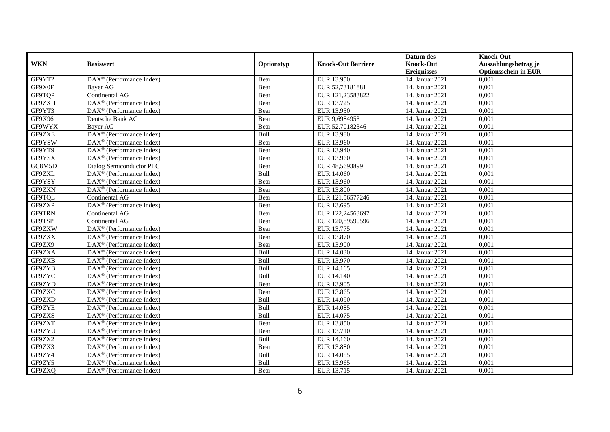|               |                                                             |            |                           | Datum des          | <b>Knock-Out</b>            |
|---------------|-------------------------------------------------------------|------------|---------------------------|--------------------|-----------------------------|
| <b>WKN</b>    | <b>Basiswert</b>                                            | Optionstyp | <b>Knock-Out Barriere</b> | <b>Knock-Out</b>   | Auszahlungsbetrag je        |
|               |                                                             |            |                           | <b>Ereignisses</b> | <b>Optionsschein in EUR</b> |
| GF9YT2        | DAX <sup>®</sup> (Performance Index)                        | Bear       | EUR 13.950                | 14. Januar 2021    | 0,001                       |
| GF9X0F        | Bayer AG                                                    | Bear       | EUR 52,73181881           | 14. Januar 2021    | 0,001                       |
| GF9TQP        | Continental AG                                              | Bear       | EUR 121,23583822          | 14. Januar 2021    | 0,001                       |
| GF9ZXH        | $DAX^{\circledcirc}$ (Performance Index)                    | Bear       | EUR 13.725                | 14. Januar 2021    | 0,001                       |
| GF9YT3        | $\overline{\text{DAX}^{\otimes}(\text{Performance Index})}$ | Bear       | EUR 13.950                | 14. Januar 2021    | 0,001                       |
| GF9X96        | Deutsche Bank AG                                            | Bear       | EUR 9,6984953             | 14. Januar 2021    | 0,001                       |
| GF9WYX        | <b>Baver AG</b>                                             | Bear       | EUR 52,70182346           | 14. Januar 2021    | 0,001                       |
| GF9ZXE        | DAX <sup>®</sup> (Performance Index)                        | Bull       | EUR 13.980                | 14. Januar 2021    | 0,001                       |
| GF9YSW        | $DAX^{\circledast}$ (Performance Index)                     | Bear       | EUR 13.960                | 14. Januar 2021    | 0,001                       |
| GF9YT9        | $DAX^{\circledast}$ (Performance Index)                     | Bear       | EUR 13.940                | 14. Januar 2021    | 0,001                       |
| GF9YSX        | $\overline{\text{DAX}^{\otimes}}$ (Performance Index)       | Bear       | EUR 13.960                | 14. Januar 2021    | 0.001                       |
| GC8M5D        | Dialog Semiconductor PLC                                    | Bear       | EUR 48,5693899            | 14. Januar 2021    | 0,001                       |
| GF9ZXL        | DAX <sup>®</sup> (Performance Index)                        | Bull       | EUR 14.060                | 14. Januar 2021    | 0,001                       |
| GF9YSY        | $DAX^{\circledast}$ (Performance Index)                     | Bear       | EUR 13.960                | 14. Januar 2021    | 0,001                       |
| GF9ZXN        | DAX <sup>®</sup> (Performance Index)                        | Bear       | <b>EUR 13.800</b>         | 14. Januar 2021    | 0,001                       |
| GF9TQL        | Continental AG                                              | Bear       | EUR 121,56577246          | 14. Januar 2021    | 0,001                       |
| GF9ZXP        | $\overline{\text{DAX}^{\otimes}}$ (Performance Index)       | Bear       | EUR 13.695                | 14. Januar 2021    | 0,001                       |
| <b>GF9TRN</b> | Continental AG                                              | Bear       | EUR 122,24563697          | 14. Januar 2021    | 0.001                       |
| GF9TSP        | Continental AG                                              | Bear       | EUR 120,89590596          | 14. Januar 2021    | 0,001                       |
| GF9ZXW        | DAX <sup>®</sup> (Performance Index)                        | Bear       | EUR 13.775                | 14. Januar 2021    | 0,001                       |
| GF9ZXX        | $DAX^{\circledR}$ (Performance Index)                       | Bear       | EUR 13.870                | 14. Januar 2021    | 0.001                       |
| GF9ZX9        | $DAX^{\circledR}$ (Performance Index)                       | Bear       | <b>EUR 13.900</b>         | 14. Januar 2021    | 0,001                       |
| GF9ZXA        | $DAX^{\circledast}$ (Performance Index)                     | Bull       | EUR 14.030                | 14. Januar 2021    | 0,001                       |
| GF9ZXB        | DAX <sup>®</sup> (Performance Index)                        | Bull       | EUR 13.970                | 14. Januar 2021    | 0,001                       |
| GF9ZYB        | $DAX^{\circledcirc}$ (Performance Index)                    | Bull       | EUR 14.165                | 14. Januar 2021    | 0.001                       |
| GF9ZYC        | $DAX^{\circledast}$ (Performance Index)                     | Bull       | EUR 14.140                | 14. Januar 2021    | 0,001                       |
| GF9ZYD        | $DAX^{\circledR}$ (Performance Index)                       | Bear       | EUR 13.905                | 14. Januar 2021    | 0,001                       |
| GF9ZXC        | $DAX^{\circledR}$ (Performance Index)                       | Bear       | EUR 13.865                | 14. Januar 2021    | 0,001                       |
| GF9ZXD        | $\overline{\text{DAX}^{\otimes}}$ (Performance Index)       | Bull       | EUR 14.090                | 14. Januar 2021    | 0,001                       |
| GF9ZYE        | $DAX^{\circledast}$ (Performance Index)                     | Bull       | EUR 14.085                | 14. Januar 2021    | 0,001                       |
| GF9ZXS        | $DAX^{\circledast}$ (Performance Index)                     | Bull       | EUR 14.075                | 14. Januar 2021    | 0,001                       |
| GF9ZXT        | $DAX^{\circledcirc}$ (Performance Index)                    | Bear       | EUR 13.850                | 14. Januar 2021    | 0.001                       |
| GF9ZYU        | $DAX^{\circledR}$ (Performance Index)                       | Bear       | EUR 13.710                | 14. Januar 2021    | 0,001                       |
| GF9ZX2        | $\overline{\text{DAX}^{\otimes}}$ (Performance Index)       | Bull       | EUR 14.160                | 14. Januar 2021    | 0,001                       |
| GF9ZX3        | DAX <sup>®</sup> (Performance Index)                        | Bear       | EUR 13.880                | 14. Januar 2021    | 0,001                       |
| GF9ZY4        | $DAX^{\circledcirc}$ (Performance Index)                    | Bull       | EUR 14.055                | 14. Januar 2021    | 0,001                       |
| GF9ZY5        | $DAX^{\circledast}$ (Performance Index)                     | Bull       | EUR 13.965                | 14. Januar 2021    | 0,001                       |
| GF9ZXQ        | DAX <sup>®</sup> (Performance Index)                        | Bear       | EUR 13.715                | 14. Januar 2021    | 0,001                       |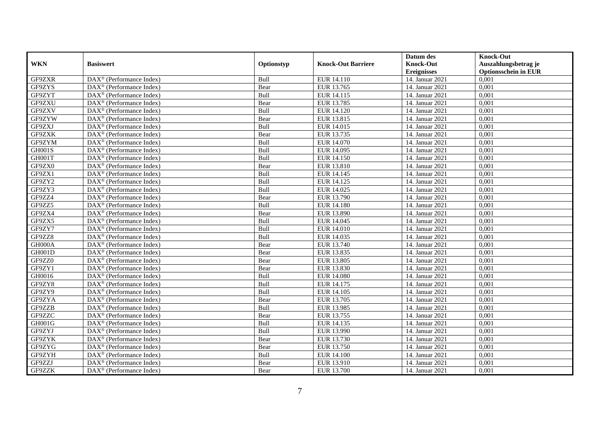|               |                                                       |             |                           | Datum des          | <b>Knock-Out</b>            |
|---------------|-------------------------------------------------------|-------------|---------------------------|--------------------|-----------------------------|
| <b>WKN</b>    | <b>Basiswert</b>                                      | Optionstyp  | <b>Knock-Out Barriere</b> | <b>Knock-Out</b>   | Auszahlungsbetrag je        |
|               |                                                       |             |                           | <b>Ereignisses</b> | <b>Optionsschein in EUR</b> |
| GF9ZXR        | DAX <sup>®</sup> (Performance Index)                  | Bull        | EUR 14.110                | 14. Januar 2021    | 0,001                       |
| GF9ZYS        | $DAX^{\circledast}$ (Performance Index)               | Bear        | EUR 13.765                | 14. Januar 2021    | 0,001                       |
| GF9ZYT        | DAX <sup>®</sup> (Performance Index)                  | Bull        | EUR 14.115                | 14. Januar 2021    | 0,001                       |
| GF9ZXU        | DAX <sup>®</sup> (Performance Index)                  | Bear        | EUR 13.785                | 14. Januar 2021    | 0,001                       |
| GF9ZXV        | DAX <sup>®</sup> (Performance Index)                  | Bull        | EUR 14.120                | 14. Januar 2021    | 0,001                       |
| GF9ZYW        | $DAX^{\circledR}$ (Performance Index)                 | Bear        | EUR 13.815                | 14. Januar 2021    | 0,001                       |
| GF9ZXJ        | $DAX^{\circledR}$ (Performance Index)                 | Bull        | EUR 14.015                | 14. Januar 2021    | 0,001                       |
| GF9ZXK        | DAX <sup>®</sup> (Performance Index)                  | Bear        | EUR 13.735                | 14. Januar 2021    | 0,001                       |
| GF9ZYM        | $DAX^{\circledast}$ (Performance Index)               | Bull        | EUR 14.070                | 14. Januar 2021    | 0,001                       |
| <b>GH001S</b> | $DAX^{\circledast}$ (Performance Index)               | Bull        | EUR 14.095                | 14. Januar 2021    | 0,001                       |
| GH001T        | $DAX^{\circledcirc}$ (Performance Index)              | Bull        | EUR 14.150                | 14. Januar 2021    | 0.001                       |
| GF9ZX0        | DAX <sup>®</sup> (Performance Index)                  | Bear        | <b>EUR 13.810</b>         | 14. Januar 2021    | 0,001                       |
| GF9ZX1        | DAX <sup>®</sup> (Performance Index)                  | Bull        | EUR 14.145                | 14. Januar 2021    | 0,001                       |
| GF9ZY2        | $DAX^{\circledR}$ (Performance Index)                 | Bull        | EUR 14.125                | 14. Januar 2021    | 0,001                       |
| GF9ZY3        | $DAX^{\circledast}$ (Performance Index)               | Bull        | EUR 14.025                | 14. Januar 2021    | 0,001                       |
| GF9ZZ4        | DAX <sup>®</sup> (Performance Index)                  | Bear        | EUR 13.790                | 14. Januar 2021    | 0,001                       |
| GF9ZZ5        | DAX <sup>®</sup> (Performance Index)                  | Bull        | EUR 14.180                | 14. Januar 2021    | 0,001                       |
| GF9ZX4        | $DAX^{\circledcirc}$ (Performance Index)              | Bear        | EUR 13.890                | 14. Januar 2021    | 0.001                       |
| GF9ZX5        | DAX <sup>®</sup> (Performance Index)                  | Bull        | EUR 14.045                | 14. Januar 2021    | 0,001                       |
| GF9ZY7        | DAX <sup>®</sup> (Performance Index)                  | Bull        | EUR 14.010                | 14. Januar 2021    | 0,001                       |
| GF9ZZ8        | DAX <sup>®</sup> (Performance Index)                  | Bull        | EUR 14.035                | 14. Januar 2021    | 0.001                       |
| GH000A        | $\overline{\text{DAX}^{\otimes}}$ (Performance Index) | Bear        | EUR 13.740                | 14. Januar 2021    | 0,001                       |
| <b>GH001D</b> | $DAX^{\circledast}$ (Performance Index)               | Bear        | EUR 13.835                | 14. Januar 2021    | 0,001                       |
| GF9ZZ0        | DAX <sup>®</sup> (Performance Index)                  | Bear        | EUR 13.805                | 14. Januar 2021    | 0,001                       |
| GF9ZY1        | $DAX^{\circledcirc}$ (Performance Index)              | Bear        | EUR 13.830                | 14. Januar 2021    | 0.001                       |
| GH0016        | $DAX^{\circledast}$ (Performance Index)               | Bull        | <b>EUR 14.080</b>         | 14. Januar 2021    | 0,001                       |
| GF9ZY8        | DAX <sup>®</sup> (Performance Index)                  | Bull        | EUR 14.175                | 14. Januar 2021    | 0,001                       |
| GF9ZY9        | $DAX^{\circledR}$ (Performance Index)                 | Bull        | EUR 14.105                | 14. Januar 2021    | 0,001                       |
| GF9ZYA        | DAX <sup>®</sup> (Performance Index)                  | Bear        | EUR 13.705                | 14. Januar 2021    | 0,001                       |
| GF9ZZB        | $DAX^{\circledast}$ (Performance Index)               | Bull        | EUR 13.985                | 14. Januar 2021    | 0,001                       |
| GF9ZZC        | $DAX^{\circledast}$ (Performance Index)               | Bear        | EUR 13.755                | 14. Januar 2021    | 0,001                       |
| GH001G        | $DAX^{\circledcirc}$ (Performance Index)              | <b>Bull</b> | EUR 14.135                | 14. Januar 2021    | 0.001                       |
| GF9ZYJ        | $DAX^{\circledR}$ (Performance Index)                 | Bull        | EUR 13.990                | 14. Januar 2021    | 0,001                       |
| GF9ZYK        | $\overline{\text{DAX}^{\otimes}}$ (Performance Index) | Bear        | EUR 13.730                | 14. Januar 2021    | 0,001                       |
| GF9ZYG        | DAX <sup>®</sup> (Performance Index)                  | Bear        | EUR 13.750                | 14. Januar 2021    | 0,001                       |
| GF9ZYH        | $DAX^{\circledcirc}$ (Performance Index)              | Bull        | <b>EUR 14.100</b>         | 14. Januar 2021    | 0,001                       |
| GF9ZZJ        | $DAX^{\circledast}$ (Performance Index)               | Bear        | EUR 13.910                | 14. Januar 2021    | 0,001                       |
| GF9ZZK        | DAX <sup>®</sup> (Performance Index)                  | Bear        | EUR 13.700                | 14. Januar 2021    | 0,001                       |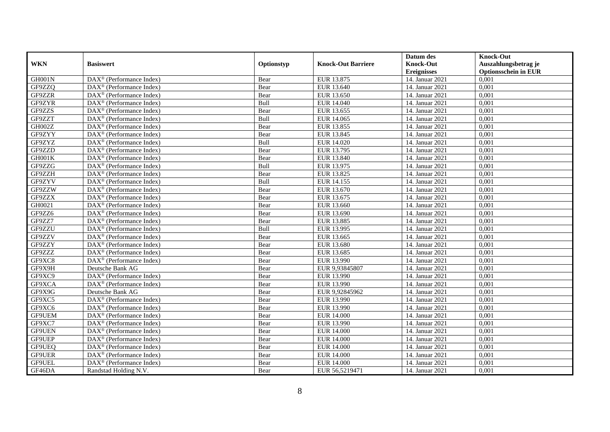|               |                                                             |            |                           | Datum des          | <b>Knock-Out</b>            |
|---------------|-------------------------------------------------------------|------------|---------------------------|--------------------|-----------------------------|
| <b>WKN</b>    | <b>Basiswert</b>                                            | Optionstyp | <b>Knock-Out Barriere</b> | <b>Knock-Out</b>   | Auszahlungsbetrag je        |
|               |                                                             |            |                           | <b>Ereignisses</b> | <b>Optionsschein in EUR</b> |
| GH001N        | DAX <sup>®</sup> (Performance Index)                        | Bear       | EUR 13.875                | 14. Januar 2021    | 0,001                       |
| GF9ZZQ        | $DAX^{\circledast}$ (Performance Index)                     | Bear       | EUR 13.640                | 14. Januar 2021    | 0,001                       |
| GF9ZZR        | DAX <sup>®</sup> (Performance Index)                        | Bear       | EUR 13.650                | 14. Januar 2021    | 0,001                       |
| GF9ZYR        | DAX <sup>®</sup> (Performance Index)                        | Bull       | EUR 14.040                | 14. Januar 2021    | 0,001                       |
| GF9ZZS        | DAX <sup>®</sup> (Performance Index)                        | Bear       | EUR 13.655                | 14. Januar 2021    | 0,001                       |
| GF9ZZT        | $DAX^{\circledR}$ (Performance Index)                       | Bull       | EUR 14.065                | 14. Januar 2021    | 0,001                       |
| GH002Z        | $DAX^{\circledR}$ (Performance Index)                       | Bear       | EUR 13.855                | 14. Januar 2021    | 0,001                       |
| GF9ZYY        | DAX <sup>®</sup> (Performance Index)                        | Bear       | EUR 13.845                | 14. Januar 2021    | 0,001                       |
| GF9ZYZ        | $DAX^{\circledast}$ (Performance Index)                     | Bull       | EUR 14.020                | 14. Januar 2021    | 0,001                       |
| GF9ZZD        | $DAX^{\circledast}$ (Performance Index)                     | Bear       | EUR 13.795                | 14. Januar 2021    | 0,001                       |
| GH001K        | $DAX^{\circledcirc}$ (Performance Index)                    | Bear       | EUR 13.840                | 14. Januar 2021    | 0.001                       |
| GF9ZZG        | $DAX^{\circledR}$ (Performance Index)                       | Bull       | EUR 13.975                | 14. Januar 2021    | 0,001                       |
| GF9ZZH        | DAX <sup>®</sup> (Performance Index)                        | Bear       | EUR 13.825                | 14. Januar 2021    | 0,001                       |
| GF9ZYV        | $DAX^{\circledR}$ (Performance Index)                       | Bull       | EUR 14.155                | 14. Januar 2021    | 0,001                       |
| GF9ZZW        | $DAX^{\circledast}$ (Performance Index)                     | Bear       | EUR 13.670                | 14. Januar 2021    | 0,001                       |
| GF9ZZX        | DAX <sup>®</sup> (Performance Index)                        | Bear       | EUR 13.675                | 14. Januar 2021    | 0,001                       |
| GH0021        | DAX <sup>®</sup> (Performance Index)                        | Bear       | EUR 13.660                | 14. Januar 2021    | 0,001                       |
| GF9ZZ6        | $DAX^{\circledcirc}$ (Performance Index)                    | Bear       | EUR 13.690                | 14. Januar 2021    | 0.001                       |
| GF9ZZ7        | DAX <sup>®</sup> (Performance Index)                        | Bear       | <b>EUR 13.885</b>         | 14. Januar 2021    | 0,001                       |
| GF9ZZU        | DAX <sup>®</sup> (Performance Index)                        | Bull       | EUR 13.995                | 14. Januar 2021    | 0,001                       |
| GF9ZZV        | $DAX^{\circledR}$ (Performance Index)                       | Bear       | EUR 13.665                | 14. Januar 2021    | 0.001                       |
| GF9ZZY        | $\overline{\text{DAX}^{\otimes}}$ (Performance Index)       | Bear       | EUR 13.680                | 14. Januar 2021    | 0,001                       |
| GF9ZZZ        | $DAX^{\circledast}$ (Performance Index)                     | Bear       | EUR 13.685                | 14. Januar 2021    | 0,001                       |
| GF9XC8        | DAX <sup>®</sup> (Performance Index)                        | Bear       | EUR 13.990                | 14. Januar 2021    | 0,001                       |
| GF9X9H        | Deutsche Bank AG                                            | Bear       | EUR 9,93845807            | 14. Januar 2021    | 0.001                       |
| GF9XC9        | $DAX^{\circledast}$ (Performance Index)                     | Bear       | EUR 13.990                | 14. Januar 2021    | 0,001                       |
| GF9XCA        | $\overline{\text{DAX}^{\otimes}(\text{Performance Index})}$ | Bear       | EUR 13.990                | 14. Januar 2021    | 0,001                       |
| GF9X9G        | Deutsche Bank AG                                            | Bear       | EUR 9,92845962            | 14. Januar 2021    | 0,001                       |
| GF9XC5        | $\overline{\text{DAX}^{\otimes}}$ (Performance Index)       | Bear       | EUR 13.990                | 14. Januar 2021    | 0,001                       |
| GF9XC6        | $DAX^{\circledast}$ (Performance Index)                     | Bear       | EUR 13.990                | 14. Januar 2021    | 0,001                       |
| GF9UEM        | $DAX^{\circledast}$ (Performance Index)                     | Bear       | <b>EUR 14.000</b>         | 14. Januar 2021    | 0,001                       |
| GF9XC7        | $DAX^{\circledcirc}$ (Performance Index)                    | Bear       | EUR 13.990                | 14. Januar 2021    | 0.001                       |
| GF9UEN        | $DAX^{\circledR}$ (Performance Index)                       | Bear       | <b>EUR 14.000</b>         | 14. Januar 2021    | 0,001                       |
| GF9UEP        | $\overline{\text{DAX}^{\otimes}}$ (Performance Index)       | Bear       | <b>EUR 14.000</b>         | 14. Januar 2021    | 0,001                       |
| GF9UEQ        | DAX <sup>®</sup> (Performance Index)                        | Bear       | <b>EUR 14.000</b>         | 14. Januar 2021    | 0,001                       |
| <b>GF9UER</b> | $DAX^{\circledcirc}$ (Performance Index)                    | Bear       | <b>EUR 14.000</b>         | 14. Januar 2021    | 0,001                       |
| GF9UEL        | DAX <sup>®</sup> (Performance Index)                        | Bear       | EUR 14.000                | 14. Januar 2021    | 0,001                       |
| GF46DA        | Randstad Holding N.V.                                       | Bear       | EUR 56,5219471            | 14. Januar 2021    | 0,001                       |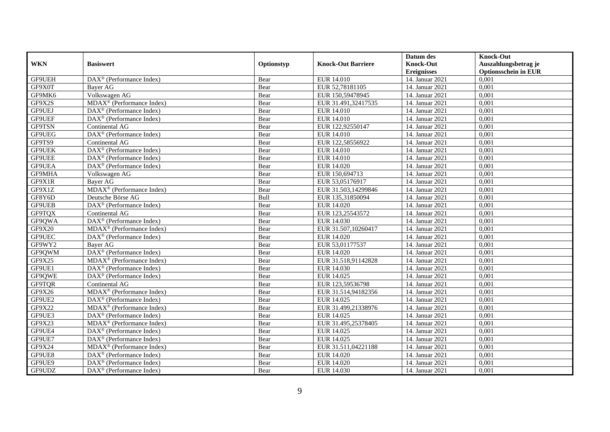|               |                                                               |            |                           | Datum des          | <b>Knock-Out</b>            |
|---------------|---------------------------------------------------------------|------------|---------------------------|--------------------|-----------------------------|
| <b>WKN</b>    | <b>Basiswert</b>                                              | Optionstyp | <b>Knock-Out Barriere</b> | <b>Knock-Out</b>   | Auszahlungsbetrag je        |
|               |                                                               |            |                           | <b>Ereignisses</b> | <b>Optionsschein in EUR</b> |
| GF9UEH        | $\overline{\text{DAX}}^{\textcircled{}}$ (Performance Index)  | Bear       | EUR 14.010                | 14. Januar 2021    | 0,001                       |
| GF9X0T        | Bayer AG                                                      | Bear       | EUR 52,78181105           | 14. Januar 2021    | 0,001                       |
| GF9MK6        | Volkswagen AG                                                 | Bear       | EUR 150,59478945          | 14. Januar 2021    | 0,001                       |
| GF9X2S        | MDAX <sup>®</sup> (Performance Index)                         | Bear       | EUR 31.491,32417535       | 14. Januar 2021    | 0.001                       |
| GF9UEJ        | $DAX^{\circledR}$ (Performance Index)                         | Bear       | EUR 14.010                | 14. Januar 2021    | 0,001                       |
| <b>GF9UEF</b> | $DAX^{\circledR}$ (Performance Index)                         | Bear       | EUR 14.010                | 14. Januar 2021    | 0,001                       |
| <b>GF9TSN</b> | Continental AG                                                | Bear       | EUR 122,92550147          | 14. Januar 2021    | 0,001                       |
| GF9UEG        | DAX <sup>®</sup> (Performance Index)                          | Bear       | EUR 14.010                | 14. Januar 2021    | 0,001                       |
| GF9TS9        | Continental AG                                                | Bear       | EUR 122,58556922          | 14. Januar 2021    | 0,001                       |
| <b>GF9UEK</b> | DAX <sup>®</sup> (Performance Index)                          | Bear       | EUR 14.010                | 14. Januar 2021    | 0,001                       |
| <b>GF9UEE</b> | $\overline{\text{DAX}^{\textcircled{a}}}$ (Performance Index) | Bear       | EUR 14.010                | 14. Januar 2021    | 0.001                       |
| GF9UEA        | $DAX^{\circledR}$ (Performance Index)                         | Bear       | EUR 14.020                | 14. Januar 2021    | 0,001                       |
| GF9MHA        | Volkswagen AG                                                 | Bear       | EUR 150,694713            | 14. Januar 2021    | 0,001                       |
| GF9X1R        | <b>Baver AG</b>                                               | Bear       | EUR 53,05176917           | 14. Januar 2021    | 0,001                       |
| GF9X1Z        | MDAX <sup>®</sup> (Performance Index)                         | Bear       | EUR 31.503,14299846       | 14. Januar 2021    | 0,001                       |
| GF8Y6D        | Deutsche Börse AG                                             | Bull       | EUR 135,31850094          | 14. Januar 2021    | 0,001                       |
| <b>GF9UEB</b> | DAX <sup>®</sup> (Performance Index)                          | Bear       | EUR 14.020                | 14. Januar 2021    | 0,001                       |
| GF9TQX        | Continental AG                                                | Bear       | EUR 123,25543572          | 14. Januar 2021    | 0.001                       |
| GF9QWA        | DAX <sup>®</sup> (Performance Index)                          | Bear       | EUR 14.030                | 14. Januar 2021    | 0,001                       |
| GF9X20        | MDAX <sup>®</sup> (Performance Index)                         | Bear       | EUR 31.507,10260417       | 14. Januar 2021    | 0,001                       |
| GF9UEC        | $DAX^{\circledast}$ (Performance Index)                       | Bear       | EUR 14.020                | 14. Januar 2021    | 0.001                       |
| GF9WY2        | Bayer AG                                                      | Bear       | EUR 53,01177537           | 14. Januar 2021    | 0,001                       |
| GF9QWM        | DAX <sup>®</sup> (Performance Index)                          | Bear       | EUR 14.020                | 14. Januar 2021    | 0,001                       |
| GF9X25        | MDAX <sup>®</sup> (Performance Index)                         | Bear       | EUR 31.518,91142828       | 14. Januar 2021    | 0,001                       |
| GF9UE1        | DAX <sup>®</sup> (Performance Index)                          | Bear       | EUR 14.030                | 14. Januar 2021    | 0.001                       |
| GF9QWE        | DAX <sup>®</sup> (Performance Index)                          | Bear       | EUR 14.025                | 14. Januar 2021    | 0,001                       |
| GF9TQR        | Continental AG                                                | Bear       | EUR 123,59536798          | 14. Januar 2021    | 0,001                       |
| GF9X26        | MDAX <sup>®</sup> (Performance Index)                         | Bear       | EUR 31.514,94182356       | 14. Januar 2021    | 0,001                       |
| GF9UE2        | $DAX^{\circledast}$ (Performance Index)                       | Bear       | EUR 14.025                | 14. Januar 2021    | 0,001                       |
| GF9X22        | MDAX <sup>®</sup> (Performance Index)                         | Bear       | EUR 31.499,21338976       | 14. Januar 2021    | 0,001                       |
| GF9UE3        | $DAX^{\circledast}$ (Performance Index)                       | Bear       | EUR 14.025                | 14. Januar 2021    | 0,001                       |
| GF9X23        | $MDAX^{\circledR}$ (Performance Index)                        | Bear       | EUR 31.495,25378405       | 14. Januar 2021    | 0.001                       |
| GF9UE4        | $DAX^{\circledR}$ (Performance Index)                         | Bear       | EUR 14.025                | 14. Januar 2021    | 0,001                       |
| GF9UE7        | $\overline{\text{DAX}^{\otimes}}$ (Performance Index)         | Bear       | EUR 14.025                | 14. Januar 2021    | 0,001                       |
| GF9X24        | MDAX <sup>®</sup> (Performance Index)                         | Bear       | EUR 31.511,04221188       | 14. Januar 2021    | 0,001                       |
| GF9UE8        | $DAX^{\circledcirc}$ (Performance Index)                      | Bear       | EUR 14.020                | 14. Januar 2021    | 0,001                       |
| GF9UE9        | $DAX^{\circledast}$ (Performance Index)                       | Bear       | EUR 14.020                | 14. Januar 2021    | 0,001                       |
| GF9UDZ        | DAX <sup>®</sup> (Performance Index)                          | Bear       | EUR 14.030                | 14. Januar 2021    | 0,001                       |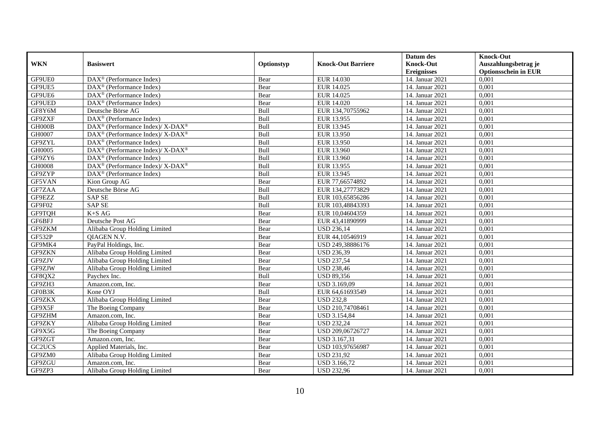|               |                                                              |            |                           | Datum des          | <b>Knock-Out</b>            |
|---------------|--------------------------------------------------------------|------------|---------------------------|--------------------|-----------------------------|
| <b>WKN</b>    | <b>Basiswert</b>                                             | Optionstyp | <b>Knock-Out Barriere</b> | <b>Knock-Out</b>   | Auszahlungsbetrag je        |
|               |                                                              |            |                           | <b>Ereignisses</b> | <b>Optionsschein in EUR</b> |
| GF9UE0        | $\overline{\text{DAX}}^{\textcircled{}}$ (Performance Index) | Bear       | EUR 14.030                | 14. Januar 2021    | 0,001                       |
| GF9UE5        | $\overline{\text{DAX}^{\otimes}}$ (Performance Index)        | Bear       | EUR 14.025                | 14. Januar 2021    | 0,001                       |
| GF9UE6        | DAX <sup>®</sup> (Performance Index)                         | Bear       | EUR 14.025                | 14. Januar 2021    | 0,001                       |
| GF9UED        | DAX <sup>®</sup> (Performance Index)                         | Bear       | EUR 14.020                | 14. Januar 2021    | 0.001                       |
| GF8Y6M        | Deutsche Börse AG                                            | Bull       | EUR 134,70755962          | 14. Januar 2021    | 0,001                       |
| GF9ZXF        | DAX <sup>®</sup> (Performance Index)                         | Bull       | EUR 13.955                | 14. Januar 2021    | 0,001                       |
| GH000B        | DAX <sup>®</sup> (Performance Index)/X-DAX <sup>®</sup>      | Bull       | EUR 13.945                | 14. Januar 2021    | 0,001                       |
| GH0007        | DAX <sup>®</sup> (Performance Index)/ X-DAX <sup>®</sup>     | Bull       | EUR 13.950                | 14. Januar 2021    | 0,001                       |
| GF9ZYL        | $DAX^{\circledast}$ (Performance Index)                      | Bull       | EUR 13.950                | 14. Januar 2021    | 0,001                       |
| GH0005        | $DAX^{\circledast}$ (Performance Index)/ X-DAX <sup>®</sup>  | Bull       | EUR 13.960                | 14. Januar 2021    | 0,001                       |
| GF9ZY6        | $DAX^{\circledR}$ (Performance Index)                        | Bull       | EUR 13.960                | 14. Januar 2021    | 0.001                       |
| GH0008        | DAX <sup>®</sup> (Performance Index)/ X-DAX <sup>®</sup>     | Bull       | EUR 13.955                | 14. Januar 2021    | 0,001                       |
| GF9ZYP        | DAX <sup>®</sup> (Performance Index)                         | Bull       | EUR 13.945                | 14. Januar 2021    | 0,001                       |
| GF5VAN        | Kion Group AG                                                | Bear       | EUR 77,66574892           | 14. Januar 2021    | 0,001                       |
| GF7ZAA        | Deutsche Börse AG                                            | Bull       | EUR 134,27773829          | 14. Januar 2021    | 0,001                       |
| GF9EZZ        | <b>SAP SE</b>                                                | Bull       | EUR 103,65856286          | 14. Januar 2021    | 0,001                       |
| GF9F02        | <b>SAP SE</b>                                                | Bull       | EUR 103,48843393          | 14. Januar 2021    | 0,001                       |
| GF9TQH        | $K+SAG$                                                      | Bear       | EUR 10.04604359           | 14. Januar 2021    | 0,001                       |
| GF6BFJ        | Deutsche Post AG                                             | Bear       | EUR 43,41890999           | 14. Januar 2021    | 0,001                       |
| GF9ZKM        | Alibaba Group Holding Limited                                | Bear       | <b>USD 236,14</b>         | 14. Januar 2021    | 0,001                       |
| <b>GF532P</b> | <b>OIAGEN N.V.</b>                                           | Bear       | EUR 44,10546919           | 14. Januar 2021    | 0,001                       |
| GF9MK4        | PayPal Holdings, Inc.                                        | Bear       | USD 249,38886176          | 14. Januar 2021    | 0,001                       |
| GF9ZKN        | Alibaba Group Holding Limited                                | Bear       | <b>USD 236,39</b>         | 14. Januar 2021    | 0,001                       |
| GF9ZJV        | Alibaba Group Holding Limited                                | Bear       | <b>USD 237,54</b>         | 14. Januar 2021    | 0,001                       |
| GF9ZJW        | Alibaba Group Holding Limited                                | Bear       | <b>USD 238,46</b>         | 14. Januar 2021    | 0.001                       |
| GF8QX2        | Paychex Inc.                                                 | Bull       | <b>USD 89,356</b>         | 14. Januar 2021    | 0,001                       |
| GF9ZH3        | Amazon.com, Inc.                                             | Bear       | USD 3.169,09              | 14. Januar 2021    | 0,001                       |
| GF0B3K        | Kone OYJ                                                     | Bull       | EUR 64,61693549           | 14. Januar 2021    | 0,001                       |
| GF9ZKX        | Alibaba Group Holding Limited                                | Bear       | <b>USD 232,8</b>          | 14. Januar 2021    | 0,001                       |
| GF9X5F        | The Boeing Company                                           | Bear       | USD 210,74708461          | 14. Januar 2021    | 0,001                       |
| GF9ZHM        | Amazon.com, Inc.                                             | Bear       | <b>USD 3.154,84</b>       | 14. Januar 2021    | 0,001                       |
| GF9ZKY        | Alibaba Group Holding Limited                                | Bear       | <b>USD 232,24</b>         | 14. Januar 2021    | 0.001                       |
| GF9X5G        | The Boeing Company                                           | Bear       | USD 209,06726727          | 14. Januar 2021    | 0,001                       |
| GF9ZGT        | Amazon.com, Inc.                                             | Bear       | USD 3.167,31              | 14. Januar 2021    | 0,001                       |
| GC2UCS        | Applied Materials, Inc.                                      | Bear       | USD 103,97656987          | 14. Januar 2021    | 0,001                       |
| GF9ZM0        | Alibaba Group Holding Limited                                | Bear       | <b>USD 231,92</b>         | 14. Januar 2021    | 0,001                       |
| GF9ZGU        | Amazon.com, Inc.                                             | Bear       | USD 3.166,72              | 14. Januar 2021    | 0,001                       |
| GF9ZP3        | Alibaba Group Holding Limited                                | Bear       | <b>USD 232,96</b>         | 14. Januar 2021    | 0,001                       |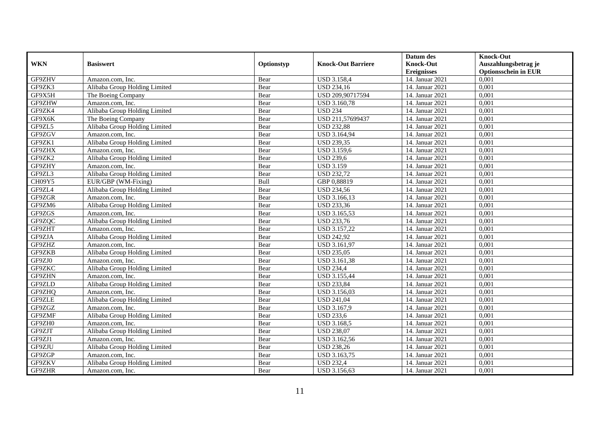|            |                               |            |                           | Datum des          | <b>Knock-Out</b>            |
|------------|-------------------------------|------------|---------------------------|--------------------|-----------------------------|
| <b>WKN</b> | <b>Basiswert</b>              | Optionstyp | <b>Knock-Out Barriere</b> | <b>Knock-Out</b>   | Auszahlungsbetrag je        |
|            |                               |            |                           | <b>Ereignisses</b> | <b>Optionsschein in EUR</b> |
| GF9ZHV     | Amazon.com, Inc.              | Bear       | <b>USD 3.158,4</b>        | 14. Januar 2021    | 0,001                       |
| GF9ZK3     | Alibaba Group Holding Limited | Bear       | <b>USD 234,16</b>         | 14. Januar 2021    | 0,001                       |
| GF9X5H     | The Boeing Company            | Bear       | USD 209,90717594          | 14. Januar 2021    | 0,001                       |
| GF9ZHW     | Amazon.com, Inc.              | Bear       | <b>USD 3.160,78</b>       | 14. Januar 2021    | 0,001                       |
| GF9ZK4     | Alibaba Group Holding Limited | Bear       | <b>USD 234</b>            | 14. Januar 2021    | 0,001                       |
| GF9X6K     | The Boeing Company            | Bear       | USD 211,57699437          | 14. Januar 2021    | 0,001                       |
| GF9ZL5     | Alibaba Group Holding Limited | Bear       | <b>USD 232,88</b>         | 14. Januar 2021    | 0,001                       |
| GF9ZGV     | Amazon.com, Inc.              | Bear       | USD 3.164,94              | 14. Januar 2021    | 0,001                       |
| GF9ZK1     | Alibaba Group Holding Limited | Bear       | <b>USD 239,35</b>         | 14. Januar 2021    | 0,001                       |
| GF9ZHX     | Amazon.com, Inc.              | Bear       | <b>USD 3.159,6</b>        | 14. Januar 2021    | 0,001                       |
| GF9ZK2     | Alibaba Group Holding Limited | Bear       | <b>USD 239,6</b>          | 14. Januar 2021    | 0,001                       |
| GF9ZHY     | Amazon.com, Inc.              | Bear       | <b>USD 3.159</b>          | 14. Januar 2021    | 0,001                       |
| GF9ZL3     | Alibaba Group Holding Limited | Bear       | <b>USD 232,72</b>         | 14. Januar 2021    | 0,001                       |
| CH09Y5     | EUR/GBP (WM-Fixing)           | Bull       | GBP 0,88819               | 14. Januar 2021    | 0,001                       |
| GF9ZL4     | Alibaba Group Holding Limited | Bear       | <b>USD 234,56</b>         | 14. Januar 2021    | 0,001                       |
| GF9ZGR     | Amazon.com, Inc.              | Bear       | USD 3.166,13              | 14. Januar 2021    | 0,001                       |
| GF9ZM6     | Alibaba Group Holding Limited | Bear       | <b>USD 233,36</b>         | 14. Januar 2021    | 0,001                       |
| GF9ZGS     | Amazon.com. Inc.              | Bear       | USD 3.165,53              | 14. Januar 2021    | 0,001                       |
| GF9ZQC     | Alibaba Group Holding Limited | Bear       | <b>USD 233,76</b>         | 14. Januar 2021    | 0,001                       |
| GF9ZHT     | Amazon.com, Inc.              | Bear       | USD 3.157,22              | 14. Januar 2021    | 0,001                       |
| GF9ZJA     | Alibaba Group Holding Limited | Bear       | <b>USD 242,92</b>         | 14. Januar 2021    | 0,001                       |
| GF9ZHZ     | Amazon.com, Inc.              | Bear       | USD 3.161,97              | 14. Januar 2021    | 0.001                       |
| GF9ZKB     | Alibaba Group Holding Limited | Bear       | <b>USD 235,05</b>         | 14. Januar 2021    | 0,001                       |
| GF9ZJ0     | Amazon.com. Inc.              | Bear       | USD 3.161,38              | 14. Januar 2021    | 0,001                       |
| GF9ZKC     | Alibaba Group Holding Limited | Bear       | <b>USD 234,4</b>          | 14. Januar 2021    | 0,001                       |
| GF9ZHN     | Amazon.com, Inc.              | Bear       | <b>USD 3.155,44</b>       | 14. Januar 2021    | 0,001                       |
| GF9ZLD     | Alibaba Group Holding Limited | Bear       | <b>USD 233,84</b>         | 14. Januar 2021    | 0,001                       |
| GF9ZHQ     | Amazon.com, Inc.              | Bear       | USD 3.156,03              | 14. Januar 2021    | 0,001                       |
| GF9ZLE     | Alibaba Group Holding Limited | Bear       | <b>USD 241,04</b>         | 14. Januar 2021    | 0,001                       |
| GF9ZGZ     | Amazon.com. Inc.              | Bear       | <b>USD 3.167.9</b>        | 14. Januar 2021    | 0.001                       |
| GF9ZMF     | Alibaba Group Holding Limited | Bear       | <b>USD 233,6</b>          | 14. Januar 2021    | 0,001                       |
| GF9ZH0     | Amazon.com, Inc.              | Bear       | <b>USD 3.168,5</b>        | 14. Januar 2021    | 0,001                       |
| GF9ZJT     | Alibaba Group Holding Limited | Bear       | <b>USD 238,07</b>         | 14. Januar 2021    | 0,001                       |
| GF9ZJ1     | Amazon.com, Inc.              | Bear       | USD 3.162,56              | 14. Januar 2021    | 0,001                       |
| GF9ZJU     | Alibaba Group Holding Limited | Bear       | <b>USD 238,26</b>         | 14. Januar 2021    | 0,001                       |
| GF9ZGP     | Amazon.com, Inc.              | Bear       | USD 3.163,75              | 14. Januar 2021    | 0,001                       |
| GF9ZKV     | Alibaba Group Holding Limited | Bear       | <b>USD 232,4</b>          | 14. Januar 2021    | 0,001                       |
| GF9ZHR     | Amazon.com, Inc.              | Bear       | USD 3.156,63              | 14. Januar 2021    | 0,001                       |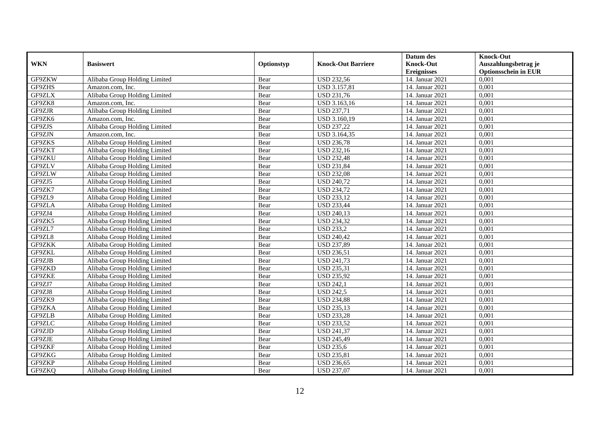|               |                               |            |                           | Datum des          | <b>Knock-Out</b>            |
|---------------|-------------------------------|------------|---------------------------|--------------------|-----------------------------|
| <b>WKN</b>    | <b>Basiswert</b>              | Optionstyp | <b>Knock-Out Barriere</b> | <b>Knock-Out</b>   | Auszahlungsbetrag je        |
|               |                               |            |                           | <b>Ereignisses</b> | <b>Optionsschein in EUR</b> |
| GF9ZKW        | Alibaba Group Holding Limited | Bear       | <b>USD 232,56</b>         | 14. Januar 2021    | 0,001                       |
| GF9ZHS        | Amazon.com, Inc.              | Bear       | <b>USD 3.157,81</b>       | 14. Januar 2021    | 0,001                       |
| GF9ZLX        | Alibaba Group Holding Limited | Bear       | <b>USD 231,76</b>         | 14. Januar 2021    | 0,001                       |
| GF9ZK8        | Amazon.com, Inc.              | Bear       | USD 3.163,16              | 14. Januar 2021    | 0,001                       |
| GF9ZJR        | Alibaba Group Holding Limited | Bear       | <b>USD 237,71</b>         | 14. Januar 2021    | 0,001                       |
| GF9ZK6        | Amazon.com. Inc.              | Bear       | USD 3.160,19              | 14. Januar 2021    | 0,001                       |
| GF9ZJS        | Alibaba Group Holding Limited | Bear       | <b>USD 237,22</b>         | 14. Januar 2021    | 0,001                       |
| GF9ZJN        | Amazon.com, Inc.              | Bear       | USD 3.164,35              | 14. Januar 2021    | 0,001                       |
| GF9ZKS        | Alibaba Group Holding Limited | Bear       | <b>USD 236,78</b>         | 14. Januar 2021    | 0,001                       |
| GF9ZKT        | Alibaba Group Holding Limited | Bear       | <b>USD 232,16</b>         | 14. Januar 2021    | 0,001                       |
| GF9ZKU        | Alibaba Group Holding Limited | Bear       | <b>USD 232,48</b>         | 14. Januar 2021    | 0.001                       |
| GF9ZLV        | Alibaba Group Holding Limited | Bear       | <b>USD 231,84</b>         | 14. Januar 2021    | 0,001                       |
| GF9ZLW        | Alibaba Group Holding Limited | Bear       | <b>USD 232,08</b>         | 14. Januar 2021    | 0,001                       |
| GF9ZJ5        | Alibaba Group Holding Limited | Bear       | <b>USD 240,72</b>         | 14. Januar 2021    | 0,001                       |
| GF9ZK7        | Alibaba Group Holding Limited | Bear       | <b>USD 234,72</b>         | 14. Januar 2021    | 0,001                       |
| GF9ZL9        | Alibaba Group Holding Limited | Bear       | <b>USD 233,12</b>         | 14. Januar 2021    | 0,001                       |
| GF9ZLA        | Alibaba Group Holding Limited | Bear       | <b>USD 233,44</b>         | 14. Januar 2021    | 0,001                       |
| GF9ZJ4        | Alibaba Group Holding Limited | Bear       | <b>USD 240,13</b>         | 14. Januar 2021    | 0.001                       |
| GF9ZK5        | Alibaba Group Holding Limited | Bear       | <b>USD 234,32</b>         | 14. Januar 2021    | 0,001                       |
| GF9ZL7        | Alibaba Group Holding Limited | Bear       | <b>USD 233,2</b>          | 14. Januar 2021    | 0,001                       |
| GF9ZL8        | Alibaba Group Holding Limited | Bear       | <b>USD 240,42</b>         | 14. Januar 2021    | 0.001                       |
| <b>GF9ZKK</b> | Alibaba Group Holding Limited | Bear       | <b>USD 237,89</b>         | 14. Januar 2021    | 0,001                       |
| GF9ZKL        | Alibaba Group Holding Limited | Bear       | <b>USD 236,51</b>         | 14. Januar 2021    | 0,001                       |
| GF9ZJB        | Alibaba Group Holding Limited | Bear       | <b>USD 241,73</b>         | 14. Januar 2021    | 0,001                       |
| GF9ZKD        | Alibaba Group Holding Limited | Bear       | <b>USD 235,31</b>         | 14. Januar 2021    | 0.001                       |
| GF9ZKE        | Alibaba Group Holding Limited | Bear       | <b>USD 235,92</b>         | 14. Januar 2021    | 0,001                       |
| GF9ZJ7        | Alibaba Group Holding Limited | Bear       | <b>USD 242,1</b>          | 14. Januar 2021    | 0,001                       |
| GF9ZJ8        | Alibaba Group Holding Limited | Bear       | <b>USD 242,5</b>          | 14. Januar 2021    | 0,001                       |
| GF9ZK9        | Alibaba Group Holding Limited | Bear       | <b>USD 234,88</b>         | 14. Januar 2021    | 0,001                       |
| GF9ZKA        | Alibaba Group Holding Limited | Bear       | <b>USD 235,13</b>         | 14. Januar 2021    | 0,001                       |
| GF9ZLB        | Alibaba Group Holding Limited | Bear       | <b>USD 233,28</b>         | 14. Januar 2021    | 0,001                       |
| GF9ZLC        | Alibaba Group Holding Limited | Bear       | <b>USD 233,52</b>         | 14. Januar 2021    | 0.001                       |
| GF9ZJD        | Alibaba Group Holding Limited | Bear       | <b>USD 241,37</b>         | 14. Januar 2021    | 0,001                       |
| GF9ZJE        | Alibaba Group Holding Limited | Bear       | <b>USD 245,49</b>         | 14. Januar 2021    | 0,001                       |
| GF9ZKF        | Alibaba Group Holding Limited | Bear       | <b>USD 235,6</b>          | 14. Januar 2021    | 0,001                       |
| GF9ZKG        | Alibaba Group Holding Limited | Bear       | <b>USD 235,81</b>         | 14. Januar 2021    | 0,001                       |
| GF9ZKP        | Alibaba Group Holding Limited | Bear       | <b>USD 236,65</b>         | 14. Januar 2021    | 0,001                       |
| GF9ZKQ        | Alibaba Group Holding Limited | Bear       | <b>USD 237,07</b>         | 14. Januar 2021    | 0,001                       |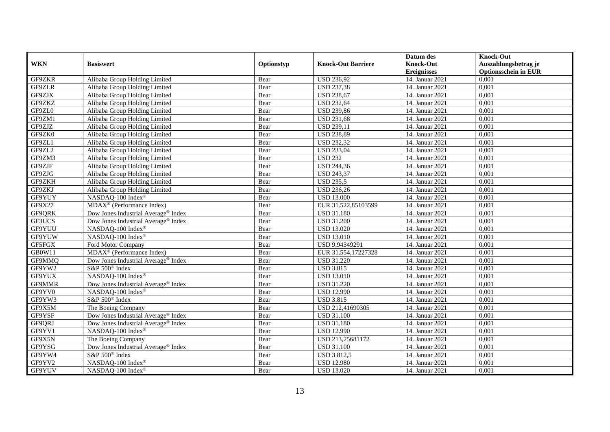|            |                                                           |            |                           | Datum des          | <b>Knock-Out</b>            |
|------------|-----------------------------------------------------------|------------|---------------------------|--------------------|-----------------------------|
| <b>WKN</b> | <b>Basiswert</b>                                          | Optionstyp | <b>Knock-Out Barriere</b> | <b>Knock-Out</b>   | Auszahlungsbetrag je        |
|            |                                                           |            |                           | <b>Ereignisses</b> | <b>Optionsschein in EUR</b> |
| GF9ZKR     | Alibaba Group Holding Limited                             | Bear       | <b>USD 236,92</b>         | 14. Januar 2021    | 0,001                       |
| GF9ZLR     | Alibaba Group Holding Limited                             | Bear       | <b>USD 237,38</b>         | 14. Januar 2021    | 0,001                       |
| GF9ZJX     | Alibaba Group Holding Limited                             | Bear       | <b>USD 238,67</b>         | 14. Januar 2021    | 0,001                       |
| GF9ZKZ     | Alibaba Group Holding Limited                             | Bear       | <b>USD 232,64</b>         | 14. Januar 2021    | 0,001                       |
| GF9ZL0     | Alibaba Group Holding Limited                             | Bear       | <b>USD 239,86</b>         | 14. Januar 2021    | 0,001                       |
| GF9ZM1     | Alibaba Group Holding Limited                             | Bear       | <b>USD 231,68</b>         | 14. Januar 2021    | 0,001                       |
| GF9ZJZ     | Alibaba Group Holding Limited                             | Bear       | <b>USD 239,11</b>         | 14. Januar 2021    | 0,001                       |
| GF9ZK0     | Alibaba Group Holding Limited                             | Bear       | <b>USD 238,89</b>         | 14. Januar 2021    | 0,001                       |
| GF9ZL1     | Alibaba Group Holding Limited                             | Bear       | <b>USD 232,32</b>         | 14. Januar 2021    | 0,001                       |
| GF9ZL2     | Alibaba Group Holding Limited                             | Bear       | <b>USD 233,04</b>         | 14. Januar 2021    | 0.001                       |
| GF9ZM3     | Alibaba Group Holding Limited                             | Bear       | <b>USD 232</b>            | 14. Januar 2021    | 0,001                       |
| GF9ZJF     | Alibaba Group Holding Limited                             | Bear       | <b>USD 244,36</b>         | 14. Januar 2021    | 0,001                       |
| GF9ZJG     | Alibaba Group Holding Limited                             | Bear       | <b>USD 243,37</b>         | 14. Januar 2021    | 0,001                       |
| GF9ZKH     | Alibaba Group Holding Limited                             | Bear       | <b>USD 235,5</b>          | 14. Januar 2021    | 0.001                       |
| GF9ZKJ     | Alibaba Group Holding Limited                             | Bear       | <b>USD 236,26</b>         | 14. Januar 2021    | 0,001                       |
| GF9YUY     | NASDAQ-100 Index®                                         | Bear       | <b>USD 13.000</b>         | 14. Januar 2021    | 0,001                       |
| GF9X27     | $MDAX^{\circledR}$ (Performance Index)                    | Bear       | EUR 31.522,85103599       | 14. Januar 2021    | 0,001                       |
| GF9QRK     | Dow Jones Industrial Average <sup>®</sup> Index           | Bear       | <b>USD 31.180</b>         | 14. Januar 2021    | 0,001                       |
| GF3UCS     | Dow Jones Industrial Average <sup>®</sup> Index           | Bear       | <b>USD 31.200</b>         | 14. Januar 2021    | 0,001                       |
| GF9YUU     | NASDAQ-100 Index®                                         | Bear       | <b>USD 13.020</b>         | 14. Januar 2021    | 0,001                       |
| GF9YUW     | NASDAQ-100 Index®                                         | Bear       | <b>USD 13.010</b>         | 14. Januar 2021    | 0,001                       |
| GF5FGX     | Ford Motor Company                                        | Bear       | USD 9,94349291            | 14. Januar 2021    | 0,001                       |
| GB0W11     | $\overline{\text{MDAX}}$ <sup>®</sup> (Performance Index) | Bear       | EUR 31.554,17227328       | 14. Januar 2021    | 0,001                       |
| GF9MMQ     | Dow Jones Industrial Average® Index                       | Bear       | <b>USD 31.220</b>         | 14. Januar 2021    | 0,001                       |
| GF9YW2     | S&P 500 <sup>®</sup> Index                                | Bear       | <b>USD 3.815</b>          | 14. Januar 2021    | 0,001                       |
| GF9YUX     | NASDAQ-100 Index®                                         | Bear       | <b>USD 13.010</b>         | 14. Januar 2021    | 0,001                       |
| GF9MMR     | Dow Jones Industrial Average® Index                       | Bear       | <b>USD 31.220</b>         | 14. Januar 2021    | 0,001                       |
| GF9YV0     | NASDAQ-100 Index®                                         | Bear       | <b>USD 12.990</b>         | 14. Januar 2021    | 0,001                       |
| GF9YW3     | S&P 500 <sup>®</sup> Index                                | Bear       | <b>USD 3.815</b>          | 14. Januar 2021    | 0,001                       |
| GF9X5M     | The Boeing Company                                        | Bear       | USD 212,41690305          | 14. Januar 2021    | 0,001                       |
| GF9YSF     | Dow Jones Industrial Average® Index                       | Bear       | <b>USD 31.100</b>         | 14. Januar 2021    | 0,001                       |
| GF9QRJ     | Dow Jones Industrial Average <sup>®</sup> Index           | Bear       | <b>USD 31.180</b>         | 14. Januar 2021    | 0,001                       |
| GF9YV1     | NASDAQ-100 Index®                                         | Bear       | <b>USD 12.990</b>         | 14. Januar 2021    | 0,001                       |
| GF9X5N     | The Boeing Company                                        | Bear       | USD 213,25681172          | 14. Januar 2021    | 0,001                       |
| GF9YSG     | Dow Jones Industrial Average® Index                       | Bear       | <b>USD 31.100</b>         | 14. Januar 2021    | 0,001                       |
| GF9YW4     | S&P 500 <sup>®</sup> Index                                | Bear       | <b>USD 3.812,5</b>        | 14. Januar 2021    | 0,001                       |
| GF9YV2     | NASDAQ-100 Index®                                         | Bear       | <b>USD 12.980</b>         | 14. Januar 2021    | 0,001                       |
| GF9YUV     | NASDAQ-100 Index®                                         | Bear       | <b>USD 13.020</b>         | 14. Januar 2021    | 0,001                       |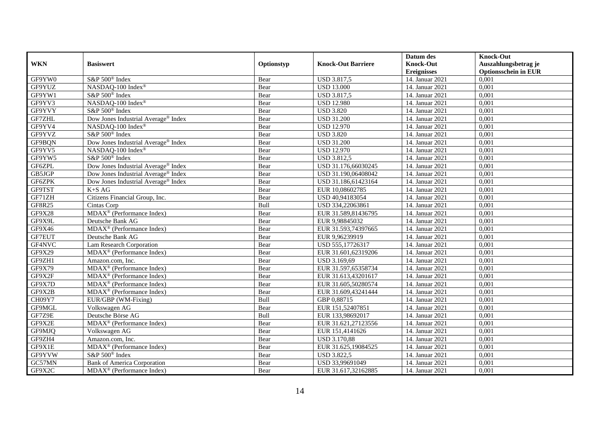|               |                                                           |            |                           | Datum des          | <b>Knock-Out</b>            |
|---------------|-----------------------------------------------------------|------------|---------------------------|--------------------|-----------------------------|
| <b>WKN</b>    | <b>Basiswert</b>                                          | Optionstyp | <b>Knock-Out Barriere</b> | <b>Knock-Out</b>   | Auszahlungsbetrag je        |
|               |                                                           |            |                           | <b>Ereignisses</b> | <b>Optionsschein in EUR</b> |
| GF9YW0        | S&P 500 <sup>®</sup> Index                                | Bear       | <b>USD 3.817,5</b>        | 14. Januar 2021    | 0,001                       |
| GF9YUZ        | NASDAQ-100 Index®                                         | Bear       | <b>USD 13.000</b>         | 14. Januar 2021    | 0,001                       |
| GF9YW1        | S&P 500 <sup>®</sup> Index                                | Bear       | <b>USD 3.817,5</b>        | 14. Januar 2021    | 0,001                       |
| GF9YV3        | NASDAQ-100 Index®                                         | Bear       | <b>USD 12.980</b>         | 14. Januar 2021    | 0,001                       |
| GF9YVY        | S&P 500 <sup>®</sup> Index                                | Bear       | <b>USD 3.820</b>          | 14. Januar 2021    | 0,001                       |
| <b>GF7ZHL</b> | Dow Jones Industrial Average® Index                       | Bear       | <b>USD 31.200</b>         | 14. Januar 2021    | 0,001                       |
| GF9YV4        | NASDAQ-100 Index®                                         | Bear       | <b>USD 12.970</b>         | 14. Januar 2021    | 0,001                       |
| GF9YVZ        | S&P 500 <sup>®</sup> Index                                | Bear       | <b>USD 3.820</b>          | 14. Januar 2021    | 0,001                       |
| GF9BQN        | Dow Jones Industrial Average® Index                       | Bear       | <b>USD 31.200</b>         | 14. Januar 2021    | 0,001                       |
| GF9YV5        | NASDAQ-100 Index®                                         | Bear       | <b>USD 12.970</b>         | 14. Januar 2021    | 0,001                       |
| GF9YW5        | S&P 500 <sup>®</sup> Index                                | Bear       | <b>USD 3.812,5</b>        | 14. Januar 2021    | 0,001                       |
| GF6ZPL        | Dow Jones Industrial Average® Index                       | Bear       | USD 31.176,66030245       | 14. Januar 2021    | 0,001                       |
| GB5JGP        | Dow Jones Industrial Average <sup>®</sup> Index           | Bear       | USD 31.190,06408042       | 14. Januar 2021    | 0,001                       |
| GF6ZPK        | Dow Jones Industrial Average <sup>®</sup> Index           | Bear       | USD 31.186,61423164       | 14. Januar 2021    | 0,001                       |
| GF9TST        | $K+SAG$                                                   | Bear       | EUR 10,08602785           | 14. Januar 2021    | 0,001                       |
| GF71ZH        | Citizens Financial Group, Inc.                            | Bear       | USD 40,94183054           | 14. Januar 2021    | 0,001                       |
| GF8R25        | Cintas Corp                                               | Bull       | USD 334,22063861          | 14. Januar 2021    | 0,001                       |
| <b>GF9X28</b> | $MDAX^{\circledR}$ (Performance Index)                    | Bear       | EUR 31.589.81436795       | 14. Januar 2021    | 0,001                       |
| GF9X9L        | Deutsche Bank AG                                          | Bear       | EUR 9,98845032            | 14. Januar 2021    | 0,001                       |
| GF9X46        | MDAX <sup>®</sup> (Performance Index)                     | Bear       | EUR 31.593,74397665       | 14. Januar 2021    | 0,001                       |
| GF7EUT        | Deutsche Bank AG                                          | Bear       | EUR 9,96239919            | 14. Januar 2021    | 0.001                       |
| GF4NVC        | Lam Research Corporation                                  | Bear       | USD 555,17726317          | 14. Januar 2021    | 0,001                       |
| GF9X29        | MDAX <sup>®</sup> (Performance Index)                     | Bear       | EUR 31.601,62319206       | 14. Januar 2021    | 0,001                       |
| GF9ZH1        | Amazon.com, Inc.                                          | Bear       | USD 3.169,69              | 14. Januar 2021    | 0,001                       |
| GF9X79        | $MDAX^{\circledR}$ (Performance Index)                    | Bear       | EUR 31.597,65358734       | 14. Januar 2021    | 0,001                       |
| GF9X2F        | MDAX <sup>®</sup> (Performance Index)                     | Bear       | EUR 31.613,43201617       | 14. Januar 2021    | 0,001                       |
| GF9X7D        | MDAX <sup>®</sup> (Performance Index)                     | Bear       | EUR 31.605,50280574       | 14. Januar 2021    | 0,001                       |
| GF9X2B        | $\overline{\text{MDAX}}$ <sup>®</sup> (Performance Index) | Bear       | EUR 31.609,43241444       | 14. Januar 2021    | 0,001                       |
| CH09Y7        | EUR/GBP (WM-Fixing)                                       | Bull       | GBP 0,88715               | 14. Januar 2021    | 0,001                       |
| GF9MGL        | Volkswagen AG                                             | Bear       | EUR 151,52407851          | 14. Januar 2021    | 0,001                       |
| GF7Z9E        | Deutsche Börse AG                                         | Bull       | EUR 133,98692017          | 14. Januar 2021    | 0,001                       |
| GF9X2E        | MDAX <sup>®</sup> (Performance Index)                     | Bear       | EUR 31.621,27123556       | 14. Januar 2021    | 0.001                       |
| GF9MJQ        | Volkswagen AG                                             | Bear       | EUR 151,4141626           | 14. Januar 2021    | 0,001                       |
| GF9ZH4        | Amazon.com, Inc.                                          | Bear       | <b>USD 3.170,88</b>       | 14. Januar 2021    | 0,001                       |
| GF9X1E        | MDAX <sup>®</sup> (Performance Index)                     | Bear       | EUR 31.625,19084525       | 14. Januar 2021    | 0,001                       |
| GF9YVW        | S&P 500 <sup>®</sup> Index                                | Bear       | <b>USD 3.822,5</b>        | 14. Januar 2021    | 0,001                       |
| GC57MN        | <b>Bank of America Corporation</b>                        | Bear       | USD 33,99691049           | 14. Januar 2021    | 0,001                       |
| GF9X2C        | MDAX <sup>®</sup> (Performance Index)                     | Bear       | EUR 31.617,32162885       | 14. Januar 2021    | 0,001                       |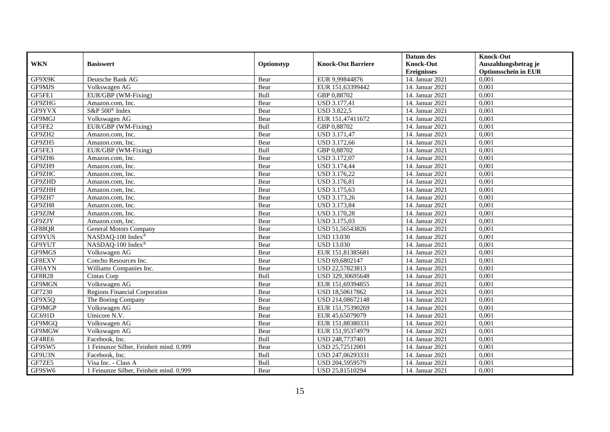|               |                                         |            |                           | Datum des          | <b>Knock-Out</b>            |
|---------------|-----------------------------------------|------------|---------------------------|--------------------|-----------------------------|
| <b>WKN</b>    | <b>Basiswert</b>                        | Optionstyp | <b>Knock-Out Barriere</b> | <b>Knock-Out</b>   | Auszahlungsbetrag je        |
|               |                                         |            |                           | <b>Ereignisses</b> | <b>Optionsschein in EUR</b> |
| GF9X9K        | Deutsche Bank AG                        | Bear       | EUR 9,99844876            | 14. Januar 2021    | 0,001                       |
| GF9MJS        | Volkswagen AG                           | Bear       | EUR 151,63399442          | 14. Januar 2021    | 0,001                       |
| GF5FE1        | EUR/GBP (WM-Fixing)                     | Bull       | GBP 0,88702               | 14. Januar 2021    | 0,001                       |
| GF9ZHG        | Amazon.com, Inc.                        | Bear       | USD 3.177,41              | 14. Januar 2021    | 0,001                       |
| GF9YVX        | S&P 500 <sup>®</sup> Index              | Bear       | <b>USD 3.822,5</b>        | 14. Januar 2021    | 0,001                       |
| GF9MGJ        | Volkswagen AG                           | Bear       | EUR 151,47411672          | 14. Januar 2021    | 0,001                       |
| GF5FE2        | EUR/GBP (WM-Fixing)                     | Bull       | GBP 0,88702               | 14. Januar 2021    | 0,001                       |
| GF9ZH2        | Amazon.com, Inc.                        | Bear       | <b>USD 3.171,47</b>       | 14. Januar 2021    | 0,001                       |
| GF9ZH5        | Amazon.com, Inc.                        | Bear       | USD 3.172,66              | 14. Januar 2021    | 0,001                       |
| GF5FE3        | EUR/GBP (WM-Fixing)                     | Bull       | GBP 0,88702               | 14. Januar 2021    | 0,001                       |
| GF9ZH6        | Amazon.com, Inc.                        | Bear       | <b>USD 3.172,07</b>       | 14. Januar 2021    | 0,001                       |
| GF9ZH9        | Amazon.com, Inc.                        | Bear       | <b>USD 3.174,44</b>       | 14. Januar 2021    | 0,001                       |
| GF9ZHC        | Amazon.com, Inc.                        | Bear       | USD 3.176,22              | 14. Januar 2021    | 0,001                       |
| GF9ZHD        | Amazon.com. Inc.                        | Bear       | <b>USD 3.176,81</b>       | 14. Januar 2021    | 0,001                       |
| GF9ZHH        | Amazon.com, Inc.                        | Bear       | USD 3.175,63              | 14. Januar 2021    | 0,001                       |
| GF9ZH7        | Amazon.com, Inc.                        | Bear       | <b>USD 3.173,26</b>       | 14. Januar 2021    | 0,001                       |
| GF9ZH8        | Amazon.com. Inc.                        | Bear       | USD 3.173,84              | 14. Januar 2021    | 0,001                       |
| GF9ZJM        | Amazon.com, Inc.                        | Bear       | <b>USD 3.170,28</b>       | 14. Januar 2021    | 0,001                       |
| GF9ZJY        | Amazon.com, Inc.                        | Bear       | USD 3.175,03              | 14. Januar 2021    | 0,001                       |
| GF88QR        | <b>General Motors Company</b>           | Bear       | USD 51,56543826           | 14. Januar 2021    | 0,001                       |
| GF9YUS        | NASDAQ-100 Index®                       | Bear       | <b>USD 13.030</b>         | 14. Januar 2021    | 0,001                       |
| GF9YUT        | NASDAQ-100 Index®                       | Bear       | <b>USD 13.030</b>         | 14. Januar 2021    | 0.001                       |
| GF9MGS        | Volkswagen AG                           | Bear       | EUR 151,81385681          | 14. Januar 2021    | 0,001                       |
| GF8EXV        | Concho Resources Inc.                   | Bear       | USD 69,6802147            | 14. Januar 2021    | 0,001                       |
| <b>GF0AYN</b> | Williams Companies Inc.                 | Bear       | USD 22,57823813           | 14. Januar 2021    | 0,001                       |
| <b>GF8R28</b> | Cintas Corp                             | Bull       | USD 329,30695648          | 14. Januar 2021    | 0,001                       |
| GF9MGN        | Volkswagen AG                           | Bear       | EUR 151,69394855          | 14. Januar 2021    | 0,001                       |
| GF7230        | Regions Financial Corporation           | Bear       | USD 18,50617862           | 14. Januar 2021    | 0,001                       |
| GF9X5Q        | The Boeing Company                      | Bear       | USD 214,08672148          | 14. Januar 2021    | 0,001                       |
| GF9MGP        | Volkswagen AG                           | Bear       | EUR 151,75390269          | 14. Januar 2021    | 0.001                       |
| GC691D        | Umicore N.V.                            | Bear       | EUR 45,65079079           | 14. Januar 2021    | 0,001                       |
| GF9MGQ        | Volkswagen AG                           | Bear       | EUR 151,88380331          | 14. Januar 2021    | 0,001                       |
| GF9MGW        | Volkswagen AG                           | Bear       | EUR 151,95374979          | 14. Januar 2021    | 0,001                       |
| GF4RE6        | Facebook. Inc.                          | Bull       | USD 248,7737401           | 14. Januar 2021    | 0,001                       |
| GF9SW5        | 1 Feinunze Silber, Feinheit mind. 0,999 | Bear       | USD 25,72512001           | 14. Januar 2021    | 0,001                       |
| GF9U3N        | Facebook, Inc.                          | Bull       | USD 247,06293331          | 14. Januar 2021    | 0,001                       |
| GF7ZE5        | Visa Inc. - Class A                     | Bull       | USD 204,5959579           | 14. Januar 2021    | 0,001                       |
| GF9SW6        | 1 Feinunze Silber, Feinheit mind. 0,999 | Bear       | USD 25,81510294           | 14. Januar 2021    | 0,001                       |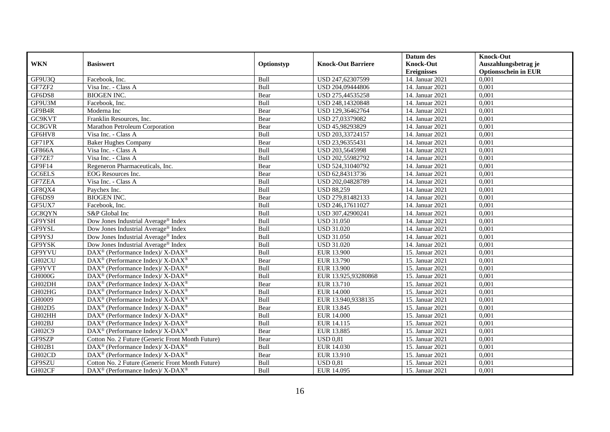|               |                                                              |             |                           | Datum des          | <b>Knock-Out</b>            |
|---------------|--------------------------------------------------------------|-------------|---------------------------|--------------------|-----------------------------|
| <b>WKN</b>    | <b>Basiswert</b>                                             | Optionstyp  | <b>Knock-Out Barriere</b> | <b>Knock-Out</b>   | Auszahlungsbetrag je        |
|               |                                                              |             |                           | <b>Ereignisses</b> | <b>Optionsschein in EUR</b> |
| GF9U3Q        | Facebook, Inc.                                               | Bull        | USD 247,62307599          | 14. Januar 2021    | 0,001                       |
| GF7ZF2        | Visa Inc. - Class A                                          | Bull        | USD 204,09444806          | 14. Januar 2021    | 0,001                       |
| GF6DS8        | <b>BIOGEN INC.</b>                                           | Bear        | USD 275,44535258          | 14. Januar 2021    | 0,001                       |
| GF9U3M        | Facebook, Inc.                                               | Bull        | USD 248,14320848          | 14. Januar 2021    | 0,001                       |
| GF9B4R        | Moderna Inc                                                  | Bear        | USD 129,36462764          | 14. Januar 2021    | 0,001                       |
| GC9KVT        | Franklin Resources, Inc.                                     | Bear        | USD 27,03379082           | 14. Januar 2021    | 0,001                       |
| GC8GVR        | Marathon Petroleum Corporation                               | Bear        | USD 45,98293829           | 14. Januar 2021    | 0,001                       |
| GF6HV8        | Visa Inc. - Class A                                          | Bull        | USD 203,33724157          | 14. Januar 2021    | 0,001                       |
| GF71PX        | <b>Baker Hughes Company</b>                                  | Bear        | USD 23,96355431           | 14. Januar 2021    | 0,001                       |
| <b>GF866A</b> | Visa Inc. - Class A                                          | Bull        | USD 203,5645998           | 14. Januar 2021    | 0,001                       |
| GF7ZE7        | Visa Inc. - Class A                                          | Bull        | USD 202,55982792          | 14. Januar 2021    | 0,001                       |
| GF9F14        | Regeneron Pharmaceuticals, Inc.                              | Bear        | USD 524,31040792          | 14. Januar 2021    | 0,001                       |
| GC6ELS        | EOG Resources Inc.                                           | Bear        | USD 62,84313736           | 14. Januar 2021    | 0,001                       |
| <b>GF7ZEA</b> | Visa Inc. - Class A                                          | Bull        | USD 202,04828789          | 14. Januar 2021    | 0,001                       |
| GF8QX4        | Paychex Inc.                                                 | Bull        | <b>USD 88,259</b>         | 14. Januar 2021    | 0,001                       |
| GF6DS9        | <b>BIOGEN INC.</b>                                           | Bear        | USD 279,81482133          | 14. Januar 2021    | 0,001                       |
| GF5UX7        | Facebook, Inc.                                               | Bull        | USD 246,17611027          | 14. Januar 2021    | 0,001                       |
| GC8QYN        | S&P Global Inc                                               | Bull        | USD 307,42900241          | 14. Januar 2021    | 0,001                       |
| GF9YSH        | Dow Jones Industrial Average® Index                          | Bull        | <b>USD 31.050</b>         | 14. Januar 2021    | 0,001                       |
| GF9YSL        | Dow Jones Industrial Average <sup>®</sup> Index              | Bull        | <b>USD 31.020</b>         | 14. Januar 2021    | 0,001                       |
| GF9YSJ        | Dow Jones Industrial Average <sup>®</sup> Index              | Bull        | <b>USD 31.050</b>         | 14. Januar 2021    | 0,001                       |
| GF9YSK        | Dow Jones Industrial Average <sup>®</sup> Index              | Bull        | <b>USD 31.020</b>         | 14. Januar 2021    | 0.001                       |
| GF9YVU        | DAX <sup>®</sup> (Performance Index)/ X-DAX <sup>®</sup>     | Bull        | <b>EUR 13.900</b>         | 15. Januar 2021    | 0,001                       |
| GH02CU        | DAX <sup>®</sup> (Performance Index)/ X-DAX <sup>®</sup>     | Bear        | EUR 13.790                | 15. Januar 2021    | 0,001                       |
| GF9YVT        | DAX <sup>®</sup> (Performance Index)/ X-DAX <sup>®</sup>     | Bull        | <b>EUR 13.900</b>         | 15. Januar 2021    | 0,001                       |
| GH000G        | $DAX^{\circledast}$ (Performance Index)/ X-DAX <sup>®</sup>  | Bull        | EUR 13.925,93280868       | 15. Januar 2021    | 0,001                       |
| GH02DH        | DAX <sup>®</sup> (Performance Index)/ X-DAX <sup>®</sup>     | Bear        | EUR 13.710                | 15. Januar 2021    | 0,001                       |
| GHO2HG        | $DAX^{\circledast}$ (Performance Index)/ X-DAX <sup>®</sup>  | Bull        | <b>EUR 14.000</b>         | 15. Januar 2021    | 0,001                       |
| GH0009        | DAX <sup>®</sup> (Performance Index)/ X-DAX <sup>®</sup>     | Bull        | EUR 13.940,9338135        | 15. Januar 2021    | 0,001                       |
| GH02D5        | $DAX^{\circledcirc}$ (Performance Index)/ X-DAX <sup>®</sup> | Bear        | EUR 13.845                | 15. Januar 2021    | 0.001                       |
| GH02HH        | DAX <sup>®</sup> (Performance Index)/ X-DAX <sup>®</sup>     | Bull        | <b>EUR 14.000</b>         | 15. Januar 2021    | 0,001                       |
| GH02BJ        | DAX <sup>®</sup> (Performance Index)/ X-DAX <sup>®</sup>     | <b>Bull</b> | EUR 14.115                | 15. Januar 2021    | 0,001                       |
| GH02C9        | DAX <sup>®</sup> (Performance Index)/ X-DAX <sup>®</sup>     | Bear        | <b>EUR 13.885</b>         | 15. Januar 2021    | 0,001                       |
| GF9SZP        | Cotton No. 2 Future (Generic Front Month Future)             | Bear        | <b>USD 0.81</b>           | 15. Januar 2021    | 0,001                       |
| GH02B1        | DAX <sup>®</sup> (Performance Index)/ X-DAX <sup>®</sup>     | Bull        | EUR 14.030                | 15. Januar 2021    | 0,001                       |
| GH02CD        | $DAX^{\circledast}$ (Performance Index)/ X-DAX <sup>®</sup>  | Bear        | EUR 13.910                | 15. Januar 2021    | 0,001                       |
| GF9SZU        | Cotton No. 2 Future (Generic Front Month Future)             | Bull        | <b>USD 0,81</b>           | 15. Januar 2021    | 0,001                       |
| GH02CF        | $DAX^{\circledast}$ (Performance Index)/ X-DAX <sup>®</sup>  | Bull        | EUR 14.095                | 15. Januar 2021    | 0,001                       |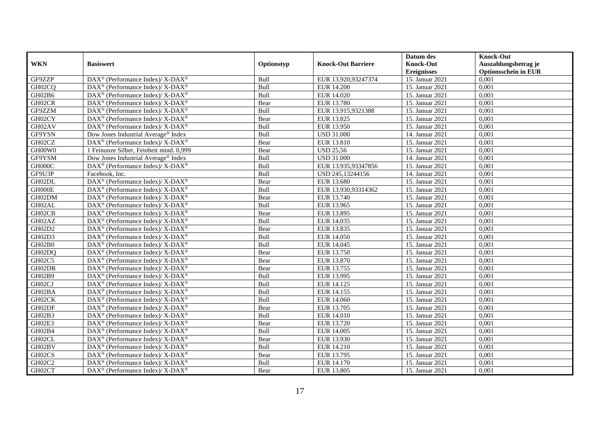|            |                                                              |            |                           | Datum des          | <b>Knock-Out</b>            |
|------------|--------------------------------------------------------------|------------|---------------------------|--------------------|-----------------------------|
| <b>WKN</b> | <b>Basiswert</b>                                             | Optionstyp | <b>Knock-Out Barriere</b> | <b>Knock-Out</b>   | Auszahlungsbetrag je        |
|            |                                                              |            |                           | <b>Ereignisses</b> | <b>Optionsschein in EUR</b> |
| GF9ZZP     | DAX <sup>®</sup> (Performance Index)/ X-DAX <sup>®</sup>     | Bull       | EUR 13.920,93247374       | 15. Januar 2021    | 0,001                       |
| GH02CQ     | DAX <sup>®</sup> (Performance Index)/ X-DAX <sup>®</sup>     | Bull       | <b>EUR 14.200</b>         | 15. Januar 2021    | 0,001                       |
| GH02B6     | $DAX^{\circledcirc}$ (Performance Index)/ X-DAX <sup>®</sup> | Bull       | EUR 14.020                | 15. Januar 2021    | 0,001                       |
| GH02CR     | DAX <sup>®</sup> (Performance Index)/ X-DAX <sup>®</sup>     | Bear       | EUR 13.780                | 15. Januar 2021    | 0,001                       |
| GF9ZZM     | DAX <sup>®</sup> (Performance Index)/ X-DAX <sup>®</sup>     | Bull       | EUR 13.915,9321388        | 15. Januar 2021    | 0,001                       |
| GH02CY     | DAX <sup>®</sup> (Performance Index)/ X-DAX <sup>®</sup>     | Bear       | EUR 13.825                | 15. Januar 2021    | 0,001                       |
| GH02AV     | $DAX^{\circledast}$ (Performance Index)/ X-DAX <sup>®</sup>  | Bull       | EUR 13.950                | 15. Januar 2021    | 0,001                       |
| GF9YSN     | Dow Jones Industrial Average® Index                          | Bull       | <b>USD 31.000</b>         | 14. Januar 2021    | 0,001                       |
| GH02CZ     | $DAX^{\circledcirc}$ (Performance Index)/ X-DAX <sup>®</sup> | Bear       | EUR 13.810                | 15. Januar 2021    | 0.001                       |
| GH00W0     | 1 Feinunze Silber, Feinheit mind. 0,999                      | Bear       | <b>USD 25,56</b>          | 15. Januar 2021    | 0,001                       |
| GF9YSM     | Dow Jones Industrial Average <sup>®</sup> Index              | Bull       | <b>USD 31.000</b>         | 14. Januar 2021    | 0,001                       |
| GH000C     | DAX <sup>®</sup> (Performance Index)/ X-DAX <sup>®</sup>     | Bull       | EUR 13.935,93347856       | 15. Januar 2021    | 0,001                       |
| GF9U3P     | Facebook. Inc.                                               | Bull       | USD 245,13244156          | 14. Januar 2021    | 0,001                       |
| GH02DL     | DAX <sup>®</sup> (Performance Index)/ X-DAX <sup>®</sup>     | Bear       | EUR 13.680                | 15. Januar 2021    | 0,001                       |
| GH000E     | $DAX^{\circledast}$ (Performance Index)/ X-DAX <sup>®</sup>  | Bull       | EUR 13.930,93314362       | 15. Januar 2021    | 0,001                       |
| GH02DM     | DAX <sup>®</sup> (Performance Index)/ X-DAX <sup>®</sup>     | Bear       | EUR 13.740                | 15. Januar 2021    | 0,001                       |
| GH02AL     | DAX <sup>®</sup> (Performance Index)/ X-DAX <sup>®</sup>     | Bull       | EUR 13.965                | 15. Januar 2021    | 0,001                       |
| GH02CB     | DAX <sup>®</sup> (Performance Index)/ X-DAX <sup>®</sup>     | Bear       | EUR 13.895                | 15. Januar 2021    | 0,001                       |
| GH02AZ     | DAX <sup>®</sup> (Performance Index)/ X-DAX <sup>®</sup>     | Bull       | EUR 14.035                | 15. Januar 2021    | 0,001                       |
| GH02D2     | DAX <sup>®</sup> (Performance Index)/ X-DAX <sup>®</sup>     | Bear       | EUR 13.835                | 15. Januar 2021    | 0,001                       |
| GH02D3     | DAX <sup>®</sup> (Performance Index)/ X-DAX <sup>®</sup>     | Bull       | EUR 14.050                | 15. Januar 2021    | 0,001                       |
| GH02B0     | DAX <sup>®</sup> (Performance Index)/ X-DAX <sup>®</sup>     | Bull       | EUR 14.045                | 15. Januar 2021    | 0,001                       |
| GH02DQ     | DAX <sup>®</sup> (Performance Index)/ X-DAX <sup>®</sup>     | Bear       | EUR 13.750                | 15. Januar 2021    | 0,001                       |
| GH02C5     | DAX <sup>®</sup> (Performance Index)/ X-DAX <sup>®</sup>     | Bear       | EUR 13.870                | 15. Januar 2021    | 0,001                       |
| GH02DR     | DAX <sup>®</sup> (Performance Index)/ X-DAX <sup>®</sup>     | Bear       | EUR 13.755                | 15. Januar 2021    | 0,001                       |
| GH02B9     | DAX <sup>®</sup> (Performance Index)/ X-DAX <sup>®</sup>     | Bull       | EUR 13.995                | 15. Januar 2021    | 0,001                       |
| GH02CJ     | DAX <sup>®</sup> (Performance Index)/ X-DAX <sup>®</sup>     | Bull       | EUR 14.125                | 15. Januar 2021    | 0.001                       |
| GH02BA     | DAX <sup>®</sup> (Performance Index)/ X-DAX <sup>®</sup>     | Bull       | EUR 14.155                | 15. Januar 2021    | 0,001                       |
| GH02CK     | DAX <sup>®</sup> (Performance Index)/ X-DAX <sup>®</sup>     | Bull       | EUR 14.060                | 15. Januar 2021    | 0,001                       |
| GH02DF     | DAX <sup>®</sup> (Performance Index)/ X-DAX <sup>®</sup>     | Bear       | EUR 13.705                | 15. Januar 2021    | 0,001                       |
| GH02B3     | $DAX^{\circledast}$ (Performance Index)/ X-DAX <sup>®</sup>  | Bull       | EUR 14.010                | 15. Januar 2021    | 0,001                       |
| GH02E3     | $DAX^{\circledast}$ (Performance Index)/ X-DAX <sup>®</sup>  | Bear       | EUR 13.720                | 15. Januar 2021    | 0,001                       |
| GH02B4     | DAX <sup>®</sup> (Performance Index)/ X-DAX <sup>®</sup>     | Bull       | <b>EUR 14.005</b>         | 15. Januar 2021    | 0,001                       |
| GH02CL     | DAX <sup>®</sup> (Performance Index)/ X-DAX <sup>®</sup>     | Bear       | EUR 13.930                | 15. Januar 2021    | 0,001                       |
| GH02BV     | DAX <sup>®</sup> (Performance Index)/ X-DAX <sup>®</sup>     | Bull       | EUR 14.210                | 15. Januar 2021    | 0,001                       |
| GH02CS     | DAX <sup>®</sup> (Performance Index)/ X-DAX <sup>®</sup>     | Bear       | EUR 13.795                | 15. Januar 2021    | 0,001                       |
| GH02C2     | DAX <sup>®</sup> (Performance Index)/ X-DAX <sup>®</sup>     | Bull       | EUR 14.170                | 15. Januar 2021    | 0,001                       |
| GH02CT     | DAX <sup>®</sup> (Performance Index)/ X-DAX <sup>®</sup>     | Bear       | EUR 13.805                | 15. Januar 2021    | 0,001                       |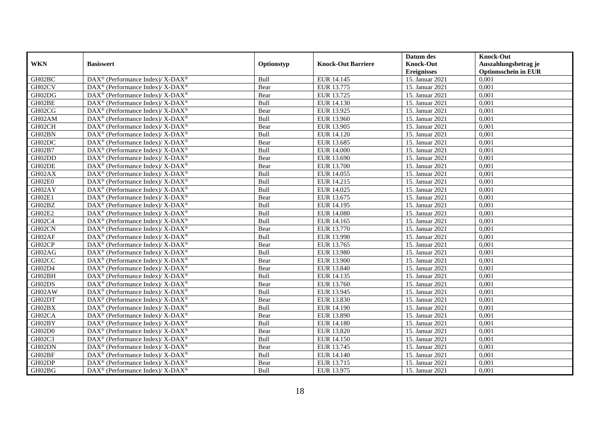|            |                                                                          |            |                           | Datum des          | <b>Knock-Out</b>            |
|------------|--------------------------------------------------------------------------|------------|---------------------------|--------------------|-----------------------------|
| <b>WKN</b> | <b>Basiswert</b>                                                         | Optionstyp | <b>Knock-Out Barriere</b> | <b>Knock-Out</b>   | Auszahlungsbetrag je        |
|            |                                                                          |            |                           | <b>Ereignisses</b> | <b>Optionsschein in EUR</b> |
| GH02BC     | DAX <sup>®</sup> (Performance Index)/ X-DAX <sup>®</sup>                 | Bull       | <b>EUR 14.145</b>         | 15. Januar 2021    | 0,001                       |
| GH02CV     | DAX <sup>®</sup> (Performance Index)/ X-DAX <sup>®</sup>                 | Bear       | EUR 13.775                | 15. Januar 2021    | 0,001                       |
| GH02DG     | $\overline{\text{DAX}^{\otimes}}$ (Performance Index)/X-DAX <sup>®</sup> | Bear       | EUR 13.725                | 15. Januar 2021    | 0,001                       |
| GH02BE     | DAX <sup>®</sup> (Performance Index)/ X-DAX <sup>®</sup>                 | Bull       | EUR 14.130                | 15. Januar 2021    | 0,001                       |
| GH02CG     | DAX <sup>®</sup> (Performance Index)/ X-DAX <sup>®</sup>                 | Bear       | EUR 13.925                | 15. Januar 2021    | 0,001                       |
| GH02AM     | DAX <sup>®</sup> (Performance Index)/ X-DAX <sup>®</sup>                 | Bull       | EUR 13.960                | 15. Januar 2021    | 0,001                       |
| GH02CH     | DAX <sup>®</sup> (Performance Index)/ X-DAX <sup>®</sup>                 | Bear       | EUR 13.905                | 15. Januar 2021    | 0,001                       |
| GH02BN     | DAX <sup>®</sup> (Performance Index)/ X-DAX <sup>®</sup>                 | Bull       | EUR 14.120                | 15. Januar 2021    | 0,001                       |
| GH02DC     | DAX <sup>®</sup> (Performance Index)/ X-DAX <sup>®</sup>                 | Bear       | EUR 13.685                | 15. Januar 2021    | 0.001                       |
| GH02B7     | DAX <sup>®</sup> (Performance Index)/ X-DAX <sup>®</sup>                 | Bull       | <b>EUR 14.000</b>         | 15. Januar 2021    | 0,001                       |
| GH02DD     | DAX <sup>®</sup> (Performance Index)/ X-DAX <sup>®</sup>                 | Bear       | EUR 13.690                | 15. Januar 2021    | 0,001                       |
| GH02DE     | DAX <sup>®</sup> (Performance Index)/ X-DAX <sup>®</sup>                 | Bear       | EUR 13.700                | 15. Januar 2021    | 0,001                       |
| GH02AX     | DAX <sup>®</sup> (Performance Index)/ X-DAX <sup>®</sup>                 | Bull       | EUR 14.055                | 15. Januar 2021    | 0,001                       |
| GH02E0     | DAX <sup>®</sup> (Performance Index)/ X-DAX <sup>®</sup>                 | Bull       | EUR 14.215                | 15. Januar 2021    | 0,001                       |
| GH02AY     | DAX <sup>®</sup> (Performance Index)/ X-DAX <sup>®</sup>                 | Bull       | EUR 14.025                | 15. Januar 2021    | 0,001                       |
| GH02E1     | DAX <sup>®</sup> (Performance Index)/ X-DAX <sup>®</sup>                 | Bear       | EUR 13.675                | 15. Januar 2021    | 0,001                       |
| GH02BZ     | DAX <sup>®</sup> (Performance Index)/ X-DAX <sup>®</sup>                 | Bull       | EUR 14.195                | 15. Januar 2021    | 0,001                       |
| GH02E2     | DAX <sup>®</sup> (Performance Index)/ X-DAX <sup>®</sup>                 | Bull       | <b>EUR 14.080</b>         | 15. Januar 2021    | 0,001                       |
| GH02C4     | DAX <sup>®</sup> (Performance Index)/ X-DAX <sup>®</sup>                 | Bull       | EUR 14.165                | 15. Januar 2021    | 0,001                       |
| GH02CN     | DAX <sup>®</sup> (Performance Index)/ X-DAX <sup>®</sup>                 | Bear       | EUR 13.770                | 15. Januar 2021    | 0,001                       |
| GH02AF     | DAX <sup>®</sup> (Performance Index)/ X-DAX <sup>®</sup>                 | Bull       | EUR 13.990                | 15. Januar 2021    | 0,001                       |
| GH02CP     | DAX <sup>®</sup> (Performance Index)/ X-DAX <sup>®</sup>                 | Bear       | EUR 13.765                | 15. Januar 2021    | 0,001                       |
| GH02AG     | DAX <sup>®</sup> (Performance Index)/ X-DAX <sup>®</sup>                 | Bull       | EUR 13.980                | 15. Januar 2021    | 0,001                       |
| GH02CC     | DAX <sup>®</sup> (Performance Index)/ X-DAX <sup>®</sup>                 | Bear       | EUR 13.900                | 15. Januar 2021    | 0,001                       |
| GH02D4     | DAX <sup>®</sup> (Performance Index)/ X-DAX <sup>®</sup>                 | Bear       | EUR 13.840                | 15. Januar 2021    | 0,001                       |
| GH02BH     | DAX <sup>®</sup> (Performance Index)/ X-DAX <sup>®</sup>                 | Bull       | EUR 14.135                | 15. Januar 2021    | 0,001                       |
| GH02DS     | DAX <sup>®</sup> (Performance Index)/ X-DAX <sup>®</sup>                 | Bear       | EUR 13.760                | 15. Januar 2021    | 0.001                       |
| GH02AW     | DAX <sup>®</sup> (Performance Index)/ X-DAX <sup>®</sup>                 | Bull       | EUR 13.945                | 15. Januar 2021    | 0,001                       |
| GH02DT     | DAX <sup>®</sup> (Performance Index)/ X-DAX <sup>®</sup>                 | Bear       | EUR 13.830                | 15. Januar 2021    | 0,001                       |
| GH02BX     | DAX <sup>®</sup> (Performance Index)/ X-DAX <sup>®</sup>                 | Bull       | EUR 14.190                | 15. Januar 2021    | 0,001                       |
| GH02CA     | $DAX^{\circledast}$ (Performance Index)/ X-DAX <sup>®</sup>              | Bear       | EUR 13.890                | 15. Januar 2021    | 0,001                       |
| GH02BY     | $DAX^{\circledast}$ (Performance Index)/ X-DAX <sup>®</sup>              | Bull       | EUR 14.180                | 15. Januar 2021    | 0,001                       |
| GH02D0     | DAX <sup>®</sup> (Performance Index)/ X-DAX <sup>®</sup>                 | Bear       | <b>EUR 13.820</b>         | 15. Januar 2021    | 0,001                       |
| GH02C3     | DAX <sup>®</sup> (Performance Index)/ X-DAX <sup>®</sup>                 | Bull       | EUR 14.150                | 15. Januar 2021    | 0,001                       |
| GH02DN     | DAX <sup>®</sup> (Performance Index)/ X-DAX <sup>®</sup>                 | Bear       | EUR 13.745                | 15. Januar 2021    | 0,001                       |
| GH02BF     | DAX <sup>®</sup> (Performance Index)/ X-DAX <sup>®</sup>                 | Bull       | EUR 14.140                | 15. Januar 2021    | 0,001                       |
| GH02DP     | DAX <sup>®</sup> (Performance Index)/ X-DAX <sup>®</sup>                 | Bear       | EUR 13.715                | 15. Januar 2021    | 0,001                       |
| GH02BG     | DAX <sup>®</sup> (Performance Index)/ X-DAX <sup>®</sup>                 | Bull       | EUR 13.975                | 15. Januar 2021    | 0,001                       |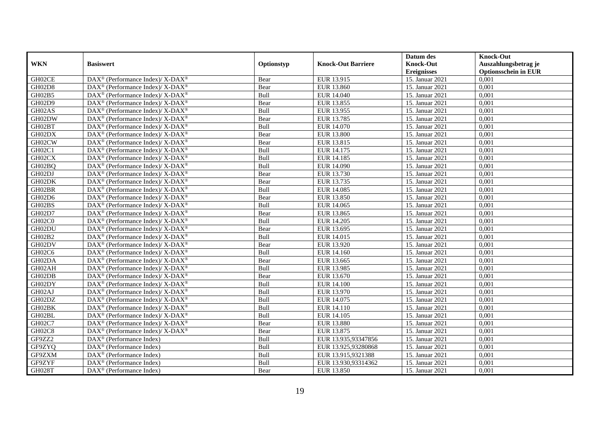|               |                                                                          |            |                           | Datum des          | <b>Knock-Out</b>            |
|---------------|--------------------------------------------------------------------------|------------|---------------------------|--------------------|-----------------------------|
| <b>WKN</b>    | <b>Basiswert</b>                                                         | Optionstyp | <b>Knock-Out Barriere</b> | <b>Knock-Out</b>   | Auszahlungsbetrag je        |
|               |                                                                          |            |                           | <b>Ereignisses</b> | <b>Optionsschein in EUR</b> |
| GH02CE        | DAX <sup>®</sup> (Performance Index)/ X-DAX <sup>®</sup>                 | Bear       | EUR 13.915                | 15. Januar 2021    | 0,001                       |
| GH02D8        | DAX <sup>®</sup> (Performance Index)/ X-DAX <sup>®</sup>                 | Bear       | EUR 13.860                | 15. Januar 2021    | 0,001                       |
| GH02B5        | DAX <sup>®</sup> (Performance Index)/ X-DAX <sup>®</sup>                 | Bull       | EUR 14.040                | 15. Januar 2021    | 0,001                       |
| GH02D9        | DAX <sup>®</sup> (Performance Index)/ X-DAX <sup>®</sup>                 | Bear       | EUR 13.855                | 15. Januar 2021    | 0,001                       |
| GH02AS        | DAX <sup>®</sup> (Performance Index)/ X-DAX <sup>®</sup>                 | Bull       | EUR 13.955                | 15. Januar 2021    | 0,001                       |
| GH02DW        | DAX <sup>®</sup> (Performance Index)/ X-DAX <sup>®</sup>                 | Bear       | EUR 13.785                | 15. Januar 2021    | 0,001                       |
| GH02BT        | DAX <sup>®</sup> (Performance Index)/ X-DAX <sup>®</sup>                 | Bull       | EUR 14.070                | 15. Januar 2021    | 0,001                       |
| GH02DX        | DAX <sup>®</sup> (Performance Index)/ X-DAX <sup>®</sup>                 | Bear       | <b>EUR 13.800</b>         | 15. Januar 2021    | 0,001                       |
| GH02CW        | DAX <sup>®</sup> (Performance Index)/ X-DAX <sup>®</sup>                 | Bear       | EUR 13.815                | 15. Januar 2021    | 0,001                       |
| GH02C1        | DAX <sup>®</sup> (Performance Index)/ X-DAX <sup>®</sup>                 | Bull       | EUR 14.175                | 15. Januar 2021    | 0,001                       |
| GH02CX        | $\overline{\text{DAX}^{\otimes}}$ (Performance Index)/X-DAX <sup>®</sup> | Bull       | EUR 14.185                | 15. Januar 2021    | 0.001                       |
| GH02BQ        | DAX <sup>®</sup> (Performance Index)/ X-DAX <sup>®</sup>                 | Bull       | EUR 14.090                | 15. Januar 2021    | 0,001                       |
| GH02DJ        | DAX <sup>®</sup> (Performance Index)/ X-DAX <sup>®</sup>                 | Bear       | EUR 13.730                | 15. Januar 2021    | 0,001                       |
| GH02DK        | DAX <sup>®</sup> (Performance Index)/ X-DAX <sup>®</sup>                 | Bear       | EUR 13.735                | 15. Januar 2021    | 0,001                       |
| GH02BR        | DAX <sup>®</sup> (Performance Index)/ X-DAX <sup>®</sup>                 | Bull       | EUR 14.085                | 15. Januar 2021    | 0,001                       |
| GH02D6        | DAX <sup>®</sup> (Performance Index)/ X-DAX <sup>®</sup>                 | Bear       | EUR 13.850                | 15. Januar 2021    | 0,001                       |
| GH02BS        | $DAX^{\circledast}$ (Performance Index)/ X-DAX <sup>®</sup>              | Bull       | EUR 14.065                | 15. Januar 2021    | 0,001                       |
| GH02D7        | $DAX^{\circledcirc}$ (Performance Index)/ X-DAX <sup>®</sup>             | Bear       | EUR 13.865                | 15. Januar 2021    | 0.001                       |
| GH02C0        | DAX <sup>®</sup> (Performance Index)/ X-DAX <sup>®</sup>                 | Bull       | EUR 14.205                | 15. Januar 2021    | 0,001                       |
| GH02DU        | DAX <sup>®</sup> (Performance Index)/ X-DAX <sup>®</sup>                 | Bear       | EUR 13.695                | 15. Januar 2021    | 0,001                       |
| GH02B2        | DAX <sup>®</sup> (Performance Index)/ X-DAX <sup>®</sup>                 | Bull       | EUR 14.015                | 15. Januar 2021    | 0.001                       |
| GH02DV        | DAX <sup>®</sup> (Performance Index)/ X-DAX <sup>®</sup>                 | Bear       | EUR 13.920                | 15. Januar 2021    | 0,001                       |
| GH02C6        | DAX <sup>®</sup> (Performance Index)/ X-DAX <sup>®</sup>                 | Bull       | EUR 14.160                | 15. Januar 2021    | 0,001                       |
| GH02DA        | DAX <sup>®</sup> (Performance Index)/ X-DAX <sup>®</sup>                 | Bear       | EUR 13.665                | 15. Januar 2021    | 0,001                       |
| GH02AH        | $\overline{\text{DAX}^{\otimes}}$ (Performance Index)/X-DAX <sup>®</sup> | Bull       | EUR 13.985                | 15. Januar 2021    | 0.001                       |
| GH02DB        | DAX <sup>®</sup> (Performance Index)/ X-DAX <sup>®</sup>                 | Bear       | EUR 13.670                | 15. Januar 2021    | 0,001                       |
| GH02DY        | DAX <sup>®</sup> (Performance Index)/ X-DAX <sup>®</sup>                 | Bull       | <b>EUR 14.100</b>         | 15. Januar 2021    | 0,001                       |
| GH02AJ        | DAX <sup>®</sup> (Performance Index)/ X-DAX <sup>®</sup>                 | Bull       | EUR 13.970                | 15. Januar 2021    | 0,001                       |
| GH02DZ        | DAX <sup>®</sup> (Performance Index)/ X-DAX <sup>®</sup>                 | Bull       | EUR 14.075                | 15. Januar 2021    | 0,001                       |
| GH02BK        | $DAX^{\circledast}$ (Performance Index)/ X-DAX <sup>®</sup>              | Bull       | EUR 14.110                | 15. Januar 2021    | 0,001                       |
| GH02BL        | DAX <sup>®</sup> (Performance Index)/ X-DAX <sup>®</sup>                 | Bull       | EUR 14.105                | 15. Januar 2021    | 0,001                       |
| GH02C7        | $\overline{\text{DAX}^{\otimes}}$ (Performance Index)/X-DAX <sup>®</sup> | Bear       | <b>EUR 13.880</b>         | 15. Januar 2021    | 0.001                       |
| GH02C8        | DAX <sup>®</sup> (Performance Index)/ X-DAX <sup>®</sup>                 | Bear       | EUR 13.875                | 15. Januar 2021    | 0,001                       |
| GF9ZZ2        | $\overline{\text{DAX}}^{\textcirc}$ (Performance Index)                  | Bull       | EUR 13.935,93347856       | 15. Januar 2021    | 0,001                       |
| GF9ZYQ        | $\text{DAX}^{\otimes}$ (Performance Index)                               | Bull       | EUR 13.925,93280868       | 15. Januar 2021    | 0,001                       |
| GF9ZXM        | $\text{DAX}^{\circledast}$ (Performance Index)                           | Bull       | EUR 13.915,9321388        | 15. Januar 2021    | 0,001                       |
| GF9ZYF        | $DAX^{\circledast}$ (Performance Index)                                  | Bull       | EUR 13.930,93314362       | 15. Januar 2021    | 0,001                       |
| <b>GH028T</b> | DAX <sup>®</sup> (Performance Index)                                     | Bear       | EUR 13.850                | 15. Januar 2021    | 0,001                       |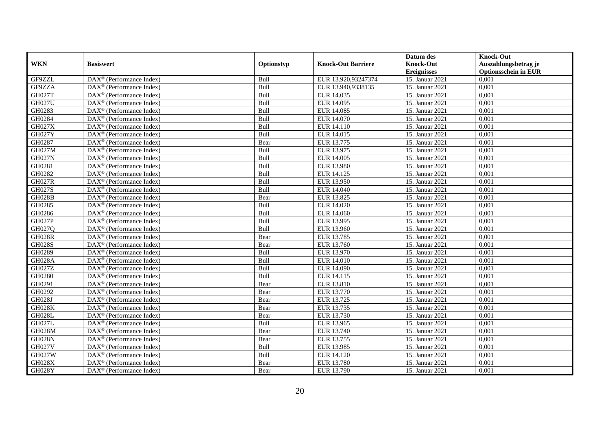|               |                                                       |             |                           | Datum des          | <b>Knock-Out</b>            |
|---------------|-------------------------------------------------------|-------------|---------------------------|--------------------|-----------------------------|
| <b>WKN</b>    | <b>Basiswert</b>                                      | Optionstyp  | <b>Knock-Out Barriere</b> | <b>Knock-Out</b>   | Auszahlungsbetrag je        |
|               |                                                       |             |                           | <b>Ereignisses</b> | <b>Optionsschein in EUR</b> |
| GF9ZZL        | DAX <sup>®</sup> (Performance Index)                  | Bull        | EUR 13.920,93247374       | 15. Januar 2021    | 0,001                       |
| GF9ZZA        | $DAX^{\circledast}$ (Performance Index)               | Bull        | EUR 13.940,9338135        | 15. Januar 2021    | 0,001                       |
| GH027T        | DAX <sup>®</sup> (Performance Index)                  | Bull        | EUR 14.035                | 15. Januar 2021    | 0,001                       |
| <b>GH027U</b> | DAX <sup>®</sup> (Performance Index)                  | Bull        | EUR 14.095                | 15. Januar 2021    | 0,001                       |
| GH0283        | DAX <sup>®</sup> (Performance Index)                  | Bull        | <b>EUR 14.085</b>         | 15. Januar 2021    | 0,001                       |
| GH0284        | $DAX^{\circledR}$ (Performance Index)                 | Bull        | EUR 14.070                | 15. Januar 2021    | 0,001                       |
| <b>GH027X</b> | $DAX^{\circledR}$ (Performance Index)                 | Bull        | EUR 14.110                | 15. Januar 2021    | 0,001                       |
| <b>GH027Y</b> | DAX <sup>®</sup> (Performance Index)                  | Bull        | EUR 14.015                | 15. Januar 2021    | 0,001                       |
| GH0287        | $DAX^{\circledast}$ (Performance Index)               | Bear        | EUR 13.775                | 15. Januar 2021    | 0,001                       |
| GH027M        | $DAX^{\circledast}$ (Performance Index)               | Bull        | EUR 13.975                | 15. Januar 2021    | 0,001                       |
| <b>GH027N</b> | $DAX^{\circledcirc}$ (Performance Index)              | Bull        | <b>EUR 14.005</b>         | 15. Januar 2021    | 0.001                       |
| GH0281        | DAX <sup>®</sup> (Performance Index)                  | Bull        | <b>EUR 13.980</b>         | 15. Januar 2021    | 0,001                       |
| GH0282        | DAX <sup>®</sup> (Performance Index)                  | Bull        | EUR 14.125                | 15. Januar 2021    | 0,001                       |
| <b>GH027R</b> | $DAX^{\circledR}$ (Performance Index)                 | Bull        | EUR 13.950                | 15. Januar 2021    | 0,001                       |
| GH027S        | $DAX^{\circledast}$ (Performance Index)               | Bull        | EUR 14.040                | 15. Januar 2021    | 0,001                       |
| <b>GH028B</b> | DAX <sup>®</sup> (Performance Index)                  | Bear        | EUR 13.825                | 15. Januar 2021    | 0,001                       |
| GH0285        | DAX <sup>®</sup> (Performance Index)                  | Bull        | EUR 14.020                | 15. Januar 2021    | 0,001                       |
| GH0286        | $DAX^{\circledcirc}$ (Performance Index)              | Bull        | EUR 14.060                | 15. Januar 2021    | 0.001                       |
| <b>GH027P</b> | DAX <sup>®</sup> (Performance Index)                  | Bull        | EUR 13.995                | 15. Januar 2021    | 0,001                       |
| GH027Q        | DAX <sup>®</sup> (Performance Index)                  | Bull        | EUR 13.960                | 15. Januar 2021    | 0,001                       |
| <b>GH028R</b> | DAX <sup>®</sup> (Performance Index)                  | Bear        | EUR 13.785                | 15. Januar 2021    | 0.001                       |
| <b>GH028S</b> | $\overline{\text{DAX}^{\otimes}}$ (Performance Index) | Bear        | EUR 13.760                | 15. Januar 2021    | 0,001                       |
| GH0289        | $DAX^{\circledast}$ (Performance Index)               | Bull        | EUR 13.970                | 15. Januar 2021    | 0,001                       |
| GH028A        | DAX <sup>®</sup> (Performance Index)                  | Bull        | EUR 14.010                | 15. Januar 2021    | 0,001                       |
| GH027Z        | $DAX^{\circledcirc}$ (Performance Index)              | Bull        | EUR 14.090                | 15. Januar 2021    | 0.001                       |
| GH0280        | $DAX^{\circledast}$ (Performance Index)               | Bull        | EUR 14.115                | 15. Januar 2021    | 0,001                       |
| GH0291        | DAX <sup>®</sup> (Performance Index)                  | Bear        | <b>EUR 13.810</b>         | 15. Januar 2021    | 0,001                       |
| GH0292        | $DAX^{\circledR}$ (Performance Index)                 | Bear        | EUR 13.770                | 15. Januar 2021    | 0,001                       |
| GH028J        | DAX <sup>®</sup> (Performance Index)                  | Bear        | EUR 13.725                | 15. Januar 2021    | 0,001                       |
| <b>GH028K</b> | $DAX^{\circledast}$ (Performance Index)               | Bear        | EUR 13.735                | 15. Januar 2021    | 0,001                       |
| <b>GH028L</b> | $DAX^{\circledast}$ (Performance Index)               | Bear        | EUR 13.730                | 15. Januar 2021    | 0,001                       |
| <b>GH027L</b> | $DAX^{\circledcirc}$ (Performance Index)              | <b>Bull</b> | EUR 13.965                | 15. Januar 2021    | 0.001                       |
| GH028M        | $DAX^{\circledR}$ (Performance Index)                 | Bear        | EUR 13.740                | 15. Januar 2021    | 0,001                       |
| <b>GH028N</b> | $\overline{\text{DAX}^{\otimes}}$ (Performance Index) | Bear        | EUR 13.755                | 15. Januar 2021    | 0,001                       |
| <b>GH027V</b> | DAX <sup>®</sup> (Performance Index)                  | Bull        | EUR 13.985                | 15. Januar 2021    | 0,001                       |
| <b>GH027W</b> | $DAX^{\circledcirc}$ (Performance Index)              | Bull        | EUR 14.120                | 15. Januar 2021    | 0,001                       |
| <b>GH028X</b> | $DAX^{\circledast}$ (Performance Index)               | Bear        | EUR 13.780                | 15. Januar 2021    | 0,001                       |
| <b>GH028Y</b> | DAX <sup>®</sup> (Performance Index)                  | Bear        | EUR 13.790                | 15. Januar 2021    | 0,001                       |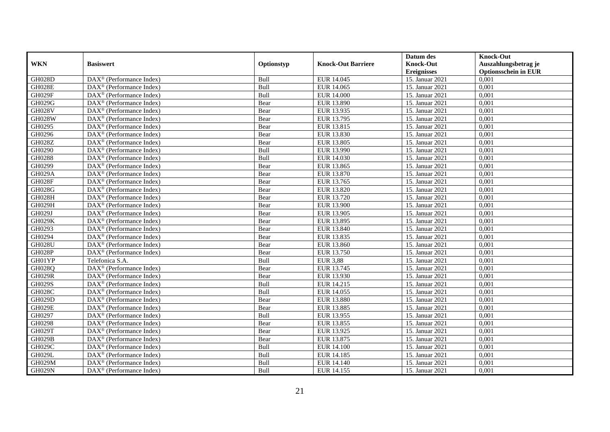|               |                                                       |            |                           | Datum des          | <b>Knock-Out</b>            |
|---------------|-------------------------------------------------------|------------|---------------------------|--------------------|-----------------------------|
| <b>WKN</b>    | <b>Basiswert</b>                                      | Optionstyp | <b>Knock-Out Barriere</b> | <b>Knock-Out</b>   | Auszahlungsbetrag je        |
|               |                                                       |            |                           | <b>Ereignisses</b> | <b>Optionsschein in EUR</b> |
| <b>GH028D</b> | DAX <sup>®</sup> (Performance Index)                  | Bull       | EUR 14.045                | 15. Januar 2021    | 0,001                       |
| GH028E        | $DAX^{\circledast}$ (Performance Index)               | Bull       | EUR 14.065                | 15. Januar 2021    | 0,001                       |
| GH029F        | DAX <sup>®</sup> (Performance Index)                  | Bull       | <b>EUR 14.000</b>         | 15. Januar 2021    | 0,001                       |
| GH029G        | DAX <sup>®</sup> (Performance Index)                  | Bear       | EUR 13.890                | 15. Januar 2021    | 0,001                       |
| <b>GH028V</b> | DAX <sup>®</sup> (Performance Index)                  | Bear       | EUR 13.935                | 15. Januar 2021    | 0,001                       |
| <b>GH028W</b> | $DAX^{\circledR}$ (Performance Index)                 | Bear       | EUR 13.795                | 15. Januar 2021    | 0,001                       |
| GH0295        | $DAX^{\circledR}$ (Performance Index)                 | Bear       | EUR 13.815                | 15. Januar 2021    | 0,001                       |
| GH0296        | DAX <sup>®</sup> (Performance Index)                  | Bear       | EUR 13.830                | 15. Januar 2021    | 0,001                       |
| GH028Z        | $DAX^{\circledast}$ (Performance Index)               | Bear       | EUR 13.805                | 15. Januar 2021    | 0,001                       |
| GH0290        | $DAX^{\circledast}$ (Performance Index)               | Bull       | EUR 13.990                | 15. Januar 2021    | 0,001                       |
| GH0288        | $DAX^{\circledcirc}$ (Performance Index)              | Bull       | EUR 14.030                | 15. Januar 2021    | 0.001                       |
| GH0299        | $DAX^{\circledR}$ (Performance Index)                 | Bear       | EUR 13.865                | 15. Januar 2021    | 0,001                       |
| GH029A        | DAX <sup>®</sup> (Performance Index)                  | Bear       | EUR 13.870                | 15. Januar 2021    | 0,001                       |
| GH028F        | $DAX^{\circledR}$ (Performance Index)                 | Bear       | EUR 13.765                | 15. Januar 2021    | 0,001                       |
| GH028G        | $DAX^{\circledast}$ (Performance Index)               | Bear       | EUR 13.820                | 15. Januar 2021    | 0,001                       |
| GH028H        | DAX <sup>®</sup> (Performance Index)                  | Bear       | EUR 13.720                | 15. Januar 2021    | 0,001                       |
| GH029H        | DAX <sup>®</sup> (Performance Index)                  | Bear       | <b>EUR 13.900</b>         | 15. Januar 2021    | 0,001                       |
| GH029J        | $DAX^{\circledcirc}$ (Performance Index)              | Bear       | EUR 13.905                | 15. Januar 2021    | 0.001                       |
| GH029K        | DAX <sup>®</sup> (Performance Index)                  | Bear       | EUR 13.895                | 15. Januar 2021    | 0,001                       |
| GH0293        | DAX <sup>®</sup> (Performance Index)                  | Bear       | EUR 13.840                | 15. Januar 2021    | 0,001                       |
| GH0294        | $DAX^{\circledR}$ (Performance Index)                 | Bear       | EUR 13.835                | 15. Januar 2021    | 0.001                       |
| <b>GH028U</b> | $\overline{\text{DAX}^{\otimes}}$ (Performance Index) | Bear       | EUR 13.860                | 15. Januar 2021    | 0,001                       |
| GH028P        | $DAX^{\circledast}$ (Performance Index)               | Bear       | EUR 13.750                | 15. Januar 2021    | 0,001                       |
| GH01YP        | Telefonica S.A.                                       | Bull       | <b>EUR 3,88</b>           | 15. Januar 2021    | 0,001                       |
| GH028Q        | $DAX^{\circledcirc}$ (Performance Index)              | Bear       | EUR 13.745                | 15. Januar 2021    | 0.001                       |
| <b>GH029R</b> | $DAX^{\circledast}$ (Performance Index)               | Bear       | EUR 13.930                | 15. Januar 2021    | 0,001                       |
| <b>GH029S</b> | $DAX^{\circledR}$ (Performance Index)                 | Bull       | EUR 14.215                | 15. Januar 2021    | 0,001                       |
| <b>GH028C</b> | $DAX^{\circledR}$ (Performance Index)                 | Bull       | EUR 14.055                | 15. Januar 2021    | 0,001                       |
| <b>GH029D</b> | $DAX^{\circledast}$ (Performance Index)               | Bear       | <b>EUR 13.880</b>         | 15. Januar 2021    | 0,001                       |
| GH029E        | $DAX^{\circledast}$ (Performance Index)               | Bear       | EUR 13.885                | 15. Januar 2021    | 0,001                       |
| GH0297        | $DAX^{\circledast}$ (Performance Index)               | Bull       | EUR 13.955                | 15. Januar 2021    | 0,001                       |
| GH0298        | $DAX^{\circledcirc}$ (Performance Index)              | Bear       | EUR 13.855                | 15. Januar 2021    | 0.001                       |
| GH029T        | $DAX^{\circledR}$ (Performance Index)                 | Bear       | EUR 13.925                | 15. Januar 2021    | 0,001                       |
| <b>GH029B</b> | $\overline{\text{DAX}^{\otimes}}$ (Performance Index) | Bear       | EUR 13.875                | 15. Januar 2021    | 0,001                       |
| GH029C        | DAX <sup>®</sup> (Performance Index)                  | Bull       | <b>EUR 14.100</b>         | 15. Januar 2021    | 0,001                       |
| <b>GH029L</b> | $DAX^{\circledcirc}$ (Performance Index)              | Bull       | EUR 14.185                | 15. Januar 2021    | 0,001                       |
| GH029M        | $DAX^{\circledast}$ (Performance Index)               | Bull       | EUR 14.140                | 15. Januar 2021    | 0,001                       |
| <b>GH029N</b> | DAX <sup>®</sup> (Performance Index)                  | Bull       | EUR 14.155                | 15. Januar 2021    | 0,001                       |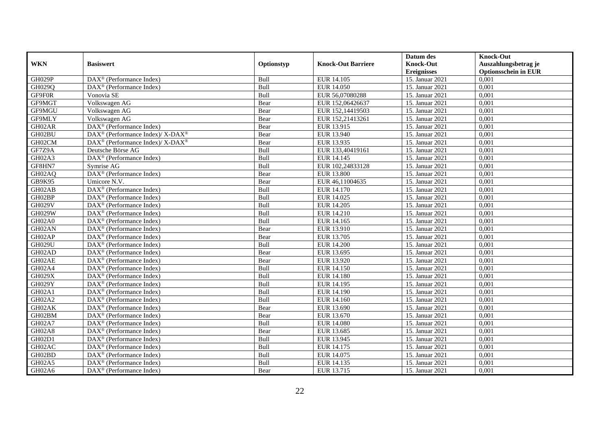|               |                                                          |             |                           | Datum des          | <b>Knock-Out</b>            |
|---------------|----------------------------------------------------------|-------------|---------------------------|--------------------|-----------------------------|
| <b>WKN</b>    | <b>Basiswert</b>                                         | Optionstyp  | <b>Knock-Out Barriere</b> | <b>Knock-Out</b>   | Auszahlungsbetrag je        |
|               |                                                          |             |                           | <b>Ereignisses</b> | <b>Optionsschein in EUR</b> |
| GH029P        | DAX <sup>®</sup> (Performance Index)                     | Bull        | EUR 14.105                | 15. Januar 2021    | 0,001                       |
| GH029Q        | DAX <sup>®</sup> (Performance Index)                     | Bull        | EUR 14.050                | 15. Januar 2021    | 0,001                       |
| GF9F0R        | Vonovia SE                                               | Bull        | EUR 56,07080288           | 15. Januar 2021    | 0,001                       |
| GF9MGT        | Volkswagen AG                                            | Bear        | EUR 152,06426637          | 15. Januar 2021    | 0.001                       |
| GF9MGU        | Volkswagen AG                                            | Bear        | EUR 152,14419503          | 15. Januar 2021    | 0,001                       |
| GF9MLY        | Volkswagen AG                                            | Bear        | EUR 152,21413261          | 15. Januar 2021    | 0,001                       |
| GH02AR        | $DAX^{\circledR}$ (Performance Index)                    | Bear        | EUR 13.915                | 15. Januar 2021    | 0,001                       |
| GH02BU        | DAX <sup>®</sup> (Performance Index)/ X-DAX <sup>®</sup> | Bear        | <b>EUR 13.940</b>         | 15. Januar 2021    | 0,001                       |
| GH02CM        | DAX <sup>®</sup> (Performance Index)/ X-DAX <sup>®</sup> | Bear        | EUR 13.935                | 15. Januar 2021    | 0,001                       |
| GF7Z9A        | Deutsche Börse AG                                        | Bull        | EUR 133,40419161          | 15. Januar 2021    | 0,001                       |
| GH02A3        | $DAX^{\circledast}$ (Performance Index)                  | Bull        | EUR 14.145                | 15. Januar 2021    | 0.001                       |
| GF8HN7        | Symrise AG                                               | Bull        | EUR 102,24833128          | 15. Januar 2021    | 0,001                       |
| GH02AQ        | DAX <sup>®</sup> (Performance Index)                     | Bear        | <b>EUR 13.800</b>         | 15. Januar 2021    | 0,001                       |
| GB9K95        | Umicore N.V.                                             | Bear        | EUR 46,11004635           | 15. Januar 2021    | 0,001                       |
| GH02AB        | DAX <sup>®</sup> (Performance Index)                     | Bull        | EUR 14.170                | 15. Januar 2021    | 0,001                       |
| GH02BP        | DAX <sup>®</sup> (Performance Index)                     | Bull        | EUR 14.025                | 15. Januar 2021    | 0,001                       |
| <b>GH029V</b> | DAX <sup>®</sup> (Performance Index)                     | Bull        | EUR 14.205                | 15. Januar 2021    | 0,001                       |
| <b>GH029W</b> | $DAX^{\circledcirc}$ (Performance Index)                 | <b>Bull</b> | EUR 14.210                | 15. Januar 2021    | 0.001                       |
| GH02A0        | DAX <sup>®</sup> (Performance Index)                     | Bull        | EUR 14.165                | 15. Januar 2021    | 0,001                       |
| GH02AN        | DAX <sup>®</sup> (Performance Index)                     | Bear        | EUR 13.910                | 15. Januar 2021    | 0,001                       |
| GH02AP        | $DAX^{\circledR}$ (Performance Index)                    | Bear        | EUR 13.705                | 15. Januar 2021    | 0,001                       |
| GH029U        | $\overline{\text{DAX}^{\otimes}}$ (Performance Index)    | Bull        | <b>EUR 14.200</b>         | 15. Januar 2021    | 0,001                       |
| GH02AD        | $DAX^{\circledast}$ (Performance Index)                  | Bear        | EUR 13.695                | 15. Januar 2021    | 0,001                       |
| GH02AE        | DAX <sup>®</sup> (Performance Index)                     | Bear        | EUR 13.920                | 15. Januar 2021    | 0,001                       |
| GH02A4        | $DAX^{\circledcirc}$ (Performance Index)                 | Bull        | EUR 14.150                | 15. Januar 2021    | 0.001                       |
| GH029X        | $DAX^{\circledast}$ (Performance Index)                  | Bull        | EUR 14.180                | 15. Januar 2021    | 0,001                       |
| GH029Y        | DAX <sup>®</sup> (Performance Index)                     | Bull        | <b>EUR 14.195</b>         | 15. Januar 2021    | 0,001                       |
| GH02A1        | $DAX^{\circledR}$ (Performance Index)                    | Bull        | EUR 14.190                | 15. Januar 2021    | 0,001                       |
| GH02A2        | $\overline{\text{DAX}^{\otimes}}$ (Performance Index)    | Bull        | EUR 14.160                | 15. Januar 2021    | 0,001                       |
| GH02AK        | $DAX^{\circledast}$ (Performance Index)                  | Bear        | EUR 13.690                | 15. Januar 2021    | 0,001                       |
| GH02BM        | $DAX^{\circledast}$ (Performance Index)                  | Bear        | EUR 13.670                | 15. Januar 2021    | 0,001                       |
| <b>GH02A7</b> | $DAX^{\circledcirc}$ (Performance Index)                 | <b>Bull</b> | <b>EUR 14.080</b>         | 15. Januar 2021    | 0.001                       |
| GH02A8        | $DAX^{\circledR}$ (Performance Index)                    | Bear        | EUR 13.685                | 15. Januar 2021    | 0,001                       |
| GH02D1        | $\overline{\text{DAX}^{\otimes}}$ (Performance Index)    | Bull        | EUR 13.945                | 15. Januar 2021    | 0,001                       |
| GH02AC        | DAX <sup>®</sup> (Performance Index)                     | Bull        | EUR 14.175                | 15. Januar 2021    | 0,001                       |
| GH02BD        | $DAX^{\circledcirc}$ (Performance Index)                 | Bull        | EUR 14.075                | 15. Januar 2021    | 0,001                       |
| GH02A5        | $DAX^{\circledast}$ (Performance Index)                  | Bull        | EUR 14.135                | 15. Januar 2021    | 0,001                       |
| GH02A6        | DAX <sup>®</sup> (Performance Index)                     | Bear        | EUR 13.715                | 15. Januar 2021    | 0,001                       |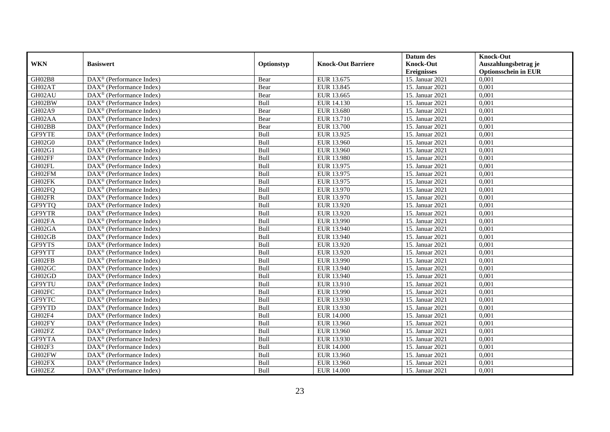|            |                                                       |             |                           | Datum des          | <b>Knock-Out</b>            |
|------------|-------------------------------------------------------|-------------|---------------------------|--------------------|-----------------------------|
| <b>WKN</b> | <b>Basiswert</b>                                      | Optionstyp  | <b>Knock-Out Barriere</b> | <b>Knock-Out</b>   | Auszahlungsbetrag je        |
|            |                                                       |             |                           | <b>Ereignisses</b> | <b>Optionsschein in EUR</b> |
| GH02B8     | DAX <sup>®</sup> (Performance Index)                  | Bear        | EUR 13.675                | 15. Januar 2021    | 0,001                       |
| GH02AT     | $DAX^{\circledast}$ (Performance Index)               | Bear        | EUR 13.845                | 15. Januar 2021    | 0,001                       |
| GH02AU     | DAX <sup>®</sup> (Performance Index)                  | Bear        | EUR 13.665                | 15. Januar 2021    | 0,001                       |
| GH02BW     | DAX <sup>®</sup> (Performance Index)                  | Bull        | EUR 14.130                | 15. Januar 2021    | 0,001                       |
| GH02A9     | DAX <sup>®</sup> (Performance Index)                  | Bear        | <b>EUR 13.680</b>         | 15. Januar 2021    | 0,001                       |
| GH02AA     | $DAX^{\circledR}$ (Performance Index)                 | Bear        | EUR 13.710                | 15. Januar 2021    | 0,001                       |
| GH02BB     | $DAX^{\circledR}$ (Performance Index)                 | Bear        | EUR 13.700                | 15. Januar 2021    | 0,001                       |
| GF9YTE     | DAX <sup>®</sup> (Performance Index)                  | Bull        | EUR 13.925                | 15. Januar 2021    | 0,001                       |
| GH02G0     | $DAX^{\circledast}$ (Performance Index)               | Bull        | EUR 13.960                | 15. Januar 2021    | 0,001                       |
| GH02G1     | $DAX^{\circledast}$ (Performance Index)               | Bull        | EUR 13.960                | 15. Januar 2021    | 0,001                       |
| GH02FF     | $DAX^{\circledcirc}$ (Performance Index)              | Bull        | EUR 13.980                | 15. Januar 2021    | 0.001                       |
| GH02FL     | DAX <sup>®</sup> (Performance Index)                  | Bull        | EUR 13.975                | 15. Januar 2021    | 0,001                       |
| GH02FM     | DAX <sup>®</sup> (Performance Index)                  | Bull        | EUR 13.975                | 15. Januar 2021    | 0,001                       |
| GH02FK     | $DAX^{\circledR}$ (Performance Index)                 | Bull        | EUR 13.975                | 15. Januar 2021    | 0,001                       |
| GH02FQ     | $DAX^{\circledast}$ (Performance Index)               | Bull        | EUR 13.970                | 15. Januar 2021    | 0,001                       |
| GH02FR     | DAX <sup>®</sup> (Performance Index)                  | Bull        | EUR 13.970                | 15. Januar 2021    | 0,001                       |
| GF9YTQ     | DAX <sup>®</sup> (Performance Index)                  | Bull        | EUR 13.920                | 15. Januar 2021    | 0,001                       |
| GF9YTR     | $DAX^{\circledcirc}$ (Performance Index)              | Bull        | EUR 13.920                | 15. Januar 2021    | 0.001                       |
| GH02FA     | DAX <sup>®</sup> (Performance Index)                  | Bull        | EUR 13.990                | 15. Januar 2021    | 0,001                       |
| GH02GA     | DAX <sup>®</sup> (Performance Index)                  | Bull        | EUR 13.940                | 15. Januar 2021    | 0,001                       |
| GH02GB     | DAX <sup>®</sup> (Performance Index)                  | Bull        | EUR 13.940                | 15. Januar 2021    | 0.001                       |
| GF9YTS     | $\overline{\text{DAX}^{\otimes}}$ (Performance Index) | Bull        | EUR 13.920                | 15. Januar 2021    | 0,001                       |
| GF9YTT     | $DAX^{\circledast}$ (Performance Index)               | Bull        | EUR 13.920                | 15. Januar 2021    | 0,001                       |
| GH02FB     | DAX <sup>®</sup> (Performance Index)                  | Bull        | EUR 13.990                | 15. Januar 2021    | 0,001                       |
| GH02GC     | $DAX^{\circledcirc}$ (Performance Index)              | Bull        | EUR 13.940                | 15. Januar 2021    | 0.001                       |
| GH02GD     | $DAX^{\circledast}$ (Performance Index)               | Bull        | EUR 13.940                | 15. Januar 2021    | 0,001                       |
| GF9YTU     | DAX <sup>®</sup> (Performance Index)                  | Bull        | EUR 13.910                | 15. Januar 2021    | 0,001                       |
| GH02FC     | $DAX^{\circledR}$ (Performance Index)                 | Bull        | EUR 13.990                | 15. Januar 2021    | 0,001                       |
| GF9YTC     | DAX <sup>®</sup> (Performance Index)                  | Bull        | EUR 13.930                | 15. Januar 2021    | 0,001                       |
| GF9YTD     | $DAX^{\circledast}$ (Performance Index)               | Bull        | EUR 13.930                | 15. Januar 2021    | 0,001                       |
| GH02F4     | $DAX^{\circledast}$ (Performance Index)               | Bull        | <b>EUR 14.000</b>         | 15. Januar 2021    | 0,001                       |
| GH02FY     | $DAX^{\circledcirc}$ (Performance Index)              | <b>Bull</b> | EUR 13.960                | 15. Januar 2021    | 0.001                       |
| GH02FZ     | $DAX^{\circledR}$ (Performance Index)                 | Bull        | EUR 13.960                | 15. Januar 2021    | 0,001                       |
| GF9YTA     | $\overline{\text{DAX}^{\otimes}}$ (Performance Index) | Bull        | EUR 13.930                | 15. Januar 2021    | 0,001                       |
| GH02F3     | DAX <sup>®</sup> (Performance Index)                  | Bull        | <b>EUR 14.000</b>         | 15. Januar 2021    | 0,001                       |
| GH02FW     | $DAX^{\circledcirc}$ (Performance Index)              | Bull        | EUR 13.960                | 15. Januar 2021    | 0,001                       |
| GH02FX     | $DAX^{\circledast}$ (Performance Index)               | Bull        | EUR 13.960                | 15. Januar 2021    | 0,001                       |
| GH02EZ     | DAX <sup>®</sup> (Performance Index)                  | Bull        | <b>EUR 14.000</b>         | 15. Januar 2021    | 0,001                       |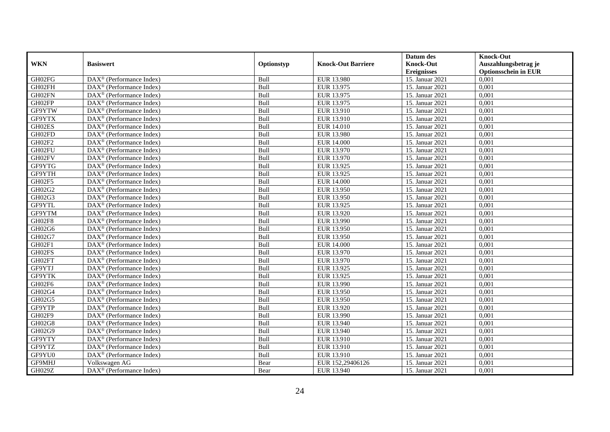|               |                                                         |             |                           | Datum des          | <b>Knock-Out</b>            |
|---------------|---------------------------------------------------------|-------------|---------------------------|--------------------|-----------------------------|
| <b>WKN</b>    | <b>Basiswert</b>                                        | Optionstyp  | <b>Knock-Out Barriere</b> | <b>Knock-Out</b>   | Auszahlungsbetrag je        |
|               |                                                         |             |                           | <b>Ereignisses</b> | <b>Optionsschein in EUR</b> |
| GH02FG        | DAX <sup>®</sup> (Performance Index)                    | Bull        | EUR 13.980                | 15. Januar 2021    | 0,001                       |
| GH02FH        | $DAX^{\circledast}$ (Performance Index)                 | Bull        | EUR 13.975                | 15. Januar 2021    | 0,001                       |
| GH02FN        | DAX <sup>®</sup> (Performance Index)                    | Bull        | EUR 13.975                | 15. Januar 2021    | 0,001                       |
| GH02FP        | DAX <sup>®</sup> (Performance Index)                    | Bull        | EUR 13.975                | 15. Januar 2021    | 0,001                       |
| GF9YTW        | DAX <sup>®</sup> (Performance Index)                    | Bull        | EUR 13.910                | 15. Januar 2021    | 0,001                       |
| GF9YTX        | $DAX^{\circledR}$ (Performance Index)                   | Bull        | EUR 13.910                | 15. Januar 2021    | 0,001                       |
| GH02ES        | $DAX^{\circledR}$ (Performance Index)                   | Bull        | EUR 14.010                | 15. Januar 2021    | 0,001                       |
| GH02FD        | DAX <sup>®</sup> (Performance Index)                    | Bull        | EUR 13.980                | 15. Januar 2021    | 0,001                       |
| GH02F2        | $DAX^{\circledast}$ (Performance Index)                 | Bull        | <b>EUR 14.000</b>         | 15. Januar 2021    | 0,001                       |
| GH02FU        | $DAX^{\circledast}$ (Performance Index)                 | Bull        | EUR 13.970                | 15. Januar 2021    | 0,001                       |
| GH02FV        | $DAX^{\circledcirc}$ (Performance Index)                | Bull        | EUR 13.970                | 15. Januar 2021    | 0.001                       |
| GF9YTG        | DAX <sup>®</sup> (Performance Index)                    | Bull        | EUR 13.925                | 15. Januar 2021    | 0,001                       |
| GF9YTH        | DAX <sup>®</sup> (Performance Index)                    | Bull        | EUR 13.925                | 15. Januar 2021    | 0,001                       |
| GH02F5        | $DAX^{\circledR}$ (Performance Index)                   | Bull        | <b>EUR 14.000</b>         | 15. Januar 2021    | 0,001                       |
| GH02G2        | $DAX^{\circledast}$ (Performance Index)                 | Bull        | EUR 13.950                | 15. Januar 2021    | 0,001                       |
| GH02G3        | DAX <sup>®</sup> (Performance Index)                    | Bull        | EUR 13.950                | 15. Januar 2021    | 0,001                       |
| GF9YTL        | DAX <sup>®</sup> (Performance Index)                    | Bull        | EUR 13.925                | 15. Januar 2021    | 0,001                       |
| GF9YTM        | $DAX^{\circledcirc}$ (Performance Index)                | Bull        | EUR 13.920                | 15. Januar 2021    | 0.001                       |
| GH02F8        | DAX <sup>®</sup> (Performance Index)                    | Bull        | EUR 13.990                | 15. Januar 2021    | 0,001                       |
| GH02G6        | DAX <sup>®</sup> (Performance Index)                    | Bull        | EUR 13.950                | 15. Januar 2021    | 0,001                       |
| GH02G7        | DAX <sup>®</sup> (Performance Index)                    | Bull        | EUR 13.950                | 15. Januar 2021    | 0.001                       |
| GH02F1        | $\overline{\text{DAX}^{\otimes}}$ (Performance Index)   | Bull        | <b>EUR 14.000</b>         | 15. Januar 2021    | 0,001                       |
| GH02FS        | $DAX^{\circledast}$ (Performance Index)                 | Bull        | EUR 13.970                | 15. Januar 2021    | 0,001                       |
| GH02FT        | DAX <sup>®</sup> (Performance Index)                    | Bull        | EUR 13.970                | 15. Januar 2021    | 0,001                       |
| GF9YTJ        | $DAX^{\circledcirc}$ (Performance Index)                | Bull        | EUR 13.925                | 15. Januar 2021    | 0.001                       |
| GF9YTK        | $DAX^{\circledast}$ (Performance Index)                 | Bull        | EUR 13.925                | 15. Januar 2021    | 0,001                       |
| GH02F6        | DAX <sup>®</sup> (Performance Index)                    | Bull        | EUR 13.990                | 15. Januar 2021    | 0,001                       |
| GH02G4        | $DAX^{\circledR}$ (Performance Index)                   | Bull        | EUR 13.950                | 15. Januar 2021    | 0,001                       |
| GH02G5        | $\overline{\text{DAX}^{\otimes}}$ (Performance Index)   | Bull        | EUR 13.950                | 15. Januar 2021    | 0,001                       |
| GF9YTP        | $DAX^{\circledast}$ (Performance Index)                 | Bull        | EUR 13.920                | 15. Januar 2021    | 0,001                       |
| GH02F9        | $DAX^{\circledast}$ (Performance Index)                 | Bull        | EUR 13.990                | 15. Januar 2021    | 0,001                       |
| GH02G8        | $DAX^{\circledcirc}$ (Performance Index)                | <b>Bull</b> | EUR 13.940                | 15. Januar 2021    | 0.001                       |
| GH02G9        | $DAX^{\circledR}$ (Performance Index)                   | Bull        | EUR 13.940                | 15. Januar 2021    | 0,001                       |
| GF9YTY        | $\overline{\text{DAX}}^{\textcirc}$ (Performance Index) | Bull        | EUR 13.910                | 15. Januar 2021    | 0,001                       |
| GF9YTZ        | DAX <sup>®</sup> (Performance Index)                    | Bull        | EUR 13.910                | 15. Januar 2021    | 0,001                       |
| GF9YU0        | DAX <sup>®</sup> (Performance Index)                    | Bull        | EUR 13.910                | 15. Januar 2021    | 0,001                       |
| GF9MHJ        | Volkswagen AG                                           | Bear        | EUR 152,29406126          | 15. Januar 2021    | 0,001                       |
| <b>GH029Z</b> | DAX <sup>®</sup> (Performance Index)                    | Bear        | EUR 13.940                | 15. Januar 2021    | 0,001                       |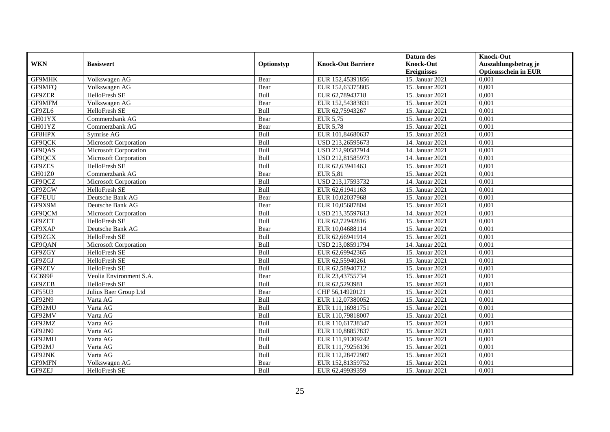|            |                         |            |                           | Datum des          | <b>Knock-Out</b>            |
|------------|-------------------------|------------|---------------------------|--------------------|-----------------------------|
| <b>WKN</b> | <b>Basiswert</b>        | Optionstyp | <b>Knock-Out Barriere</b> | <b>Knock-Out</b>   | Auszahlungsbetrag je        |
|            |                         |            |                           | <b>Ereignisses</b> | <b>Optionsschein in EUR</b> |
| GF9MHK     | Volkswagen AG           | Bear       | EUR 152,45391856          | 15. Januar 2021    | 0,001                       |
| GF9MFQ     | Volkswagen AG           | Bear       | EUR 152,63375805          | 15. Januar 2021    | 0,001                       |
| GF9ZER     | HelloFresh SE           | Bull       | EUR 62,78943718           | 15. Januar 2021    | 0,001                       |
| GF9MFM     | Volkswagen AG           | Bear       | EUR 152,54383831          | 15. Januar 2021    | 0,001                       |
| GF9ZL6     | HelloFresh SE           | Bull       | EUR 62,75943267           | 15. Januar 2021    | 0,001                       |
| GH01YX     | Commerzbank AG          | Bear       | <b>EUR 5,75</b>           | 15. Januar 2021    | 0,001                       |
| GH01YZ     | Commerzbank AG          | Bear       | <b>EUR 5,78</b>           | 15. Januar 2021    | 0,001                       |
| GF8HPX     | Symrise AG              | Bull       | EUR 101,84680637          | 15. Januar 2021    | 0,001                       |
| GF9QCK     | Microsoft Corporation   | Bull       | USD 213,26595673          | 14. Januar 2021    | 0,001                       |
| GF9QAS     | Microsoft Corporation   | Bull       | USD 212,90587914          | 14. Januar 2021    | 0,001                       |
| GF9QCX     | Microsoft Corporation   | Bull       | USD 212,81585973          | 14. Januar 2021    | 0,001                       |
| GF9ZES     | HelloFresh SE           | Bull       | EUR 62,63941463           | 15. Januar 2021    | 0,001                       |
| GH01Z0     | Commerzbank AG          | Bear       | <b>EUR 5,81</b>           | 15. Januar 2021    | 0,001                       |
| GF9QCZ     | Microsoft Corporation   | Bull       | USD 213,17593732          | 14. Januar 2021    | 0,001                       |
| GF9ZGW     | HelloFresh SE           | Bull       | EUR 62,61941163           | 15. Januar 2021    | 0,001                       |
| GF7EUU     | Deutsche Bank AG        | Bear       | EUR 10,02037968           | 15. Januar 2021    | 0,001                       |
| GF9X9M     | Deutsche Bank AG        | Bear       | EUR 10,05687804           | 15. Januar 2021    | 0,001                       |
| GF9QCM     | Microsoft Corporation   | Bull       | USD 213,35597613          | 14. Januar 2021    | 0,001                       |
| GF9ZET     | HelloFresh SE           | Bull       | EUR 62,72942816           | 15. Januar 2021    | 0,001                       |
| GF9XAP     | Deutsche Bank AG        | Bear       | EUR 10,04688114           | 15. Januar 2021    | 0,001                       |
| GF9ZGX     | HelloFresh SE           | Bull       | EUR 62,66941914           | 15. Januar 2021    | 0,001                       |
| GF9QAN     | Microsoft Corporation   | Bull       | USD 213,08591794          | 14. Januar 2021    | 0,001                       |
| GF9ZGY     | HelloFresh SE           | Bull       | EUR 62,69942365           | 15. Januar 2021    | 0,001                       |
| GF9ZGJ     | HelloFresh SE           | Bull       | EUR 62,55940261           | 15. Januar 2021    | 0,001                       |
| GF9ZEV     | HelloFresh SE           | Bull       | EUR 62,58940712           | 15. Januar 2021    | 0,001                       |
| GC699F     | Veolia Environment S.A. | Bear       | EUR 23,43755734           | 15. Januar 2021    | 0,001                       |
| GF9ZEB     | HelloFresh SE           | Bull       | EUR 62,5293981            | 15. Januar 2021    | 0,001                       |
| GF55U3     | Julius Baer Group Ltd   | Bear       | CHF 56,14920121           | 15. Januar 2021    | 0,001                       |
| GF92N9     | Varta AG                | Bull       | EUR 112,07380052          | 15. Januar 2021    | 0,001                       |
| GF92MU     | Varta AG                | Bull       | EUR 111,16981751          | 15. Januar 2021    | 0.001                       |
| GF92MV     | Varta AG                | Bull       | EUR 110,79818007          | 15. Januar 2021    | 0,001                       |
| GF92MZ     | Varta AG                | Bull       | EUR 110,61738347          | 15. Januar 2021    | 0,001                       |
| GF92N0     | Varta AG                | Bull       | EUR 110,88857837          | 15. Januar 2021    | 0,001                       |
| GF92MH     | Varta AG                | Bull       | EUR 111,91309242          | 15. Januar 2021    | 0,001                       |
| GF92MJ     | Varta AG                | Bull       | EUR 111,79256136          | 15. Januar 2021    | 0,001                       |
| GF92NK     | Varta AG                | Bull       | EUR 112,28472987          | 15. Januar 2021    | 0,001                       |
| GF9MFN     | Volkswagen AG           | Bear       | EUR 152,81359752          | 15. Januar 2021    | 0,001                       |
| GF9ZEJ     | HelloFresh SE           | Bull       | EUR 62,49939359           | 15. Januar 2021    | 0,001                       |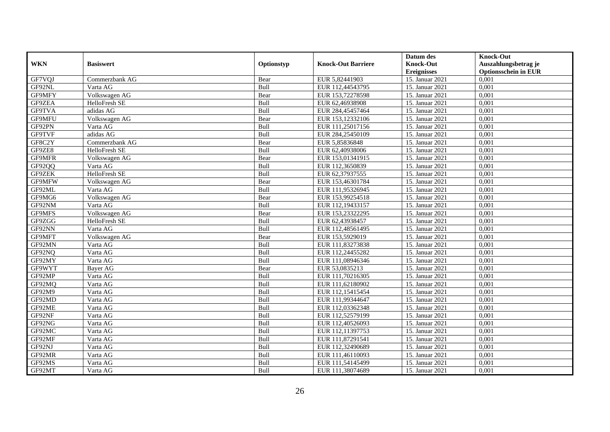|               |                  |            |                           | Datum des          | <b>Knock-Out</b>            |
|---------------|------------------|------------|---------------------------|--------------------|-----------------------------|
| <b>WKN</b>    | <b>Basiswert</b> | Optionstyp | <b>Knock-Out Barriere</b> | <b>Knock-Out</b>   | Auszahlungsbetrag je        |
|               |                  |            |                           | <b>Ereignisses</b> | <b>Optionsschein in EUR</b> |
| GF7VQJ        | Commerzbank AG   | Bear       | EUR 5,82441903            | 15. Januar 2021    | 0,001                       |
| GF92NL        | Varta AG         | Bull       | EUR 112,44543795          | 15. Januar 2021    | 0,001                       |
| GF9MFY        | Volkswagen AG    | Bear       | EUR 153,72278598          | 15. Januar 2021    | 0,001                       |
| GF9ZEA        | HelloFresh SE    | Bull       | EUR 62,46938908           | 15. Januar 2021    | 0,001                       |
| GF9TVA        | adidas AG        | Bull       | EUR 284,45457464          | 15. Januar 2021    | 0,001                       |
| <b>GF9MFU</b> | Volkswagen AG    | Bear       | EUR 153,12332106          | 15. Januar 2021    | 0,001                       |
| GF92PN        | Varta AG         | Bull       | EUR 111,25017156          | 15. Januar 2021    | 0,001                       |
| GF9TVF        | adidas AG        | Bull       | EUR 284,25450109          | 15. Januar 2021    | 0,001                       |
| GF8C2Y        | Commerzbank AG   | Bear       | EUR 5,85836848            | 15. Januar 2021    | 0,001                       |
| GF9ZE8        | HelloFresh SE    | Bull       | EUR 62,40938006           | 15. Januar 2021    | 0,001                       |
| GF9MFR        | Volkswagen AG    | Bear       | EUR 153,01341915          | 15. Januar 2021    | 0,001                       |
| GF92QQ        | Varta AG         | Bull       | EUR 112,3650839           | 15. Januar 2021    | 0,001                       |
| GF9ZEK        | HelloFresh SE    | Bull       | EUR 62,37937555           | 15. Januar 2021    | 0,001                       |
| GF9MFW        | Volkswagen AG    | Bear       | EUR 153,46301784          | 15. Januar 2021    | 0,001                       |
| GF92ML        | Varta AG         | Bull       | EUR 111,95326945          | 15. Januar 2021    | 0,001                       |
| GF9MG6        | Volkswagen AG    | Bear       | EUR 153,99254518          | 15. Januar 2021    | 0,001                       |
| GF92NM        | Varta AG         | Bull       | EUR 112,19433157          | 15. Januar 2021    | 0,001                       |
| <b>GF9MFS</b> | Volkswagen AG    | Bear       | EUR 153.23322295          | 15. Januar 2021    | 0.001                       |
| GF9ZGG        | HelloFresh SE    | Bull       | EUR 62,43938457           | 15. Januar 2021    | 0,001                       |
| GF92NN        | Varta AG         | Bull       | EUR 112,48561495          | 15. Januar 2021    | 0,001                       |
| GF9MFT        | Volkswagen AG    | Bear       | EUR 153,5929019           | 15. Januar 2021    | 0,001                       |
| GF92MN        | Varta AG         | Bull       | EUR 111,83273838          | 15. Januar 2021    | 0,001                       |
| GF92NQ        | Varta AG         | Bull       | EUR 112,24455282          | 15. Januar 2021    | 0,001                       |
| GF92MY        | Varta AG         | Bull       | EUR 111,08946346          | 15. Januar 2021    | 0,001                       |
| GF9WYT        | Bayer AG         | Bear       | EUR 53,0835213            | 15. Januar 2021    | 0,001                       |
| GF92MP        | Varta AG         | Bull       | EUR 111,70216305          | 15. Januar 2021    | 0,001                       |
| GF92MQ        | Varta AG         | Bull       | EUR 111,62180902          | 15. Januar 2021    | 0,001                       |
| GF92M9        | Varta AG         | Bull       | EUR 112,15415454          | 15. Januar 2021    | 0,001                       |
| GF92MD        | Varta AG         | Bull       | EUR 111,99344647          | 15. Januar 2021    | 0,001                       |
| GF92ME        | Varta AG         | Bull       | EUR 112,03362348          | 15. Januar 2021    | 0,001                       |
| GF92NF        | Varta AG         | Bull       | EUR 112,52579199          | 15. Januar 2021    | 0,001                       |
| GF92NG        | Varta AG         | Bull       | EUR 112,40526093          | 15. Januar 2021    | 0,001                       |
| GF92MC        | Varta AG         | Bull       | EUR 112,11397753          | 15. Januar 2021    | 0,001                       |
| GF92MF        | Varta AG         | Bull       | EUR 111,87291541          | 15. Januar 2021    | 0,001                       |
| GF92NJ        | Varta AG         | Bull       | EUR 112,32490689          | 15. Januar 2021    | 0,001                       |
| GF92MR        | Varta AG         | Bull       | EUR 111,46110093          | 15. Januar 2021    | 0,001                       |
| GF92MS        | Varta AG         | Bull       | EUR 111,54145499          | 15. Januar 2021    | 0,001                       |
| GF92MT        | Varta AG         | Bull       | EUR 111,38074689          | 15. Januar 2021    | 0,001                       |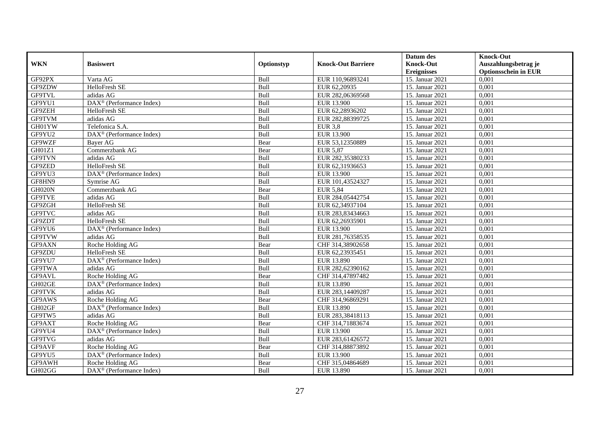|               |                                                       |             |                           | Datum des          | <b>Knock-Out</b>            |
|---------------|-------------------------------------------------------|-------------|---------------------------|--------------------|-----------------------------|
| <b>WKN</b>    | <b>Basiswert</b>                                      | Optionstyp  | <b>Knock-Out Barriere</b> | <b>Knock-Out</b>   | Auszahlungsbetrag je        |
|               |                                                       |             |                           | <b>Ereignisses</b> | <b>Optionsschein in EUR</b> |
| GF92PX        | Varta AG                                              | Bull        | EUR 110,96893241          | 15. Januar 2021    | 0,001                       |
| GF9ZDW        | HelloFresh SE                                         | Bull        | EUR 62,20935              | 15. Januar 2021    | 0,001                       |
| <b>GF9TVL</b> | adidas AG                                             | Bull        | EUR 282,06369568          | 15. Januar 2021    | 0,001                       |
| GF9YU1        | DAX <sup>®</sup> (Performance Index)                  | Bull        | EUR 13.900                | 15. Januar 2021    | 0,001                       |
| GF9ZEH        | HelloFresh SE                                         | Bull        | EUR 62,28936202           | 15. Januar 2021    | 0,001                       |
| <b>GF9TVM</b> | adidas AG                                             | Bull        | EUR 282,88399725          | 15. Januar 2021    | 0,001                       |
| GH01YW        | Telefonica S.A.                                       | Bull        | <b>EUR 3,8</b>            | 15. Januar 2021    | 0,001                       |
| GF9YU2        | DAX <sup>®</sup> (Performance Index)                  | Bull        | <b>EUR 13.900</b>         | 15. Januar 2021    | 0,001                       |
| GF9WZF        | <b>Baver AG</b>                                       | Bear        | EUR 53,12350889           | 15. Januar 2021    | 0,001                       |
| GH01Z1        | Commerzbank AG                                        | Bear        | <b>EUR 5,87</b>           | 15. Januar 2021    | 0,001                       |
| <b>GF9TVN</b> | adidas AG                                             | Bull        | EUR 282,35380233          | 15. Januar 2021    | 0,001                       |
| GF9ZED        | <b>HelloFresh SE</b>                                  | Bull        | EUR 62,31936653           | 15. Januar 2021    | 0,001                       |
| GF9YU3        | $\overline{\text{DAX}^{\otimes}}$ (Performance Index) | Bull        | EUR 13.900                | 15. Januar 2021    | 0,001                       |
| GF8HN9        | Symrise AG                                            | Bull        | EUR 101,43524327          | 15. Januar 2021    | 0,001                       |
| GH020N        | Commerzbank AG                                        | Bear        | <b>EUR 5,84</b>           | 15. Januar 2021    | 0,001                       |
| <b>GF9TVE</b> | adidas AG                                             | Bull        | EUR 284,05442754          | 15. Januar 2021    | 0,001                       |
| GF9ZGH        | HelloFresh SE                                         | Bull        | EUR 62,34937104           | 15. Januar 2021    | 0,001                       |
| <b>GF9TVC</b> | adidas AG                                             | <b>Bull</b> | EUR 283,83434663          | 15. Januar 2021    | 0,001                       |
| GF9ZDT        | <b>HelloFresh SE</b>                                  | Bull        | EUR 62,26935901           | 15. Januar 2021    | 0,001                       |
| GF9YU6        | DAX <sup>®</sup> (Performance Index)                  | Bull        | <b>EUR 13.900</b>         | 15. Januar 2021    | 0,001                       |
| <b>GF9TVW</b> | adidas AG                                             | Bull        | EUR 281,76358535          | 15. Januar 2021    | 0,001                       |
| GF9AXN        | Roche Holding AG                                      | Bear        | CHF 314,38902658          | 15. Januar 2021    | 0,001                       |
| GF9ZDU        | HelloFresh SE                                         | Bull        | EUR 62,23935451           | 15. Januar 2021    | 0,001                       |
| GF9YU7        | DAX <sup>®</sup> (Performance Index)                  | Bull        | EUR 13.890                | 15. Januar 2021    | 0,001                       |
| <b>GF9TWA</b> | adidas AG                                             | Bull        | EUR 282,62390162          | 15. Januar 2021    | 0,001                       |
| GF9AVL        | Roche Holding AG                                      | Bear        | CHF 314,47897482          | 15. Januar 2021    | 0,001                       |
| GH02GE        | DAX <sup>®</sup> (Performance Index)                  | Bull        | EUR 13.890                | 15. Januar 2021    | 0,001                       |
| <b>GF9TVK</b> | adidas AG                                             | Bull        | EUR 283,14409287          | 15. Januar 2021    | 0,001                       |
| GF9AWS        | Roche Holding AG                                      | Bear        | CHF 314,96869291          | 15. Januar 2021    | 0,001                       |
| GH02GF        | $DAX^{\circledR}$ (Performance Index)                 | Bull        | EUR 13.890                | 15. Januar 2021    | 0,001                       |
| GF9TW5        | adidas AG                                             | Bull        | EUR 283,38418113          | 15. Januar 2021    | 0,001                       |
| GF9AXT        | Roche Holding AG                                      | Bear        | CHF 314,71883674          | 15. Januar 2021    | 0.001                       |
| GF9YU4        | DAX <sup>®</sup> (Performance Index)                  | Bull        | EUR 13.900                | 15. Januar 2021    | 0,001                       |
| <b>GF9TVG</b> | adidas AG                                             | Bull        | EUR 283,61426572          | 15. Januar 2021    | 0,001                       |
| GF9AVF        | Roche Holding AG                                      | Bear        | CHF 314,88873892          | 15. Januar 2021    | 0,001                       |
| GF9YU5        | $DAX^{\circledast}$ (Performance Index)               | Bull        | <b>EUR 13.900</b>         | 15. Januar 2021    | 0,001                       |
| GF9AWH        | Roche Holding AG                                      | Bear        | CHF 315,04864689          | 15. Januar 2021    | 0,001                       |
| GH02GG        | DAX <sup>®</sup> (Performance Index)                  | Bull        | EUR 13.890                | 15. Januar 2021    | 0,001                       |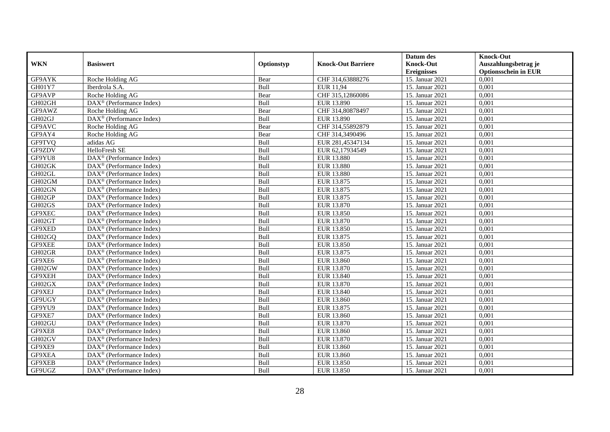|               |                                                       |            |                           | Datum des          | <b>Knock-Out</b>            |
|---------------|-------------------------------------------------------|------------|---------------------------|--------------------|-----------------------------|
| <b>WKN</b>    | <b>Basiswert</b>                                      | Optionstyp | <b>Knock-Out Barriere</b> | <b>Knock-Out</b>   | Auszahlungsbetrag je        |
|               |                                                       |            |                           | <b>Ereignisses</b> | <b>Optionsschein in EUR</b> |
| GF9AYK        | Roche Holding AG                                      | Bear       | CHF 314,63888276          | 15. Januar 2021    | 0,001                       |
| GH01Y7        | Iberdrola S.A.                                        | Bull       | <b>EUR 11,94</b>          | 15. Januar 2021    | 0,001                       |
| GF9AVP        | Roche Holding AG                                      | Bear       | CHF 315,12860086          | 15. Januar 2021    | 0,001                       |
| GH02GH        | $DAX^{\circledast}$ (Performance Index)               | Bull       | EUR 13.890                | 15. Januar 2021    | 0,001                       |
| GF9AWZ        | Roche Holding AG                                      | Bear       | CHF 314,80878497          | 15. Januar 2021    | 0,001                       |
| GH02GJ        | $\overline{\text{DAX}^{\otimes}}$ (Performance Index) | Bull       | EUR 13.890                | 15. Januar 2021    | 0,001                       |
| GF9AVC        | Roche Holding AG                                      | Bear       | CHF 314,55892879          | 15. Januar 2021    | 0,001                       |
| GF9AY4        | Roche Holding AG                                      | Bear       | CHF 314,3490496           | 15. Januar 2021    | 0,001                       |
| <b>GF9TVQ</b> | adidas AG                                             | Bull       | EUR 281,45347134          | 15. Januar 2021    | 0,001                       |
| GF9ZDV        | HelloFresh SE                                         | Bull       | EUR 62,17934549           | 15. Januar 2021    | 0,001                       |
| GF9YU8        | $\overline{\text{DAX}^{\otimes}}$ (Performance Index) | Bull       | <b>EUR 13.880</b>         | 15. Januar 2021    | 0,001                       |
| GH02GK        | DAX <sup>®</sup> (Performance Index)                  | Bull       | <b>EUR 13.880</b>         | 15. Januar 2021    | 0,001                       |
| GH02GL        | $DAX^{\circledast}$ (Performance Index)               | Bull       | EUR 13.880                | 15. Januar 2021    | 0,001                       |
| GH02GM        | $DAX^{\circledcirc}$ (Performance Index)              | Bull       | EUR 13.875                | 15. Januar 2021    | 0,001                       |
| GH02GN        | DAX <sup>®</sup> (Performance Index)                  | Bull       | EUR 13.875                | 15. Januar 2021    | 0,001                       |
| GH02GP        | DAX <sup>®</sup> (Performance Index)                  | Bull       | EUR 13.875                | 15. Januar 2021    | 0,001                       |
| GH02GS        | $DAX^{\circledR}$ (Performance Index)                 | Bull       | EUR 13.870                | 15. Januar 2021    | 0,001                       |
| GF9XEC        | $\overline{\text{DAX}^{\otimes}}$ (Performance Index) | Bull       | EUR 13.850                | 15. Januar 2021    | 0,001                       |
| GH02GT        | DAX <sup>®</sup> (Performance Index)                  | Bull       | EUR 13.870                | 15. Januar 2021    | 0,001                       |
| GF9XED        | $DAX^{\circledast}$ (Performance Index)               | Bull       | EUR 13.850                | 15. Januar 2021    | 0,001                       |
| GH02GQ        | $DAX^{\circledast}$ (Performance Index)               | Bull       | EUR 13.875                | 15. Januar 2021    | 0,001                       |
| GF9XEE        | $DAX^{\circledR}$ (Performance Index)                 | Bull       | EUR 13.850                | 15. Januar 2021    | 0,001                       |
| GH02GR        | $DAX^{\circledR}$ (Performance Index)                 | Bull       | EUR 13.875                | 15. Januar 2021    | 0,001                       |
| GF9XE6        | $DAX^{\circledR}$ (Performance Index)                 | Bull       | <b>EUR 13.860</b>         | 15. Januar 2021    | 0,001                       |
| GH02GW        | $DAX^{\circledR}$ (Performance Index)                 | Bull       | EUR 13.870                | 15. Januar 2021    | 0,001                       |
| GF9XEH        | $DAX^{\circledast}$ (Performance Index)               | Bull       | EUR 13.840                | 15. Januar 2021    | 0,001                       |
| GH02GX        | DAX <sup>®</sup> (Performance Index)                  | Bull       | EUR 13.870                | 15. Januar 2021    | 0,001                       |
| GF9XEJ        | $DAX^{\circledR}$ (Performance Index)                 | Bull       | EUR 13.840                | 15. Januar 2021    | 0,001                       |
| GF9UGY        | $DAX^{\circledast}$ (Performance Index)               | Bull       | EUR 13.860                | 15. Januar 2021    | 0,001                       |
| GF9YU9        | $DAX^{\circledcirc}$ (Performance Index)              | Bull       | EUR 13.875                | 15. Januar 2021    | 0.001                       |
| GF9XE7        | $DAX^{\circledR}$ (Performance Index)                 | Bull       | EUR 13.860                | 15. Januar 2021    | 0,001                       |
| GH02GU        | $DAX^{\circledR}$ (Performance Index)                 | Bull       | EUR 13.870                | 15. Januar 2021    | 0,001                       |
| GF9XE8        | $DAX^{\circledR}$ (Performance Index)                 | Bull       | EUR 13.860                | 15. Januar 2021    | 0,001                       |
| GH02GV        | DAX <sup>®</sup> (Performance Index)                  | Bull       | EUR 13.870                | 15. Januar 2021    | 0,001                       |
| GF9XE9        | DAX <sup>®</sup> (Performance Index)                  | Bull       | EUR 13.860                | 15. Januar 2021    | 0,001                       |
| GF9XEA        | $DAX^{\circledcirc}$ (Performance Index)              | Bull       | EUR 13.860                | 15. Januar 2021    | 0,001                       |
| GF9XEB        | $DAX^{\circledast}$ (Performance Index)               | Bull       | EUR 13.850                | 15. Januar 2021    | 0,001                       |
| GF9UGZ        | DAX <sup>®</sup> (Performance Index)                  | Bull       | EUR 13.850                | 15. Januar 2021    | 0,001                       |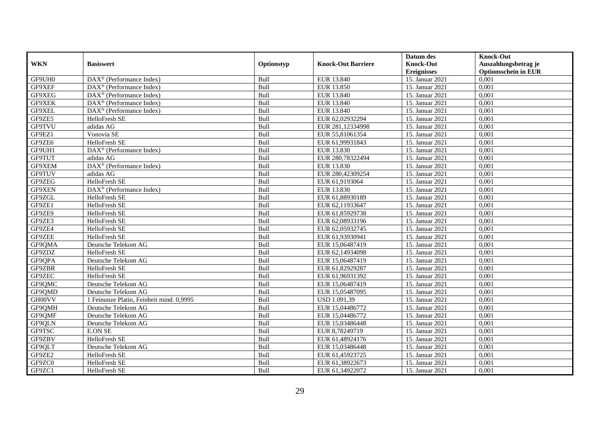|               |                                                              |            |                           | Datum des          | <b>Knock-Out</b>            |
|---------------|--------------------------------------------------------------|------------|---------------------------|--------------------|-----------------------------|
| <b>WKN</b>    | <b>Basiswert</b>                                             | Optionstyp | <b>Knock-Out Barriere</b> | <b>Knock-Out</b>   | Auszahlungsbetrag je        |
|               |                                                              |            |                           | <b>Ereignisses</b> | <b>Optionsschein in EUR</b> |
| GF9UH0        | $\overline{\text{DAX}}^{\textcircled{}}$ (Performance Index) | Bull       | EUR 13.840                | 15. Januar 2021    | 0,001                       |
| GF9XEF        | $DAX^{\circledR}$ (Performance Index)                        | Bull       | EUR 13.850                | 15. Januar 2021    | 0,001                       |
| GF9XEG        | $DAX^{\circledcirc}$ (Performance Index)                     | Bull       | EUR 13.840                | 15. Januar 2021    | 0,001                       |
| GF9XEK        | $DAX^{\circledast}$ (Performance Index)                      | Bull       | EUR 13.840                | 15. Januar 2021    | 0,001                       |
| GF9XEL        | DAX <sup>®</sup> (Performance Index)                         | Bull       | EUR 13.840                | 15. Januar 2021    | 0,001                       |
| GF9ZE5        | HelloFresh SE                                                | Bull       | EUR 62,02932294           | 15. Januar 2021    | 0,001                       |
| <b>GF9TVU</b> | adidas AG                                                    | Bull       | EUR 281,12334998          | 15. Januar 2021    | 0,001                       |
| GF9EZ1        | Vonovia SE                                                   | Bull       | EUR 55,81061354           | 15. Januar 2021    | 0,001                       |
| GF9ZE6        | <b>HelloFresh SE</b>                                         | Bull       | EUR 61,99931843           | 15. Januar 2021    | 0,001                       |
| GF9UH1        | DAX <sup>®</sup> (Performance Index)                         | Bull       | EUR 13.830                | 15. Januar 2021    | 0,001                       |
| <b>GF9TUT</b> | adidas AG                                                    | Bull       | EUR 280,78322494          | 15. Januar 2021    | 0,001                       |
| GF9XEM        | DAX <sup>®</sup> (Performance Index)                         | Bull       | <b>EUR 13.830</b>         | 15. Januar 2021    | 0,001                       |
| GF9TUV        | adidas AG                                                    | Bull       | EUR 280,42309254          | 15. Januar 2021    | 0,001                       |
| GF9ZEG        | HelloFresh SE                                                | Bull       | EUR 61,9193064            | 15. Januar 2021    | 0,001                       |
| GF9XEN        | DAX <sup>®</sup> (Performance Index)                         | Bull       | EUR 13.830                | 15. Januar 2021    | 0,001                       |
| GF9ZGL        | HelloFresh SE                                                | Bull       | EUR 61,88930189           | 15. Januar 2021    | 0,001                       |
| GF9ZE1        | HelloFresh SE                                                | Bull       | EUR 62,11933647           | 15. Januar 2021    | 0,001                       |
| GF9ZE9        | HelloFresh SE                                                | Bull       | EUR 61,85929738           | 15. Januar 2021    | 0,001                       |
| GF9ZE3        | HelloFresh SE                                                | Bull       | EUR 62,08933196           | 15. Januar 2021    | 0,001                       |
| GF9ZE4        | HelloFresh SE                                                | Bull       | EUR 62,05932745           | 15. Januar 2021    | 0,001                       |
| GF9ZEE        | <b>HelloFresh SE</b>                                         | Bull       | EUR 61,93930941           | 15. Januar 2021    | 0,001                       |
| GF9QMA        | Deutsche Telekom AG                                          | Bull       | EUR 15,06487419           | 15. Januar 2021    | 0,001                       |
| GF9ZDZ        | HelloFresh SE                                                | Bull       | EUR 62,14934098           | 15. Januar 2021    | 0,001                       |
| GF9QPA        | Deutsche Telekom AG                                          | Bull       | EUR 15,06487419           | 15. Januar 2021    | 0,001                       |
| GF9ZBR        | HelloFresh SE                                                | Bull       | EUR 61,82929287           | 15. Januar 2021    | 0,001                       |
| GF9ZEC        | HelloFresh SE                                                | Bull       | EUR 61,96931392           | 15. Januar 2021    | 0,001                       |
| GF9QMC        | Deutsche Telekom AG                                          | Bull       | EUR 15,06487419           | 15. Januar 2021    | 0,001                       |
| GF9QMD        | Deutsche Telekom AG                                          | Bull       | EUR 15,05487095           | 15. Januar 2021    | 0,001                       |
| GH00VV        | 1 Feinunze Platin, Feinheit mind, 0.9995                     | Bull       | <b>USD 1.091,39</b>       | 15. Januar 2021    | 0,001                       |
| GF9QMH        | Deutsche Telekom AG                                          | Bull       | EUR 15,04486772           | 15. Januar 2021    | 0,001                       |
| GF9QMF        | Deutsche Telekom AG                                          | Bull       | EUR 15,04486772           | 15. Januar 2021    | 0,001                       |
| GF9QLN        | Deutsche Telekom AG                                          | Bull       | EUR 15,03486448           | 15. Januar 2021    | 0,001                       |
| GF9TSC        | <b>E.ON SE</b>                                               | Bull       | EUR 8,78249719            | 15. Januar 2021    | 0,001                       |
| GF9ZBV        | HelloFresh SE                                                | Bull       | EUR 61,48924176           | 15. Januar 2021    | 0,001                       |
| GF9QLT        | Deutsche Telekom AG                                          | Bull       | EUR 15,03486448           | 15. Januar 2021    | 0,001                       |
| GF9ZE2        | HelloFresh SE                                                | Bull       | EUR 61,45923725           | 15. Januar 2021    | 0,001                       |
| GF9ZC0        | HelloFresh SE                                                | Bull       | EUR 61,38922673           | 15. Januar 2021    | 0,001                       |
| GF9ZC1        | HelloFresh SE                                                | Bull       | EUR 61,34922072           | 15. Januar 2021    | 0,001                       |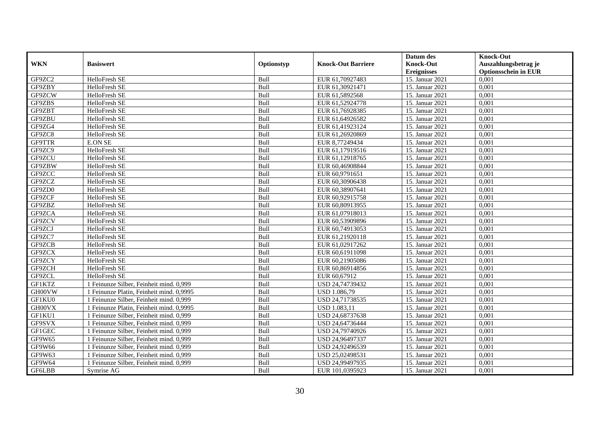|               |                                          |            |                           | Datum des          | <b>Knock-Out</b>            |
|---------------|------------------------------------------|------------|---------------------------|--------------------|-----------------------------|
| <b>WKN</b>    | <b>Basiswert</b>                         | Optionstyp | <b>Knock-Out Barriere</b> | <b>Knock-Out</b>   | Auszahlungsbetrag je        |
|               |                                          |            |                           | <b>Ereignisses</b> | <b>Optionsschein in EUR</b> |
| GF9ZC2        | HelloFresh SE                            | Bull       | EUR 61,70927483           | 15. Januar 2021    | 0,001                       |
| GF9ZBY        | HelloFresh SE                            | Bull       | EUR 61,30921471           | 15. Januar 2021    | 0,001                       |
| GF9ZCW        | HelloFresh SE                            | Bull       | EUR 61,5892568            | 15. Januar 2021    | 0,001                       |
| GF9ZBS        | HelloFresh SE                            | Bull       | EUR 61,52924778           | 15. Januar 2021    | 0,001                       |
| GF9ZBT        | HelloFresh SE                            | Bull       | EUR 61,76928385           | 15. Januar 2021    | 0,001                       |
| GF9ZBU        | HelloFresh SE                            | Bull       | EUR 61,64926582           | 15. Januar 2021    | 0,001                       |
| GF9ZG4        | HelloFresh SE                            | Bull       | EUR 61,41923124           | 15. Januar 2021    | 0,001                       |
| GF9ZC8        | HelloFresh SE                            | Bull       | EUR 61,26920869           | 15. Januar 2021    | 0,001                       |
| GF9TTR        | <b>E.ON SE</b>                           | Bull       | EUR 8,77249434            | 15. Januar 2021    | 0,001                       |
| GF9ZC9        | HelloFresh SE                            | Bull       | EUR 61,17919516           | 15. Januar 2021    | 0,001                       |
| GF9ZCU        | HelloFresh SE                            | Bull       | EUR 61,12918765           | 15. Januar 2021    | 0,001                       |
| GF9ZBW        | HelloFresh SE                            | Bull       | EUR 60,46908844           | 15. Januar 2021    | 0,001                       |
| GF9ZCC        | HelloFresh SE                            | Bull       | EUR 60,9791651            | 15. Januar 2021    | 0,001                       |
| GF9ZCZ        | HelloFresh SE                            | Bull       | EUR 60,30906438           | 15. Januar 2021    | 0,001                       |
| GF9ZD0        | HelloFresh SE                            | Bull       | EUR 60,38907641           | 15. Januar 2021    | 0,001                       |
| GF9ZCF        | HelloFresh SE                            | Bull       | EUR 60,92915758           | 15. Januar 2021    | 0,001                       |
| GF9ZBZ        | HelloFresh SE                            | Bull       | EUR 60,80913955           | 15. Januar 2021    | 0,001                       |
| GF9ZCA        | HelloFresh SE                            | Bull       | EUR 61,07918013           | 15. Januar 2021    | 0,001                       |
| GF9ZCV        | HelloFresh SE                            | Bull       | EUR 60,53909896           | 15. Januar 2021    | 0,001                       |
| GF9ZCJ        | HelloFresh SE                            | Bull       | EUR 60,74913053           | 15. Januar 2021    | 0,001                       |
| GF9ZC7        | HelloFresh SE                            | Bull       | EUR 61,21920118           | 15. Januar 2021    | 0,001                       |
| GF9ZCB        | HelloFresh SE                            | Bull       | EUR 61,02917262           | 15. Januar 2021    | 0,001                       |
| GF9ZCX        | HelloFresh SE                            | Bull       | EUR 60,61911098           | 15. Januar 2021    | 0,001                       |
| GF9ZCY        | HelloFresh SE                            | Bull       | EUR 60,21905086           | 15. Januar 2021    | 0,001                       |
| GF9ZCH        | HelloFresh SE                            | Bull       | EUR 60,86914856           | 15. Januar 2021    | 0,001                       |
| GF9ZCL        | HelloFresh SE                            | Bull       | EUR 60,67912              | 15. Januar 2021    | 0,001                       |
| GF1KTZ        | 1 Feinunze Silber, Feinheit mind. 0,999  | Bull       | USD 24,74739432           | 15. Januar 2021    | 0,001                       |
| GH00VW        | 1 Feinunze Platin, Feinheit mind. 0,9995 | Bull       | USD 1.086,79              | 15. Januar 2021    | 0,001                       |
| GF1KU0        | 1 Feinunze Silber, Feinheit mind. 0,999  | Bull       | USD 24,71738535           | 15. Januar 2021    | 0,001                       |
| GH00VX        | 1 Feinunze Platin, Feinheit mind. 0.9995 | Bull       | <b>USD 1.083.11</b>       | 15. Januar 2021    | 0.001                       |
| GF1KU1        | 1 Feinunze Silber, Feinheit mind. 0,999  | Bull       | USD 24,68737638           | 15. Januar 2021    | 0,001                       |
| GF9SVX        | 1 Feinunze Silber, Feinheit mind. 0,999  | Bull       | USD 24,64736444           | 15. Januar 2021    | 0,001                       |
| GF1GEC        | 1 Feinunze Silber, Feinheit mind. 0,999  | Bull       | USD 24,79740926           | 15. Januar 2021    | 0,001                       |
| GF9W65        | 1 Feinunze Silber, Feinheit mind. 0,999  | Bull       | USD 24,96497337           | 15. Januar 2021    | 0,001                       |
| GF9W66        | 1 Feinunze Silber, Feinheit mind. 0,999  | Bull       | USD 24,92496539           | 15. Januar 2021    | 0,001                       |
| GF9W63        | 1 Feinunze Silber, Feinheit mind. 0,999  | Bull       | USD 25,02498531           | 15. Januar 2021    | 0,001                       |
| GF9W64        | 1 Feinunze Silber, Feinheit mind. 0,999  | Bull       | USD 24,99497935           | 15. Januar 2021    | 0,001                       |
| <b>GF6LBB</b> | Symrise AG                               | Bull       | EUR 101,0395923           | 15. Januar 2021    | 0,001                       |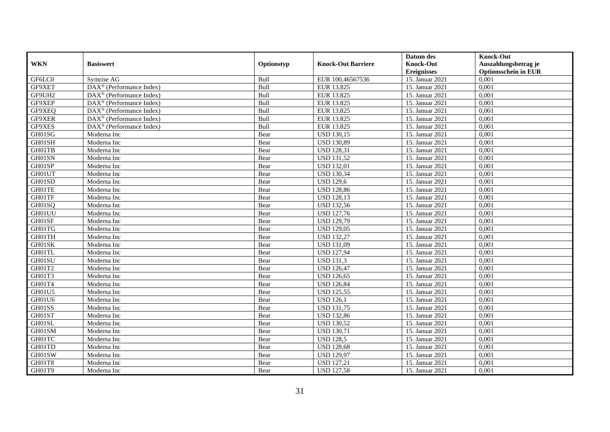|            |                                                       |             |                           | Datum des          | <b>Knock-Out</b>            |
|------------|-------------------------------------------------------|-------------|---------------------------|--------------------|-----------------------------|
| <b>WKN</b> | <b>Basiswert</b>                                      | Optionstyp  | <b>Knock-Out Barriere</b> | <b>Knock-Out</b>   | Auszahlungsbetrag je        |
|            |                                                       |             |                           | <b>Ereignisses</b> | <b>Optionsschein in EUR</b> |
| GF6LC0     | Symrise AG                                            | Bull        | EUR 100,46567536          | 15. Januar 2021    | 0,001                       |
| GF9XET     | $\overline{\text{DAX}^{\otimes}}$ (Performance Index) | Bull        | EUR 13.825                | 15. Januar 2021    | 0,001                       |
| GF9UH2     | $DAX^{\circledR}$ (Performance Index)                 | Bull        | EUR 13.825                | 15. Januar 2021    | 0,001                       |
| GF9XEP     | $DAX^{\circledast}$ (Performance Index)               | Bull        | EUR 13.825                | 15. Januar 2021    | 0,001                       |
| GF9XEQ     | $\overline{\text{DAX}^{\otimes}}$ (Performance Index) | Bull        | EUR 13.825                | 15. Januar 2021    | 0,001                       |
| GF9XER     | DAX <sup>®</sup> (Performance Index)                  | Bull        | EUR 13.825                | 15. Januar 2021    | 0,001                       |
| GF9XES     | $DAX^{\circledR}$ (Performance Index)                 | <b>Bull</b> | EUR 13.825                | 15. Januar 2021    | 0,001                       |
| GH01SG     | Moderna Inc                                           | Bear        | <b>USD 130,15</b>         | 15. Januar 2021    | 0,001                       |
| GH01SH     | Moderna Inc                                           | Bear        | <b>USD 130,89</b>         | 15. Januar 2021    | 0,001                       |
| GH01TB     | Moderna Inc                                           | Bear        | <b>USD 128,31</b>         | 15. Januar 2021    | 0.001                       |
| GH01SN     | Moderna Inc                                           | Bear        | <b>USD 131,52</b>         | 15. Januar 2021    | 0,001                       |
| GH01SP     | Moderna Inc                                           | Bear        | <b>USD 132,01</b>         | 15. Januar 2021    | 0,001                       |
| GH01UT     | Moderna Inc                                           | Bear        | <b>USD 130,34</b>         | 15. Januar 2021    | 0,001                       |
| GH01SD     | Moderna Inc                                           | Bear        | <b>USD 129,6</b>          | 15. Januar 2021    | 0.001                       |
| GH01TE     | Moderna Inc                                           | Bear        | <b>USD 128,86</b>         | 15. Januar 2021    | 0.001                       |
| GH01TF     | Moderna Inc                                           | Bear        | <b>USD 128,13</b>         | 15. Januar 2021    | 0,001                       |
| GH01SQ     | Moderna Inc                                           | Bear        | <b>USD 132,56</b>         | 15. Januar 2021    | 0,001                       |
| GH01UU     | Moderna Inc                                           | Bear        | <b>USD 127,76</b>         | 15. Januar 2021    | 0,001                       |
| GH01SF     | Moderna Inc                                           | Bear        | <b>USD 129,79</b>         | 15. Januar 2021    | 0,001                       |
| GH01TG     | Moderna Inc                                           | Bear        | <b>USD 129,05</b>         | 15. Januar 2021    | 0,001                       |
| GH01TH     | Moderna Inc                                           | Bear        | <b>USD 132,27</b>         | 15. Januar 2021    | 0,001                       |
| GH01SK     | Moderna Inc                                           | Bear        | <b>USD 131,09</b>         | 15. Januar 2021    | 0,001                       |
| GH01TL     | Moderna Inc                                           | Bear        | <b>USD 127,94</b>         | 15. Januar 2021    | 0,001                       |
| GH01SU     | Moderna Inc                                           | Bear        | <b>USD 131,3</b>          | 15. Januar 2021    | 0,001                       |
| GH01T2     | Moderna Inc                                           | Bear        | <b>USD 126,47</b>         | 15. Januar 2021    | 0,001                       |
| GH01T3     | Moderna Inc                                           | Bear        | <b>USD 126,65</b>         | 15. Januar 2021    | 0.001                       |
| GH01T4     | Moderna Inc                                           | Bear        | <b>USD 126,84</b>         | 15. Januar 2021    | 0,001                       |
| GH01U5     | Moderna Inc                                           | Bear        | <b>USD 125,55</b>         | 15. Januar 2021    | 0,001                       |
| GH01U6     | Moderna Inc                                           | Bear        | $\overline{USD}$ 126,1    | 15. Januar 2021    | 0,001                       |
| GH01SS     | Moderna Inc                                           | Bear        | <b>USD 131,75</b>         | 15. Januar 2021    | 0,001                       |
| GH01ST     | Moderna Inc                                           | Bear        | <b>USD 132,86</b>         | 15. Januar 2021    | 0,001                       |
| GH01SL     | Moderna Inc                                           | Bear        | <b>USD 130,52</b>         | 15. Januar 2021    | 0.001                       |
| GH01SM     | Moderna Inc                                           | Bear        | <b>USD 130,71</b>         | 15. Januar 2021    | 0,001                       |
| GH01TC     | Moderna Inc                                           | Bear        | <b>USD 128.5</b>          | 15. Januar 2021    | 0,001                       |
| GH01TD     | Moderna Inc                                           | Bear        | <b>USD 128,68</b>         | 15. Januar 2021    | 0,001                       |
| GH01SW     | Moderna Inc                                           | Bear        | <b>USD 129,97</b>         | 15. Januar 2021    | 0,001                       |
| GH01T8     | Moderna Inc                                           | Bear        | <b>USD 127,21</b>         | 15. Januar 2021    | 0,001                       |
| GH01T9     | Moderna Inc                                           | Bear        | <b>USD 127,58</b>         | 15. Januar 2021    | 0,001                       |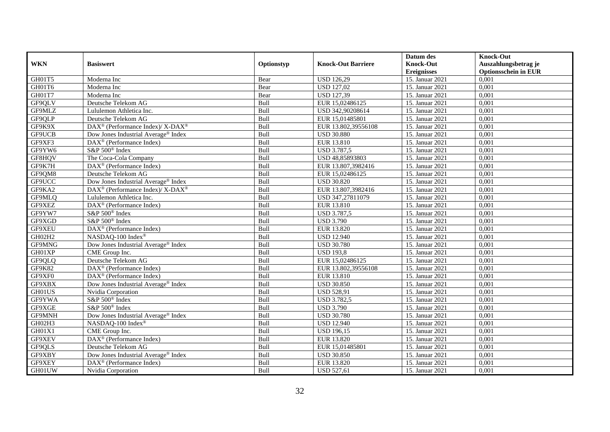|            |                                                          |            |                           | Datum des          | <b>Knock-Out</b>            |
|------------|----------------------------------------------------------|------------|---------------------------|--------------------|-----------------------------|
| <b>WKN</b> | <b>Basiswert</b>                                         | Optionstyp | <b>Knock-Out Barriere</b> | <b>Knock-Out</b>   | Auszahlungsbetrag je        |
|            |                                                          |            |                           | <b>Ereignisses</b> | <b>Optionsschein in EUR</b> |
| GH01T5     | Moderna Inc                                              | Bear       | <b>USD 126,29</b>         | 15. Januar 2021    | 0,001                       |
| GH01T6     | Moderna Inc                                              | Bear       | <b>USD 127,02</b>         | 15. Januar 2021    | 0,001                       |
| GH01T7     | Moderna Inc                                              | Bear       | <b>USD 127,39</b>         | 15. Januar 2021    | 0,001                       |
| GF9QLV     | Deutsche Telekom AG                                      | Bull       | EUR 15,02486125           | 15. Januar 2021    | 0,001                       |
| GF9MLZ     | Lululemon Athletica Inc.                                 | Bull       | USD 342,90208614          | 15. Januar 2021    | 0,001                       |
| GF9QLP     | Deutsche Telekom AG                                      | Bull       | EUR 15,01485801           | 15. Januar 2021    | 0,001                       |
| GF9K9X     | DAX <sup>®</sup> (Performance Index)/ X-DAX <sup>®</sup> | Bull       | EUR 13.802,39556108       | 15. Januar 2021    | 0,001                       |
| GF9UCB     | Dow Jones Industrial Average <sup>®</sup> Index          | Bull       | <b>USD 30.880</b>         | 15. Januar 2021    | 0,001                       |
| GF9XF3     | $DAX^{\circledR}$ (Performance Index)                    | Bull       | EUR 13.810                | 15. Januar 2021    | 0,001                       |
| GF9YW6     | S&P 500 <sup>®</sup> Index                               | Bull       | <b>USD 3.787,5</b>        | 15. Januar 2021    | 0,001                       |
| GF8HQV     | The Coca-Cola Company                                    | Bull       | USD 48,85893803           | 15. Januar 2021    | 0,001                       |
| GF9K7H     | DAX <sup>®</sup> (Performance Index)                     | Bull       | EUR 13.807,3982416        | 15. Januar 2021    | 0,001                       |
| GF9QM8     | Deutsche Telekom AG                                      | Bull       | EUR 15,02486125           | 15. Januar 2021    | 0,001                       |
| GF9UCC     | Dow Jones Industrial Average® Index                      | Bull       | <b>USD 30.820</b>         | 15. Januar 2021    | 0,001                       |
| GF9KA2     | DAX <sup>®</sup> (Performance Index)/ X-DAX <sup>®</sup> | Bull       | EUR 13.807,3982416        | 15. Januar 2021    | 0,001                       |
| GF9MLQ     | Lululemon Athletica Inc.                                 | Bull       | USD 347,27811079          | 15. Januar 2021    | 0,001                       |
| GF9XEZ     | DAX <sup>®</sup> (Performance Index)                     | Bull       | EUR 13.810                | 15. Januar 2021    | 0,001                       |
| GF9YW7     | $S\&P 500^{\circ}$ Index                                 | Bull       | <b>USD 3.787.5</b>        | 15. Januar 2021    | 0,001                       |
| GF9XGD     | S&P 500 <sup>®</sup> Index                               | Bull       | <b>USD 3.790</b>          | 15. Januar 2021    | 0,001                       |
| GF9XEU     | DAX <sup>®</sup> (Performance Index)                     | Bull       | EUR 13.820                | 15. Januar 2021    | 0,001                       |
| GH02H2     | NASDAQ-100 Index®                                        | Bull       | <b>USD 12.940</b>         | 15. Januar 2021    | 0,001                       |
| GF9MNG     | Dow Jones Industrial Average® Index                      | Bull       | <b>USD 30.780</b>         | 15. Januar 2021    | 0,001                       |
| GH01XP     | CME Group Inc.                                           | Bull       | <b>USD 193,8</b>          | 15. Januar 2021    | 0,001                       |
| GF9QLQ     | Deutsche Telekom AG                                      | Bull       | EUR 15,02486125           | 15. Januar 2021    | 0,001                       |
| GF9K82     | DAX <sup>®</sup> (Performance Index)                     | Bull       | EUR 13.802,39556108       | 15. Januar 2021    | 0,001                       |
| GF9XF0     | $DAX^{\circledast}$ (Performance Index)                  | Bull       | EUR 13.810                | 15. Januar 2021    | 0,001                       |
| GF9XBX     | Dow Jones Industrial Average® Index                      | Bull       | <b>USD 30.850</b>         | 15. Januar 2021    | 0,001                       |
| GH01US     | Nvidia Corporation                                       | Bull       | <b>USD 528,91</b>         | 15. Januar 2021    | 0,001                       |
| GF9YWA     | S&P 500 <sup>®</sup> Index                               | Bull       | <b>USD 3.782,5</b>        | 15. Januar 2021    | 0,001                       |
| GF9XGE     | S&P 500 <sup>®</sup> Index                               | Bull       | <b>USD 3.790</b>          | 15. Januar 2021    | 0,001                       |
| GF9MNH     | Dow Jones Industrial Average® Index                      | Bull       | <b>USD 30.780</b>         | 15. Januar 2021    | 0,001                       |
| GH02H3     | NASDAQ-100 Index®                                        | Bull       | <b>USD 12.940</b>         | 15. Januar 2021    | 0.001                       |
| GH01X1     | CME Group Inc.                                           | Bull       | <b>USD 196,15</b>         | 15. Januar 2021    | 0,001                       |
| GF9XEV     | DAX <sup>®</sup> (Performance Index)                     | Bull       | EUR 13.820                | 15. Januar 2021    | 0,001                       |
| GF9QLS     | Deutsche Telekom AG                                      | Bull       | EUR 15,01485801           | 15. Januar 2021    | 0,001                       |
| GF9XBY     | Dow Jones Industrial Average <sup>®</sup> Index          | Bull       | <b>USD 30.850</b>         | 15. Januar 2021    | 0,001                       |
| GF9XEY     | DAX <sup>®</sup> (Performance Index)                     | Bull       | EUR 13.820                | 15. Januar 2021    | 0,001                       |
| GH01UW     | Nvidia Corporation                                       | Bull       | <b>USD 527,61</b>         | 15. Januar 2021    | 0,001                       |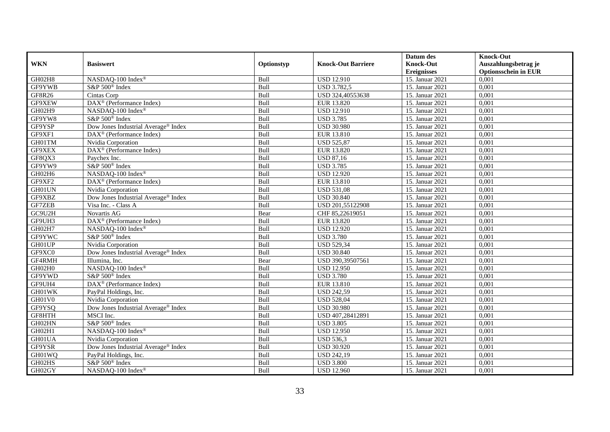|            |                                                 |             |                           | Datum des          | <b>Knock-Out</b>            |
|------------|-------------------------------------------------|-------------|---------------------------|--------------------|-----------------------------|
| <b>WKN</b> | <b>Basiswert</b>                                | Optionstyp  | <b>Knock-Out Barriere</b> | <b>Knock-Out</b>   | Auszahlungsbetrag je        |
|            |                                                 |             |                           | <b>Ereignisses</b> | <b>Optionsschein in EUR</b> |
| GH02H8     | NASDAQ-100 Index®                               | Bull        | <b>USD 12.910</b>         | 15. Januar 2021    | 0,001                       |
| GF9YWB     | S&P 500 <sup>®</sup> Index                      | Bull        | <b>USD 3.782,5</b>        | 15. Januar 2021    | 0,001                       |
| GF8R26     | Cintas Corp                                     | Bull        | USD 324,40553638          | 15. Januar 2021    | 0,001                       |
| GF9XEW     | DAX <sup>®</sup> (Performance Index)            | Bull        | EUR 13.820                | 15. Januar 2021    | 0,001                       |
| GH02H9     | NASDAQ-100 Index®                               | Bull        | <b>USD 12.910</b>         | 15. Januar 2021    | 0,001                       |
| GF9YW8     | S&P 500 <sup>®</sup> Index                      | Bull        | <b>USD 3.785</b>          | 15. Januar 2021    | 0,001                       |
| GF9YSP     | Dow Jones Industrial Average <sup>®</sup> Index | <b>Bull</b> | <b>USD 30.980</b>         | 15. Januar 2021    | 0,001                       |
| GF9XF1     | DAX <sup>®</sup> (Performance Index)            | Bull        | EUR 13.810                | 15. Januar 2021    | 0,001                       |
| GH01TM     | Nvidia Corporation                              | Bull        | <b>USD 525,87</b>         | 15. Januar 2021    | 0,001                       |
| GF9XEX     | DAX <sup>®</sup> (Performance Index)            | Bull        | EUR 13.820                | 15. Januar 2021    | 0,001                       |
| GF8QX3     | Paychex Inc.                                    | Bull        | <b>USD 87,16</b>          | 15. Januar 2021    | 0,001                       |
| GF9YW9     | S&P 500 <sup>®</sup> Index                      | Bull        | <b>USD 3.785</b>          | 15. Januar 2021    | 0,001                       |
| GH02H6     | NASDAQ-100 Index®                               | Bull        | <b>USD 12.920</b>         | 15. Januar 2021    | 0,001                       |
| GF9XF2     | $DAX^{\circledR}$ (Performance Index)           | <b>Bull</b> | EUR 13.810                | 15. Januar 2021    | 0.001                       |
| GH01UN     | Nvidia Corporation                              | Bull        | <b>USD 531,08</b>         | 15. Januar 2021    | 0,001                       |
| GF9XBZ     | Dow Jones Industrial Average® Index             | Bull        | <b>USD 30.840</b>         | 15. Januar 2021    | 0,001                       |
| GF7ZEB     | Visa Inc. - Class A                             | Bull        | USD 201,55122908          | 15. Januar 2021    | 0,001                       |
| GC9U2H     | Novartis AG                                     | Bear        | CHF 85,22619051           | 15. Januar 2021    | 0,001                       |
| GF9UH3     | DAX <sup>®</sup> (Performance Index)            | Bull        | EUR 13.820                | 15. Januar 2021    | 0,001                       |
| GH02H7     | NASDAQ-100 Index®                               | Bull        | <b>USD 12.920</b>         | 15. Januar 2021    | 0,001                       |
| GF9YWC     | S&P 500 <sup>®</sup> Index                      | Bull        | <b>USD 3.780</b>          | 15. Januar 2021    | 0,001                       |
| GH01UP     | Nvidia Corporation                              | Bull        | <b>USD 529,34</b>         | 15. Januar 2021    | 0,001                       |
| GF9XC0     | Dow Jones Industrial Average® Index             | Bull        | <b>USD 30.840</b>         | 15. Januar 2021    | 0,001                       |
| GF4RMH     | Illumina, Inc.                                  | Bear        | USD 390, 39507561         | 15. Januar 2021    | 0,001                       |
| GH02H0     | NASDAQ-100 Index®                               | Bull        | <b>USD 12.950</b>         | 15. Januar 2021    | 0,001                       |
| GF9YWD     | S&P 500 <sup>®</sup> Index                      | Bull        | <b>USD 3.780</b>          | 15. Januar 2021    | 0,001                       |
| GF9UH4     | DAX <sup>®</sup> (Performance Index)            | Bull        | <b>EUR 13.810</b>         | 15. Januar 2021    | 0,001                       |
| GH01WK     | PayPal Holdings, Inc.                           | Bull        | <b>USD 242,59</b>         | 15. Januar 2021    | 0,001                       |
| GH01V0     | Nvidia Corporation                              | Bull        | <b>USD 528,04</b>         | 15. Januar 2021    | 0,001                       |
| GF9YSQ     | Dow Jones Industrial Average® Index             | Bull        | <b>USD 30.980</b>         | 15. Januar 2021    | 0,001                       |
| GF8HTH     | MSCI Inc.                                       | Bull        | USD 407,28412891          | 15. Januar 2021    | 0,001                       |
| GH02HN     | S&P 500 <sup>®</sup> Index                      | Bull        | <b>USD 3.805</b>          | 15. Januar 2021    | 0,001                       |
| GH02H1     | NASDAQ-100 Index®                               | Bull        | <b>USD 12.950</b>         | 15. Januar 2021    | 0,001                       |
| GH01UA     | Nvidia Corporation                              | Bull        | <b>USD 536,3</b>          | 15. Januar 2021    | 0,001                       |
| GF9YSR     | Dow Jones Industrial Average® Index             | Bull        | <b>USD 30.920</b>         | 15. Januar 2021    | 0,001                       |
| GH01WQ     | PayPal Holdings, Inc.                           | Bull        | <b>USD 242,19</b>         | 15. Januar 2021    | 0,001                       |
| GH02HS     | S&P 500 <sup>®</sup> Index                      | Bull        | <b>USD 3.800</b>          | 15. Januar 2021    | 0,001                       |
| GH02GY     | NASDAQ-100 Index®                               | Bull        | <b>USD 12.960</b>         | 15. Januar 2021    | 0,001                       |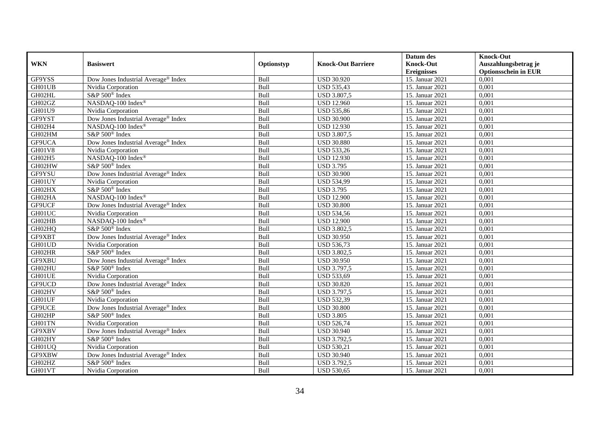|            |                                                 |            |                           | Datum des          | <b>Knock-Out</b>            |
|------------|-------------------------------------------------|------------|---------------------------|--------------------|-----------------------------|
| <b>WKN</b> | <b>Basiswert</b>                                | Optionstyp | <b>Knock-Out Barriere</b> | <b>Knock-Out</b>   | Auszahlungsbetrag je        |
|            |                                                 |            |                           | <b>Ereignisses</b> | <b>Optionsschein in EUR</b> |
| GF9YSS     | Dow Jones Industrial Average® Index             | Bull       | <b>USD 30.920</b>         | 15. Januar 2021    | 0,001                       |
| GH01UB     | Nvidia Corporation                              | Bull       | <b>USD 535,43</b>         | 15. Januar 2021    | 0,001                       |
| GH02HL     | S&P 500 <sup>®</sup> Index                      | Bull       | <b>USD 3.807,5</b>        | 15. Januar 2021    | 0,001                       |
| GH02GZ     | NASDAQ-100 Index®                               | Bull       | <b>USD 12.960</b>         | 15. Januar 2021    | 0,001                       |
| GH01U9     | Nvidia Corporation                              | Bull       | <b>USD 535,86</b>         | 15. Januar 2021    | 0,001                       |
| GF9YST     | Dow Jones Industrial Average® Index             | Bull       | <b>USD 30.900</b>         | 15. Januar 2021    | 0,001                       |
| GH02H4     | NASDAQ-100 Index®                               | Bull       | <b>USD 12.930</b>         | 15. Januar 2021    | 0,001                       |
| GH02HM     | S&P 500 <sup>®</sup> Index                      | Bull       | <b>USD 3.807,5</b>        | 15. Januar 2021    | 0,001                       |
| GF9UCA     | Dow Jones Industrial Average® Index             | Bull       | <b>USD 30.880</b>         | 15. Januar 2021    | 0,001                       |
| GH01V8     | Nvidia Corporation                              | Bull       | <b>USD 533,26</b>         | 15. Januar 2021    | 0,001                       |
| GH02H5     | NASDAQ-100 Index®                               | Bull       | <b>USD 12.930</b>         | 15. Januar 2021    | 0,001                       |
| GH02HW     | S&P 500 <sup>®</sup> Index                      | Bull       | <b>USD 3.795</b>          | 15. Januar 2021    | 0,001                       |
| GF9YSU     | Dow Jones Industrial Average® Index             | Bull       | <b>USD 30.900</b>         | 15. Januar 2021    | 0,001                       |
| GH01UY     | Nvidia Corporation                              | Bull       | <b>USD 534,99</b>         | 15. Januar 2021    | 0,001                       |
| GH02HX     | S&P 500 <sup>®</sup> Index                      | Bull       | <b>USD 3.795</b>          | 15. Januar 2021    | 0,001                       |
| GH02HA     | NASDAQ-100 Index®                               | Bull       | <b>USD 12.900</b>         | 15. Januar 2021    | 0,001                       |
| GF9UCF     | Dow Jones Industrial Average <sup>®</sup> Index | Bull       | <b>USD 30.800</b>         | 15. Januar 2021    | 0,001                       |
| GH01UC     | Nvidia Corporation                              | Bull       | <b>USD 534,56</b>         | 15. Januar 2021    | 0,001                       |
| GH02HB     | NASDAQ-100 Index®                               | Bull       | <b>USD 12.900</b>         | 15. Januar 2021    | 0,001                       |
| GH02HQ     | S&P 500 <sup>®</sup> Index                      | Bull       | <b>USD 3.802,5</b>        | 15. Januar 2021    | 0,001                       |
| GF9XBT     | Dow Jones Industrial Average <sup>®</sup> Index | Bull       | <b>USD 30.950</b>         | 15. Januar 2021    | 0,001                       |
| GH01UD     | Nvidia Corporation                              | Bull       | <b>USD 536,73</b>         | 15. Januar 2021    | 0,001                       |
| GH02HR     | S&P 500 <sup>®</sup> Index                      | Bull       | <b>USD 3.802,5</b>        | 15. Januar 2021    | 0,001                       |
| GF9XBU     | Dow Jones Industrial Average® Index             | Bull       | <b>USD 30.950</b>         | 15. Januar 2021    | 0,001                       |
| GH02HU     | S&P 500 <sup>®</sup> Index                      | Bull       | USD 3.797,5               | 15. Januar 2021    | 0,001                       |
| GH01UE     | Nvidia Corporation                              | Bull       | <b>USD 533,69</b>         | 15. Januar 2021    | 0,001                       |
| GF9UCD     | Dow Jones Industrial Average <sup>®</sup> Index | Bull       | <b>USD 30.820</b>         | 15. Januar 2021    | 0,001                       |
| GH02HV     | S&P 500 <sup>®</sup> Index                      | Bull       | <b>USD 3.797,5</b>        | 15. Januar 2021    | 0,001                       |
| GH01UF     | Nvidia Corporation                              | Bull       | <b>USD 532,39</b>         | 15. Januar 2021    | 0,001                       |
| GF9UCE     | Dow Jones Industrial Average® Index             | Bull       | <b>USD 30.800</b>         | 15. Januar 2021    | 0,001                       |
| GH02HP     | S&P 500 <sup>®</sup> Index                      | Bull       | <b>USD 3.805</b>          | 15. Januar 2021    | 0,001                       |
| GH01TN     | Nvidia Corporation                              | Bull       | <b>USD 526,74</b>         | 15. Januar 2021    | 0,001                       |
| GF9XBV     | Dow Jones Industrial Average® Index             | Bull       | <b>USD 30.940</b>         | 15. Januar 2021    | 0,001                       |
| GH02HY     | S&P 500 <sup>®</sup> Index                      | Bull       | <b>USD 3.792,5</b>        | 15. Januar 2021    | 0,001                       |
| GH01UQ     | Nvidia Corporation                              | Bull       | <b>USD 530,21</b>         | 15. Januar 2021    | 0,001                       |
| GF9XBW     | Dow Jones Industrial Average <sup>®</sup> Index | Bull       | <b>USD 30.940</b>         | 15. Januar 2021    | 0,001                       |
| GH02HZ     | S&P 500 <sup>®</sup> Index                      | Bull       | <b>USD 3.792,5</b>        | 15. Januar 2021    | 0,001                       |
| GH01VT     | Nvidia Corporation                              | Bull       | <b>USD 530,65</b>         | 15. Januar 2021    | 0,001                       |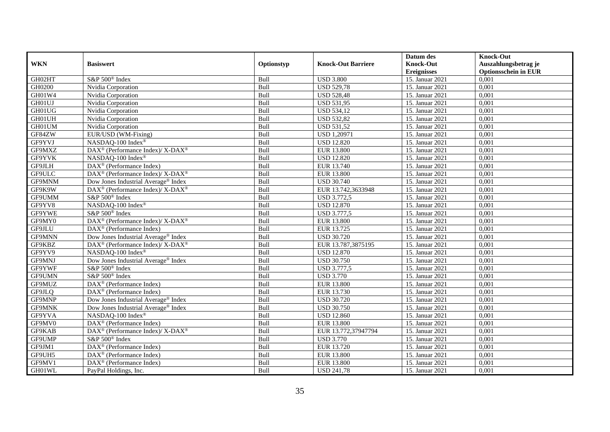|               |                                                                           |             |                           | Datum des          | <b>Knock-Out</b>            |
|---------------|---------------------------------------------------------------------------|-------------|---------------------------|--------------------|-----------------------------|
| <b>WKN</b>    | <b>Basiswert</b>                                                          | Optionstyp  | <b>Knock-Out Barriere</b> | <b>Knock-Out</b>   | Auszahlungsbetrag je        |
|               |                                                                           |             |                           | <b>Ereignisses</b> | <b>Optionsschein in EUR</b> |
| GH02HT        | S&P 500 <sup>®</sup> Index                                                | Bull        | <b>USD 3.800</b>          | 15. Januar 2021    | 0,001                       |
| GH0200        | Nvidia Corporation                                                        | Bull        | <b>USD 529,78</b>         | 15. Januar 2021    | 0,001                       |
| GH01W4        | Nvidia Corporation                                                        | Bull        | <b>USD 528,48</b>         | 15. Januar 2021    | 0,001                       |
| GH01UJ        | Nvidia Corporation                                                        | Bull        | <b>USD 531,95</b>         | 15. Januar 2021    | 0,001                       |
| GH01UG        | Nvidia Corporation                                                        | Bull        | <b>USD 534,12</b>         | 15. Januar 2021    | 0,001                       |
| GH01UH        | Nvidia Corporation                                                        | Bull        | <b>USD 532,82</b>         | 15. Januar 2021    | 0,001                       |
| GH01UM        | Nvidia Corporation                                                        | Bull        | <b>USD 531,52</b>         | 15. Januar 2021    | 0,001                       |
| GF84ZW        | EUR/USD (WM-Fixing)                                                       | Bull        | <b>USD 1,20971</b>        | 15. Januar 2021    | 0,001                       |
| GF9YVJ        | NASDAQ-100 Index®                                                         | Bull        | <b>USD 12.820</b>         | 15. Januar 2021    | 0,001                       |
| GF9MXZ        | $\overline{\text{DAX}^{\otimes}}$ (Performance Index)/X-DAX <sup>®</sup>  | Bull        | <b>EUR 13.800</b>         | 15. Januar 2021    | 0,001                       |
| GF9YVK        | NASDAQ-100 Index®                                                         | Bull        | <b>USD 12.820</b>         | 15. Januar 2021    | 0,001                       |
| GF9JLH        | DAX <sup>®</sup> (Performance Index)                                      | Bull        | EUR 13.740                | 15. Januar 2021    | 0,001                       |
| GF9ULC        | DAX <sup>®</sup> (Performance Index)/ X-DAX <sup>®</sup>                  | Bull        | <b>EUR 13.800</b>         | 15. Januar 2021    | 0,001                       |
| GF9MNM        | Dow Jones Industrial Average® Index                                       | Bull        | <b>USD 30.740</b>         | 15. Januar 2021    | 0,001                       |
| GF9K9W        | DAX <sup>®</sup> (Performance Index)/ X-DAX <sup>®</sup>                  | Bull        | EUR 13.742,3633948        | 15. Januar 2021    | 0,001                       |
| GF9UMM        | S&P 500 <sup>®</sup> Index                                                | Bull        | <b>USD 3.772,5</b>        | 15. Januar 2021    | 0,001                       |
| GF9YV8        | NASDAQ-100 Index®                                                         | Bull        | <b>USD 12.870</b>         | 15. Januar 2021    | 0,001                       |
| GF9YWE        | S&P 500 <sup>®</sup> Index                                                | Bull        | <b>USD 3.777.5</b>        | 15. Januar 2021    | 0,001                       |
| GF9MY0        | DAX <sup>®</sup> (Performance Index)/ X-DAX <sup>®</sup>                  | Bull        | <b>EUR 13.800</b>         | 15. Januar 2021    | 0,001                       |
| GF9JLU        | DAX <sup>®</sup> (Performance Index)                                      | Bull        | EUR 13.725                | 15. Januar 2021    | 0,001                       |
| GF9MNN        | Dow Jones Industrial Average® Index                                       | Bull        | <b>USD 30.720</b>         | 15. Januar 2021    | 0,001                       |
| GF9KBZ        | DAX <sup>®</sup> (Performance Index)/ X-DAX <sup>®</sup>                  | Bull        | EUR 13.787,3875195        | 15. Januar 2021    | 0,001                       |
| GF9YV9        | NASDAQ-100 Index®                                                         | Bull        | <b>USD 12.870</b>         | 15. Januar 2021    | 0,001                       |
| GF9MNJ        | Dow Jones Industrial Average® Index                                       | Bull        | <b>USD 30.750</b>         | 15. Januar 2021    | 0,001                       |
| GF9YWF        | S&P 500 <sup>®</sup> Index                                                | Bull        | <b>USD 3.777,5</b>        | 15. Januar 2021    | 0.001                       |
| GF9UMN        | S&P 500 <sup>®</sup> Index                                                | Bull        | <b>USD 3.770</b>          | 15. Januar 2021    | 0,001                       |
| GF9MUZ        | DAX <sup>®</sup> (Performance Index)                                      | Bull        | <b>EUR 13.800</b>         | 15. Januar 2021    | 0,001                       |
| GF9JLQ        | $DAX^{\circledR}$ (Performance Index)                                     | Bull        | EUR 13.730                | 15. Januar 2021    | 0,001                       |
| GF9MNP        | Dow Jones Industrial Average® Index                                       | Bull        | <b>USD 30.720</b>         | 15. Januar 2021    | 0,001                       |
| <b>GF9MNK</b> | Dow Jones Industrial Average® Index                                       | Bull        | <b>USD 30.750</b>         | 15. Januar 2021    | 0,001                       |
| GF9YVA        | NASDAQ-100 Index®                                                         | Bull        | <b>USD 12.860</b>         | 15. Januar 2021    | 0,001                       |
| GF9MV0        | $DAX^{\circledR}$ (Performance Index)                                     | <b>Bull</b> | <b>EUR 13.800</b>         | 15. Januar 2021    | 0.001                       |
| GF9KAB        | $DAX^{\circledast}$ (Performance Index)/ $\overline{X-DAX^{\circledast}}$ | Bull        | EUR 13.772,37947794       | 15. Januar 2021    | 0,001                       |
| GF9UMP        | S&P 500 <sup>®</sup> Index                                                | Bull        | <b>USD 3.770</b>          | 15. Januar 2021    | 0,001                       |
| GF9JM1        | DAX <sup>®</sup> (Performance Index)                                      | Bull        | EUR 13.720                | 15. Januar 2021    | 0,001                       |
| GF9UH5        | $DAX^{\circledcirc}$ (Performance Index)                                  | Bull        | <b>EUR 13.800</b>         | 15. Januar 2021    | 0,001                       |
| GF9MV1        | $DAX^{\circledast}$ (Performance Index)                                   | Bull        | <b>EUR 13.800</b>         | 15. Januar 2021    | 0,001                       |
| GH01WL        | PayPal Holdings, Inc.                                                     | Bull        | <b>USD 241,78</b>         | 15. Januar 2021    | 0,001                       |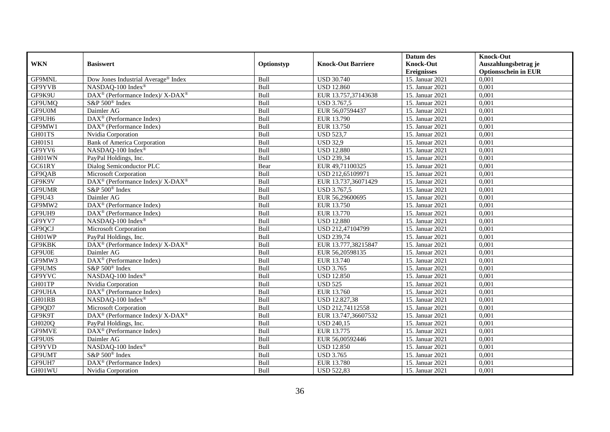|               |                                                          |            |                           | Datum des          | <b>Knock-Out</b>            |
|---------------|----------------------------------------------------------|------------|---------------------------|--------------------|-----------------------------|
| <b>WKN</b>    | <b>Basiswert</b>                                         | Optionstyp | <b>Knock-Out Barriere</b> | <b>Knock-Out</b>   | Auszahlungsbetrag je        |
|               |                                                          |            |                           | <b>Ereignisses</b> | <b>Optionsschein in EUR</b> |
| GF9MNL        | Dow Jones Industrial Average® Index                      | Bull       | <b>USD 30.740</b>         | 15. Januar 2021    | 0,001                       |
| GF9YVB        | NASDAQ-100 Index®                                        | Bull       | <b>USD 12.860</b>         | 15. Januar 2021    | 0,001                       |
| GF9K9U        | DAX <sup>®</sup> (Performance Index)/ X-DAX <sup>®</sup> | Bull       | EUR 13.757,37143638       | 15. Januar 2021    | 0,001                       |
| GF9UMQ        | S&P 500 <sup>®</sup> Index                               | Bull       | <b>USD 3.767,5</b>        | 15. Januar 2021    | 0,001                       |
| GF9U0M        | Daimler AG                                               | Bull       | EUR 56,07594437           | 15. Januar 2021    | 0,001                       |
| GF9UH6        | DAX <sup>®</sup> (Performance Index)                     | Bull       | EUR 13.790                | 15. Januar 2021    | 0,001                       |
| GF9MW1        | $DAX^{\circledast}$ (Performance Index)                  | Bull       | EUR 13.750                | 15. Januar 2021    | 0,001                       |
| GH01TS        | Nvidia Corporation                                       | Bull       | <b>USD 523,7</b>          | 15. Januar 2021    | 0,001                       |
| <b>GH01S1</b> | <b>Bank of America Corporation</b>                       | Bull       | <b>USD 32,9</b>           | 15. Januar 2021    | 0,001                       |
| GF9YV6        | NASDAQ-100 Index®                                        | Bull       | <b>USD 12.880</b>         | 15. Januar 2021    | 0,001                       |
| GH01WN        | PayPal Holdings, Inc.                                    | Bull       | <b>USD 239,34</b>         | 15. Januar 2021    | 0,001                       |
| GC61RY        | Dialog Semiconductor PLC                                 | Bear       | EUR 49,71100325           | 15. Januar 2021    | 0,001                       |
| GF9QAB        | Microsoft Corporation                                    | Bull       | USD 212,65109971          | 15. Januar 2021    | 0,001                       |
| GF9K9V        | DAX <sup>®</sup> (Performance Index)/ X-DAX <sup>®</sup> | Bull       | EUR 13.737,36071429       | 15. Januar 2021    | 0,001                       |
| GF9UMR        | S&P 500 <sup>®</sup> Index                               | Bull       | USD 3.767,5               | 15. Januar 2021    | 0,001                       |
| GF9U43        | Daimler AG                                               | Bull       | EUR 56,29600695           | 15. Januar 2021    | 0,001                       |
| GF9MW2        | DAX <sup>®</sup> (Performance Index)                     | Bull       | EUR 13.750                | 15. Januar 2021    | 0,001                       |
| GF9UH9        | $DAX^{\circledcirc}$ (Performance Index)                 | Bull       | EUR 13.770                | 15. Januar 2021    | 0,001                       |
| GF9YV7        | NASDAQ-100 Index®                                        | Bull       | <b>USD 12.880</b>         | 15. Januar 2021    | 0,001                       |
| GF9QCJ        | <b>Microsoft Corporation</b>                             | Bull       | USD 212,47104799          | 15. Januar 2021    | 0,001                       |
| GH01WP        | PayPal Holdings, Inc.                                    | Bull       | <b>USD 239,74</b>         | 15. Januar 2021    | 0,001                       |
| <b>GF9KBK</b> | DAX <sup>®</sup> (Performance Index)/X-DAX <sup>®</sup>  | Bull       | EUR 13.777,38215847       | 15. Januar 2021    | 0,001                       |
| GF9U0E        | Daimler AG                                               | Bull       | EUR 56,20598135           | 15. Januar 2021    | 0,001                       |
| GF9MW3        | DAX <sup>®</sup> (Performance Index)                     | Bull       | EUR 13.740                | 15. Januar 2021    | 0,001                       |
| GF9UMS        | S&P 500 <sup>®</sup> Index                               | Bull       | <b>USD 3.765</b>          | 15. Januar 2021    | 0,001                       |
| GF9YVC        | NASDAQ-100 Index®                                        | Bull       | <b>USD 12.850</b>         | 15. Januar 2021    | 0,001                       |
| GH01TP        | Nvidia Corporation                                       | Bull       | <b>USD 525</b>            | 15. Januar 2021    | 0,001                       |
| GF9UHA        | DAX <sup>®</sup> (Performance Index)                     | Bull       | EUR 13.760                | 15. Januar 2021    | 0,001                       |
| GH01RB        | NASDAQ-100 Index®                                        | Bull       | <b>USD 12.827,38</b>      | 15. Januar 2021    | 0,001                       |
| GF9QD7        | <b>Microsoft Corporation</b>                             | Bull       | USD 212,74112558          | 15. Januar 2021    | 0,001                       |
| GF9K9T        | DAX <sup>®</sup> (Performance Index)/ X-DAX <sup>®</sup> | Bull       | EUR 13.747,36607532       | 15. Januar 2021    | 0,001                       |
| GH020Q        | PayPal Holdings, Inc.                                    | Bull       | <b>USD 240,15</b>         | 15. Januar 2021    | 0.001                       |
| GF9MVE        | DAX <sup>®</sup> (Performance Index)                     | Bull       | EUR 13.775                | 15. Januar 2021    | 0,001                       |
| GF9U0S        | Daimler AG                                               | Bull       | EUR 56,00592446           | 15. Januar 2021    | 0,001                       |
| GF9YVD        | NASDAQ-100 Index®                                        | Bull       | <b>USD 12.850</b>         | 15. Januar 2021    | 0,001                       |
| GF9UMT        | S&P 500® Index                                           | Bull       | <b>USD 3.765</b>          | 15. Januar 2021    | 0,001                       |
| GF9UH7        | DAX <sup>®</sup> (Performance Index)                     | Bull       | EUR 13.780                | 15. Januar 2021    | 0,001                       |
| GH01WU        | Nvidia Corporation                                       | Bull       | <b>USD 522,83</b>         | 15. Januar 2021    | 0,001                       |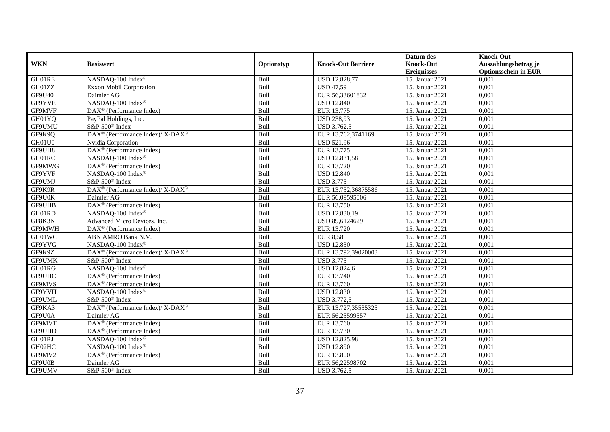|               |                                                                           |             |                           | Datum des          | <b>Knock-Out</b>            |
|---------------|---------------------------------------------------------------------------|-------------|---------------------------|--------------------|-----------------------------|
| <b>WKN</b>    | <b>Basiswert</b>                                                          | Optionstyp  | <b>Knock-Out Barriere</b> | <b>Knock-Out</b>   | Auszahlungsbetrag je        |
|               |                                                                           |             |                           | <b>Ereignisses</b> | <b>Optionsschein in EUR</b> |
| GH01RE        | NASDAQ-100 Index®                                                         | Bull        | USD 12.828,77             | 15. Januar 2021    | 0,001                       |
| GH01ZZ        | Exxon Mobil Corporation                                                   | Bull        | <b>USD 47,59</b>          | 15. Januar 2021    | 0,001                       |
| GF9U40        | Daimler AG                                                                | Bull        | EUR 56,33601832           | 15. Januar 2021    | 0,001                       |
| GF9YVE        | NASDAQ-100 Index®                                                         | Bull        | <b>USD 12.840</b>         | 15. Januar 2021    | 0,001                       |
| GF9MVF        | DAX <sup>®</sup> (Performance Index)                                      | Bull        | EUR 13.775                | 15. Januar 2021    | 0,001                       |
| GH01YQ        | PayPal Holdings, Inc.                                                     | Bull        | <b>USD 238,93</b>         | 15. Januar 2021    | 0,001                       |
| GF9UMU        | S&P 500 <sup>®</sup> Index                                                | Bull        | <b>USD 3.762.5</b>        | 15. Januar 2021    | 0,001                       |
| GF9K9Q        | DAX <sup>®</sup> (Performance Index)/ X-DAX <sup>®</sup>                  | Bull        | EUR 13.762,3741169        | 15. Januar 2021    | 0,001                       |
| GH01U0        | Nvidia Corporation                                                        | Bull        | <b>USD 521,96</b>         | 15. Januar 2021    | 0,001                       |
| GF9UH8        | DAX <sup>®</sup> (Performance Index)                                      | Bull        | EUR 13.775                | 15. Januar 2021    | 0,001                       |
| GH01RC        | NASDAQ-100 Index®                                                         | Bull        | <b>USD 12.831,58</b>      | 15. Januar 2021    | 0,001                       |
| GF9MWG        | DAX <sup>®</sup> (Performance Index)                                      | Bull        | EUR 13.720                | 15. Januar 2021    | 0,001                       |
| GF9YVF        | NASDAO-100 Index®                                                         | Bull        | <b>USD 12.840</b>         | 15. Januar 2021    | 0.001                       |
| GF9UMJ        | S&P 500 <sup>®</sup> Index                                                | Bull        | <b>USD 3.775</b>          | 15. Januar 2021    | 0,001                       |
| GF9K9R        | $DAX^{\circledast}$ (Performance Index)/ $\overline{X-DAX^{\circledast}}$ | Bull        | EUR 13.752,36875586       | 15. Januar 2021    | 0,001                       |
| GF9U0K        | Daimler AG                                                                | Bull        | EUR 56,09595006           | 15. Januar 2021    | 0,001                       |
| GF9UHB        | DAX <sup>®</sup> (Performance Index)                                      | Bull        | EUR 13.750                | 15. Januar 2021    | 0,001                       |
| GH01RD        | NASDAO-100 Index®                                                         | <b>Bull</b> | USD 12.830.19             | 15. Januar 2021    | 0,001                       |
| GF8K3N        | Advanced Micro Devices, Inc.                                              | Bull        | USD 89,6124629            | 15. Januar 2021    | 0,001                       |
| GF9MWH        | $DAX^{\circledast}$ (Performance Index)                                   | Bull        | EUR 13.720                | 15. Januar 2021    | 0,001                       |
| GH01WC        | ABN AMRO Bank N.V.                                                        | Bull        | <b>EUR 8,58</b>           | 15. Januar 2021    | 0,001                       |
| GF9YVG        | NASDAQ-100 Index®                                                         | Bull        | <b>USD 12.830</b>         | 15. Januar 2021    | 0,001                       |
| GF9K9Z        | DAX <sup>®</sup> (Performance Index)/ X-DAX <sup>®</sup>                  | Bull        | EUR 13.792,39020003       | 15. Januar 2021    | 0,001                       |
| GF9UMK        | S&P 500 <sup>®</sup> Index                                                | Bull        | <b>USD 3.775</b>          | 15. Januar 2021    | 0,001                       |
| GH01RG        | NASDAQ-100 Index®                                                         | Bull        | <b>USD 12.824,6</b>       | 15. Januar 2021    | 0,001                       |
| GF9UHC        | $DAX^{\circledast}$ (Performance Index)                                   | Bull        | EUR 13.740                | 15. Januar 2021    | 0,001                       |
| GF9MVS        | DAX <sup>®</sup> (Performance Index)                                      | Bull        | EUR 13.760                | 15. Januar 2021    | 0,001                       |
| GF9YVH        | NASDAQ-100 Index®                                                         | Bull        | <b>USD 12.830</b>         | 15. Januar 2021    | 0,001                       |
| GF9UML        | S&P 500 <sup>®</sup> Index                                                | <b>Bull</b> | <b>USD 3.772,5</b>        | 15. Januar 2021    | 0,001                       |
| GF9KA3        | $DAX^{\circledast}$ (Performance Index)/ $\overline{X-DAX^{\circledast}}$ | Bull        | EUR 13.727,35535325       | 15. Januar 2021    | 0,001                       |
| GF9U0A        | Daimler AG                                                                | Bull        | EUR 56,25599557           | 15. Januar 2021    | 0,001                       |
| GF9MVT        | DAX <sup>®</sup> (Performance Index)                                      | Bull        | EUR 13.760                | 15. Januar 2021    | 0.001                       |
| <b>GF9UHD</b> | DAX <sup>®</sup> (Performance Index)                                      | Bull        | EUR 13.730                | 15. Januar 2021    | 0,001                       |
| GH01RJ        | NASDAQ-100 Index®                                                         | Bull        | <b>USD 12.825,98</b>      | 15. Januar 2021    | 0,001                       |
| GH02HC        | NASDAQ-100 Index®                                                         | Bull        | <b>USD 12.890</b>         | 15. Januar 2021    | 0,001                       |
| GF9MV2        | $DAX^{\circledast}$ (Performance Index)                                   | Bull        | <b>EUR 13.800</b>         | 15. Januar 2021    | 0,001                       |
| GF9U0B        | Daimler AG                                                                | Bull        | EUR 56,22598702           | 15. Januar 2021    | 0,001                       |
| GF9UMV        | S&P 500 <sup>®</sup> Index                                                | Bull        | <b>USD 3.762,5</b>        | 15. Januar 2021    | 0,001                       |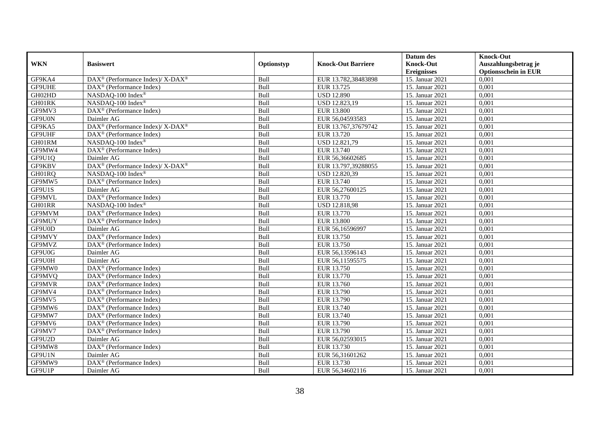|            |                                                          |             |                           | Datum des          | <b>Knock-Out</b>            |
|------------|----------------------------------------------------------|-------------|---------------------------|--------------------|-----------------------------|
| <b>WKN</b> | <b>Basiswert</b>                                         | Optionstyp  | <b>Knock-Out Barriere</b> | <b>Knock-Out</b>   | Auszahlungsbetrag je        |
|            |                                                          |             |                           | <b>Ereignisses</b> | <b>Optionsschein in EUR</b> |
| GF9KA4     | DAX <sup>®</sup> (Performance Index)/ X-DAX <sup>®</sup> | Bull        | EUR 13.782,38483898       | 15. Januar 2021    | 0,001                       |
| GF9UHE     | $DAX^{\circledR}$ (Performance Index)                    | Bull        | EUR 13.725                | 15. Januar 2021    | 0,001                       |
| GH02HD     | NASDAQ-100 Index®                                        | Bull        | <b>USD 12.890</b>         | 15. Januar 2021    | 0,001                       |
| GH01RK     | NASDAQ-100 Index®                                        | Bull        | USD 12.823,19             | 15. Januar 2021    | 0,001                       |
| GF9MV3     | DAX <sup>®</sup> (Performance Index)                     | Bull        | <b>EUR 13.800</b>         | 15. Januar 2021    | 0,001                       |
| GF9U0N     | Daimler AG                                               | Bull        | EUR 56,04593583           | 15. Januar 2021    | 0,001                       |
| GF9KA5     | DAX <sup>®</sup> (Performance Index)/ X-DAX <sup>®</sup> | Bull        | EUR 13.767,37679742       | 15. Januar 2021    | 0,001                       |
| GF9UHF     | $DAX^{\circledR}$ (Performance Index)                    | Bull        | EUR 13.720                | 15. Januar 2021    | 0,001                       |
| GH01RM     | NASDAO-100 Index®                                        | Bull        | USD 12.821,79             | 15. Januar 2021    | 0,001                       |
| GF9MW4     | $DAX^{\circledR}$ (Performance Index)                    | Bull        | EUR 13.740                | 15. Januar 2021    | 0,001                       |
| GF9U1Q     | Daimler AG                                               | Bull        | EUR 56,36602685           | 15. Januar 2021    | 0,001                       |
| GF9KBV     | DAX <sup>®</sup> (Performance Index)/ X-DAX <sup>®</sup> | Bull        | EUR 13.797,39288055       | 15. Januar 2021    | 0,001                       |
| GH01RQ     | NASDAQ-100 Index®                                        | Bull        | USD 12.820,39             | 15. Januar 2021    | 0.001                       |
| GF9MW5     | $DAX^{\circledast}$ (Performance Index)                  | Bull        | EUR 13.740                | 15. Januar 2021    | 0,001                       |
| GF9U1S     | Daimler AG                                               | Bull        | EUR 56,27600125           | 15. Januar 2021    | 0,001                       |
| GF9MVL     | DAX <sup>®</sup> (Performance Index)                     | Bull        | EUR 13.770                | 15. Januar 2021    | 0,001                       |
| GH01RR     | NASDAQ-100 Index®                                        | Bull        | <b>USD 12.818,98</b>      | 15. Januar 2021    | 0,001                       |
| GF9MVM     | $DAX^{\circledR}$ (Performance Index)                    | <b>Bull</b> | EUR 13.770                | 15. Januar 2021    | 0,001                       |
| GF9MUY     | DAX <sup>®</sup> (Performance Index)                     | Bull        | <b>EUR 13.800</b>         | 15. Januar 2021    | 0,001                       |
| GF9U0D     | Daimler AG                                               | Bull        | EUR 56,16596997           | 15. Januar 2021    | 0,001                       |
| GF9MVY     | DAX <sup>®</sup> (Performance Index)                     | Bull        | EUR 13.750                | 15. Januar 2021    | 0,001                       |
| GF9MVZ     | $DAX^{\circledR}$ (Performance Index)                    | Bull        | EUR 13.750                | 15. Januar 2021    | 0,001                       |
| GF9U0G     | Daimler AG                                               | Bull        | EUR 56,13596143           | 15. Januar 2021    | 0,001                       |
| GF9U0H     | Daimler AG                                               | Bull        | EUR 56,11595575           | 15. Januar 2021    | 0,001                       |
| GF9MW0     | DAX <sup>®</sup> (Performance Index)                     | Bull        | EUR 13.750                | 15. Januar 2021    | 0,001                       |
| GF9MVQ     | $DAX^{\circledast}$ (Performance Index)                  | Bull        | EUR 13.770                | 15. Januar 2021    | 0,001                       |
| GF9MVR     | DAX <sup>®</sup> (Performance Index)                     | Bull        | EUR 13.760                | 15. Januar 2021    | 0,001                       |
| GF9MV4     | $DAX^{\circledR}$ (Performance Index)                    | Bull        | EUR 13.790                | 15. Januar 2021    | 0,001                       |
| GF9MV5     | $DAX^{\circledR}$ (Performance Index)                    | Bull        | EUR 13.790                | 15. Januar 2021    | 0,001                       |
| GF9MW6     | $DAX^{\circledR}$ (Performance Index)                    | Bull        | EUR 13.740                | 15. Januar 2021    | 0,001                       |
| GF9MW7     | DAX <sup>®</sup> (Performance Index)                     | Bull        | EUR 13.740                | 15. Januar 2021    | 0,001                       |
| GF9MV6     | DAX <sup>®</sup> (Performance Index)                     | Bull        | EUR 13.790                | 15. Januar 2021    | 0.001                       |
| GF9MV7     | DAX <sup>®</sup> (Performance Index)                     | Bull        | EUR 13.790                | 15. Januar 2021    | 0,001                       |
| GF9U2D     | Daimler AG                                               | Bull        | EUR 56,02593015           | 15. Januar 2021    | 0,001                       |
| GF9MW8     | $DAX^{\circledast}$ (Performance Index)                  | Bull        | EUR 13.730                | 15. Januar 2021    | 0,001                       |
| GF9U1N     | Daimler AG                                               | Bull        | EUR 56,31601262           | 15. Januar 2021    | 0,001                       |
| GF9MW9     | $DAX^{\circledast}$ (Performance Index)                  | Bull        | EUR 13.730                | 15. Januar 2021    | 0,001                       |
| GF9U1P     | Daimler AG                                               | Bull        | EUR 56,34602116           | 15. Januar 2021    | 0,001                       |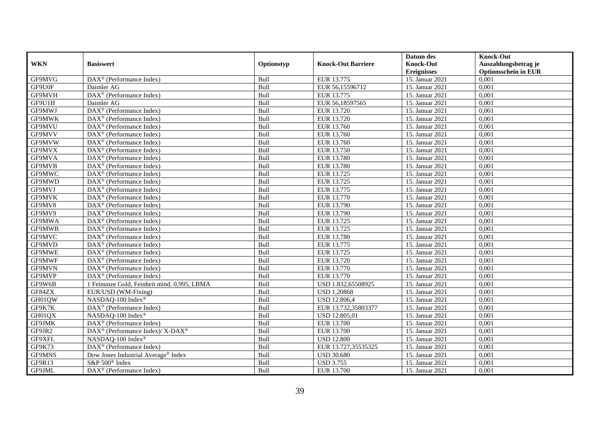|               |                                                         |             |                           | Datum des          | <b>Knock-Out</b>            |
|---------------|---------------------------------------------------------|-------------|---------------------------|--------------------|-----------------------------|
| <b>WKN</b>    | <b>Basiswert</b>                                        | Optionstyp  | <b>Knock-Out Barriere</b> | <b>Knock-Out</b>   | Auszahlungsbetrag je        |
|               |                                                         |             |                           | <b>Ereignisses</b> | <b>Optionsschein in EUR</b> |
| GF9MVG        | DAX <sup>®</sup> (Performance Index)                    | Bull        | EUR 13.775                | 15. Januar 2021    | 0,001                       |
| GF9U0F        | Daimler AG                                              | Bull        | EUR 56,15596712           | 15. Januar 2021    | 0,001                       |
| GF9MVH        | $DAX^{\circledR}$ (Performance Index)                   | Bull        | EUR 13.775                | 15. Januar 2021    | 0,001                       |
| GF9U1H        | Daimler AG                                              | Bull        | EUR 56,18597565           | 15. Januar 2021    | 0.001                       |
| GF9MWJ        | DAX <sup>®</sup> (Performance Index)                    | Bull        | EUR 13.720                | 15. Januar 2021    | 0,001                       |
| <b>GF9MWK</b> | $DAX^{\circledR}$ (Performance Index)                   | Bull        | EUR 13.720                | 15. Januar 2021    | 0,001                       |
| GF9MVU        | $DAX^{\circledR}$ (Performance Index)                   | Bull        | EUR 13.760                | 15. Januar 2021    | 0,001                       |
| GF9MVV        | DAX <sup>®</sup> (Performance Index)                    | Bull        | EUR 13.760                | 15. Januar 2021    | 0,001                       |
| GF9MVW        | $DAX^{\circledast}$ (Performance Index)                 | Bull        | EUR 13.760                | 15. Januar 2021    | 0,001                       |
| GF9MVX        | $DAX^{\circledast}$ (Performance Index)                 | Bull        | EUR 13.750                | 15. Januar 2021    | 0,001                       |
| GF9MVA        | $DAX^{\circledR}$ (Performance Index)                   | Bull        | EUR 13.780                | 15. Januar 2021    | 0.001                       |
| GF9MVB        | $DAX^{\circledR}$ (Performance Index)                   | Bull        | <b>EUR 13.780</b>         | 15. Januar 2021    | 0,001                       |
| GF9MWC        | DAX <sup>®</sup> (Performance Index)                    | Bull        | EUR 13.725                | 15. Januar 2021    | 0,001                       |
| GF9MWD        | $DAX^{\circledR}$ (Performance Index)                   | Bull        | EUR 13.725                | 15. Januar 2021    | 0,001                       |
| GF9MVJ        | $DAX^{\circledast}$ (Performance Index)                 | Bull        | EUR 13.775                | 15. Januar 2021    | 0,001                       |
| GF9MVK        | DAX <sup>®</sup> (Performance Index)                    | Bull        | EUR 13.770                | 15. Januar 2021    | 0,001                       |
| GF9MV8        | DAX <sup>®</sup> (Performance Index)                    | Bull        | EUR 13.790                | 15. Januar 2021    | 0,001                       |
| GF9MV9        | $DAX^{\circledcirc}$ (Performance Index)                | Bull        | EUR 13.790                | 15. Januar 2021    | 0,001                       |
| GF9MWA        | DAX <sup>®</sup> (Performance Index)                    | Bull        | EUR 13.725                | 15. Januar 2021    | 0,001                       |
| GF9MWB        | DAX <sup>®</sup> (Performance Index)                    | Bull        | EUR 13.725                | 15. Januar 2021    | 0,001                       |
| GF9MVC        | $DAX^{\circledR}$ (Performance Index)                   | Bull        | <b>EUR 13.780</b>         | 15. Januar 2021    | 0.001                       |
| GF9MVD        | $\overline{\text{DAX}^{\otimes}}$ (Performance Index)   | Bull        | EUR 13.775                | 15. Januar 2021    | 0,001                       |
| <b>GF9MWE</b> | $DAX^{\circledast}$ (Performance Index)                 | Bull        | EUR 13.725                | 15. Januar 2021    | 0,001                       |
| GF9MWF        | DAX <sup>®</sup> (Performance Index)                    | Bull        | EUR 13.720                | 15. Januar 2021    | 0,001                       |
| GF9MVN        | $DAX^{\circledcirc}$ (Performance Index)                | Bull        | EUR 13.770                | 15. Januar 2021    | 0.001                       |
| GF9MVP        | DAX <sup>®</sup> (Performance Index)                    | Bull        | EUR 13.770                | 15. Januar 2021    | 0,001                       |
| GF9W6B        | 1 Feinunze Gold, Feinheit mind. 0,995, LBMA             | Bull        | USD 1.832,65508925        | 15. Januar 2021    | 0,001                       |
| GF84ZX        | EUR/USD (WM-Fixing)                                     | Bull        | <b>USD 1,20868</b>        | 15. Januar 2021    | 0,001                       |
| GH01QW        | NASDAQ-100 Index®                                       | Bull        | <b>USD 12.806,4</b>       | 15. Januar 2021    | 0,001                       |
| GF9K7K        | $DAX^{\circledast}$ (Performance Index)                 | Bull        | EUR 13.732,35803377       | 15. Januar 2021    | 0,001                       |
| GH01QX        | NASDAQ-100 Index®                                       | Bull        | USD 12.805,01             | 15. Januar 2021    | 0,001                       |
| GF9JMK        | $DAX^{\circledR}$ (Performance Index)                   | <b>Bull</b> | EUR 13.700                | 15. Januar 2021    | 0.001                       |
| GF9JR2        | DAX <sup>®</sup> (Performance Index)/X-DAX <sup>®</sup> | Bull        | EUR 13.700                | 15. Januar 2021    | 0,001                       |
| GF9XFL        | NASDAQ-100 Index®                                       | Bull        | <b>USD 12.800</b>         | 15. Januar 2021    | 0,001                       |
| GF9K73        | DAX <sup>®</sup> (Performance Index)                    | Bull        | EUR 13.727,35535325       | 15. Januar 2021    | 0,001                       |
| GF9MNS        | Dow Jones Industrial Average® Index                     | Bull        | <b>USD 30.680</b>         | 15. Januar 2021    | 0,001                       |
| GF9R13        | S&P 500 <sup>®</sup> Index                              | Bull        | <b>USD 3.755</b>          | 15. Januar 2021    | 0,001                       |
| GF9JML        | DAX <sup>®</sup> (Performance Index)                    | Bull        | EUR 13.700                | 15. Januar 2021    | 0,001                       |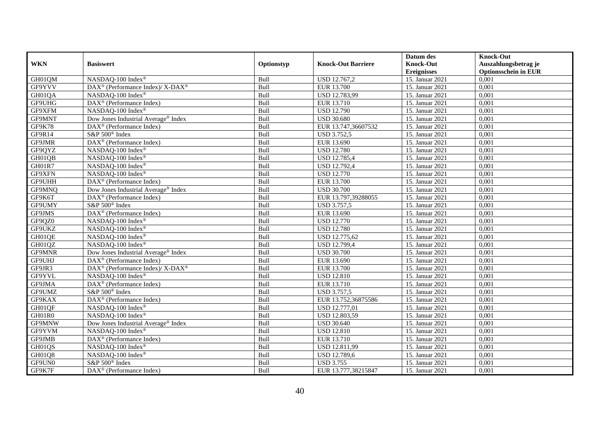|               | <b>Basiswert</b>                                            | Optionstyp | <b>Knock-Out Barriere</b> | Datum des          | <b>Knock-Out</b>            |
|---------------|-------------------------------------------------------------|------------|---------------------------|--------------------|-----------------------------|
| <b>WKN</b>    |                                                             |            |                           | <b>Knock-Out</b>   | Auszahlungsbetrag je        |
|               |                                                             |            |                           | <b>Ereignisses</b> | <b>Optionsschein in EUR</b> |
| GH01QM        | NASDAQ-100 Index®                                           | Bull       | USD 12.767,2              | 15. Januar 2021    | $\overline{0,001}$          |
| GF9YVV        | DAX <sup>®</sup> (Performance Index)/ X-DAX <sup>®</sup>    | Bull       | EUR 13.700                | 15. Januar 2021    | 0,001                       |
| GH01QA        | NASDAQ-100 Index®                                           | Bull       | USD 12.783,99             | 15. Januar 2021    | 0,001                       |
| GF9UHG        | DAX <sup>®</sup> (Performance Index)                        | Bull       | EUR 13.710                | 15. Januar 2021    | 0,001                       |
| GF9XFM        | NASDAQ-100 Index®                                           | Bull       | <b>USD 12.790</b>         | 15. Januar 2021    | 0,001                       |
| GF9MNT        | Dow Jones Industrial Average® Index                         | Bull       | <b>USD 30.680</b>         | 15. Januar 2021    | 0,001                       |
| <b>GF9K78</b> | DAX <sup>®</sup> (Performance Index)                        | Bull       | EUR 13.747,36607532       | 15. Januar 2021    | 0,001                       |
| GF9R14        | S&P 500 <sup>®</sup> Index                                  | Bull       | <b>USD 3.752,5</b>        | 15. Januar 2021    | 0,001                       |
| GF9JMR        | DAX <sup>®</sup> (Performance Index)                        | Bull       | EUR 13.690                | 15. Januar 2021    | 0,001                       |
| GF9QYZ        | NASDAQ-100 Index®                                           | Bull       | <b>USD 12.780</b>         | 15. Januar 2021    | 0,001                       |
| GH01QB        | NASDAQ-100 Index®                                           | Bull       | <b>USD 12.785,4</b>       | 15. Januar 2021    | 0,001                       |
| GH01R7        | NASDAQ-100 Index®                                           | Bull       | <b>USD 12.792,4</b>       | 15. Januar 2021    | 0,001                       |
| GF9XFN        | NASDAQ-100 Index®                                           | Bull       | <b>USD 12.770</b>         | 15. Januar 2021    | 0,001                       |
| <b>GF9UHH</b> | $DAX^{\circledast}$ (Performance Index)                     | Bull       | <b>EUR 13.700</b>         | 15. Januar 2021    | 0,001                       |
| GF9MNQ        | Dow Jones Industrial Average <sup>®</sup> Index             | Bull       | <b>USD 30.700</b>         | 15. Januar 2021    | 0,001                       |
| GF9K6T        | DAX <sup>®</sup> (Performance Index)                        | Bull       | EUR 13.797,39288055       | 15. Januar 2021    | 0,001                       |
| GF9UMY        | S&P 500 <sup>®</sup> Index                                  | Bull       | <b>USD 3.757,5</b>        | 15. Januar 2021    | 0,001                       |
| GF9JMS        | DAX <sup>®</sup> (Performance Index)                        | Bull       | EUR 13.690                | 15. Januar 2021    | 0,001                       |
| GF9QZ0        | NASDAQ-100 Index®                                           | Bull       | <b>USD 12.770</b>         | 15. Januar 2021    | 0,001                       |
| GF9UKZ        | NASDAQ-100 Index®                                           | Bull       | <b>USD 12.780</b>         | 15. Januar 2021    | 0,001                       |
| GH01QE        | NASDAQ-100 Index®                                           | Bull       | USD 12.775,62             | 15. Januar 2021    | 0,001                       |
| GH01QZ        | NASDAQ-100 Index®                                           | Bull       | <b>USD 12.799,4</b>       | 15. Januar 2021    | 0,001                       |
| GF9MNR        | Dow Jones Industrial Average <sup>®</sup> Index             | Bull       | <b>USD 30.700</b>         | 15. Januar 2021    | 0,001                       |
| GF9UHJ        | DAX <sup>®</sup> (Performance Index)                        | Bull       | EUR 13.690                | 15. Januar 2021    | 0,001                       |
| GF9JR3        | $DAX^{\circledast}$ (Performance Index)/ X-DAX <sup>®</sup> | Bull       | <b>EUR 13.700</b>         | 15. Januar 2021    | 0,001                       |
| GF9YVL        | NASDAQ-100 Index®                                           | Bull       | <b>USD 12.810</b>         | 15. Januar 2021    | 0,001                       |
| GF9JMA        | DAX <sup>®</sup> (Performance Index)                        | Bull       | <b>EUR 13.710</b>         | 15. Januar 2021    | 0,001                       |
| GF9UMZ        | S&P 500 <sup>®</sup> Index                                  | Bull       | <b>USD 3.757,5</b>        | 15. Januar 2021    | 0,001                       |
| GF9KAX        | DAX <sup>®</sup> (Performance Index)                        | Bull       | EUR 13.752,36875586       | 15. Januar 2021    | 0,001                       |
| GH01QF        | NASDAQ-100 Index®                                           | Bull       | USD 12.777,01             | 15. Januar 2021    | 0,001                       |
| GH01R0        | NASDAQ-100 Index®                                           | Bull       | USD 12.803,59             | 15. Januar 2021    | 0,001                       |
| GF9MNW        | Dow Jones Industrial Average <sup>®</sup> Index             | Bull       | <b>USD 30.640</b>         | 15. Januar 2021    | 0.001                       |
| GF9YVM        | NASDAQ-100 Index®                                           | Bull       | <b>USD 12.810</b>         | 15. Januar 2021    | 0,001                       |
| GF9JMB        | DAX <sup>®</sup> (Performance Index)                        | Bull       | EUR 13.710                | 15. Januar 2021    | 0,001                       |
| GH01QS        | NASDAQ-100 Index®                                           | Bull       | USD 12.811,99             | 15. Januar 2021    | 0,001                       |
| GH01Q8        | NASDAQ-100 Index®                                           | Bull       | USD 12.789,6              | 15. Januar 2021    | 0,001                       |
| GF9UN0        | S&P 500 <sup>®</sup> Index                                  | Bull       | <b>USD 3.755</b>          | 15. Januar 2021    | 0,001                       |
| GF9K7F        | $\overline{\text{DAX}^{\otimes}}$ (Performance Index)       | Bull       | EUR 13.777,38215847       | 15. Januar 2021    | 0,001                       |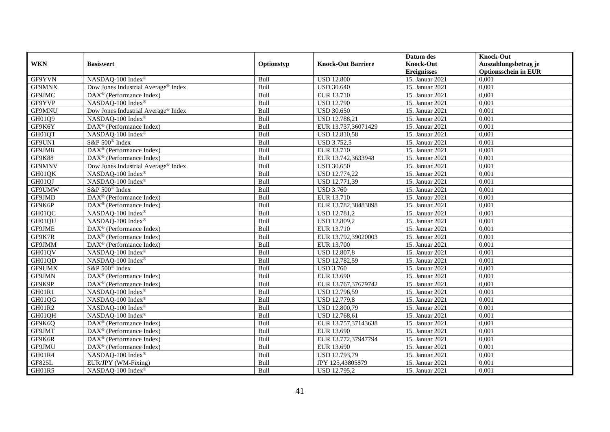|               |                                                       |            |                           | Datum des          | <b>Knock-Out</b>            |
|---------------|-------------------------------------------------------|------------|---------------------------|--------------------|-----------------------------|
| <b>WKN</b>    | <b>Basiswert</b>                                      | Optionstyp | <b>Knock-Out Barriere</b> | <b>Knock-Out</b>   | Auszahlungsbetrag je        |
|               |                                                       |            |                           | <b>Ereignisses</b> | <b>Optionsschein in EUR</b> |
| GF9YVN        | NASDAQ-100 Index®                                     | Bull       | <b>USD 12.800</b>         | 15. Januar 2021    | 0,001                       |
| GF9MNX        | Dow Jones Industrial Average® Index                   | Bull       | <b>USD 30.640</b>         | 15. Januar 2021    | 0,001                       |
| GF9JMC        | $DAX^{\circledast}$ (Performance Index)               | Bull       | EUR 13.710                | 15. Januar 2021    | 0,001                       |
| GF9YVP        | NASDAQ-100 Index®                                     | Bull       | <b>USD 12.790</b>         | 15. Januar 2021    | 0,001                       |
| GF9MNU        | Dow Jones Industrial Average <sup>®</sup> Index       | Bull       | <b>USD 30.650</b>         | 15. Januar 2021    | 0,001                       |
| GH01Q9        | NASDAQ-100 Index®                                     | Bull       | USD 12.788,21             | 15. Januar 2021    | 0,001                       |
| GF9K6Y        | $\overline{\text{DAX}^{\otimes}}$ (Performance Index) | Bull       | EUR 13.737,36071429       | 15. Januar 2021    | 0,001                       |
| GH01QT        | NASDAQ-100 Index®                                     | Bull       | <b>USD 12.810,58</b>      | 15. Januar 2021    | 0,001                       |
| GF9UN1        | S&P 500 <sup>®</sup> Index                            | Bull       | <b>USD 3.752,5</b>        | 15. Januar 2021    | 0,001                       |
| GF9JM8        | DAX <sup>®</sup> (Performance Index)                  | Bull       | EUR 13.710                | 15. Januar 2021    | 0,001                       |
| GF9K88        | DAX <sup>®</sup> (Performance Index)                  | Bull       | EUR 13.742,3633948        | 15. Januar 2021    | 0,001                       |
| GF9MNV        | Dow Jones Industrial Average <sup>®</sup> Index       | Bull       | <b>USD 30.650</b>         | 15. Januar 2021    | 0,001                       |
| GH01QK        | NASDAQ-100 Index®                                     | Bull       | USD 12.774,22             | 15. Januar 2021    | 0,001                       |
| GH01QJ        | NASDAQ-100 Index®                                     | Bull       | USD 12.771,39             | 15. Januar 2021    | 0,001                       |
| GF9UMW        | S&P 500 <sup>®</sup> Index                            | Bull       | <b>USD 3.760</b>          | 15. Januar 2021    | 0,001                       |
| GF9JMD        | DAX <sup>®</sup> (Performance Index)                  | Bull       | EUR 13.710                | 15. Januar 2021    | 0,001                       |
| GF9K6P        | DAX <sup>®</sup> (Performance Index)                  | Bull       | EUR 13.782,38483898       | 15. Januar 2021    | 0,001                       |
| GH01QC        | NASDAQ-100 Index®                                     | Bull       | USD 12.781,2              | 15. Januar 2021    | 0,001                       |
| GH01QU        | NASDAQ-100 Index®                                     | Bull       | USD 12.809,2              | 15. Januar 2021    | 0,001                       |
| GF9JME        | $DAX^{\circledast}$ (Performance Index)               | Bull       | EUR 13.710                | 15. Januar 2021    | 0,001                       |
| GF9K7R        | DAX <sup>®</sup> (Performance Index)                  | Bull       | EUR 13.792,39020003       | 15. Januar 2021    | 0,001                       |
| GF9JMM        | $\overline{\text{DAX}^{\otimes}}$ (Performance Index) | Bull       | EUR 13.700                | 15. Januar 2021    | 0,001                       |
| GH01QV        | NASDAQ-100 Index®                                     | Bull       | <b>USD 12.807,8</b>       | 15. Januar 2021    | 0,001                       |
| GH01QD        | NASDAQ-100 Index®                                     | Bull       | <b>USD 12.782,59</b>      | 15. Januar 2021    | 0,001                       |
| GF9UMX        | S&P 500 <sup>®</sup> Index                            | Bull       | <b>USD 3.760</b>          | 15. Januar 2021    | 0,001                       |
| GF9JMN        | DAX <sup>®</sup> (Performance Index)                  | Bull       | EUR 13.690                | 15. Januar 2021    | 0,001                       |
| GF9K9P        | $\overline{\text{DAX}^{\otimes}}$ (Performance Index) | Bull       | EUR 13.767,37679742       | 15. Januar 2021    | 0,001                       |
| GH01R1        | NASDAQ-100 Index®                                     | Bull       | USD 12.796,59             | 15. Januar 2021    | 0,001                       |
| GH01QG        | NASDAQ-100 Index®                                     | Bull       | <b>USD 12.779,8</b>       | 15. Januar 2021    | 0,001                       |
| <b>GH01R2</b> | NASDAQ-100 Index®                                     | Bull       | USD 12.800,79             | 15. Januar 2021    | 0.001                       |
| GH01QH        | NASDAQ-100 Index®                                     | Bull       | USD 12.768,61             | 15. Januar 2021    | 0,001                       |
| GF9K6Q        | DAX <sup>®</sup> (Performance Index)                  | Bull       | EUR 13.757,37143638       | 15. Januar 2021    | 0,001                       |
| GF9JMT        | $DAX^{\circledR}$ (Performance Index)                 | Bull       | EUR 13.690                | 15. Januar 2021    | 0,001                       |
| GF9K6R        | DAX <sup>®</sup> (Performance Index)                  | Bull       | EUR 13.772,37947794       | 15. Januar 2021    | 0,001                       |
| GF9JMU        | DAX <sup>®</sup> (Performance Index)                  | Bull       | EUR 13.690                | 15. Januar 2021    | 0,001                       |
| GH01R4        | NASDAQ-100 Index®                                     | Bull       | USD 12.793,79             | 15. Januar 2021    | 0,001                       |
| <b>GF825L</b> | EUR/JPY (WM-Fixing)                                   | Bull       | JPY 125,43805879          | 15. Januar 2021    | 0,001                       |
| GH01R5        | NASDAQ-100 Index®                                     | Bull       | USD 12.795,2              | 15. Januar 2021    | 0,001                       |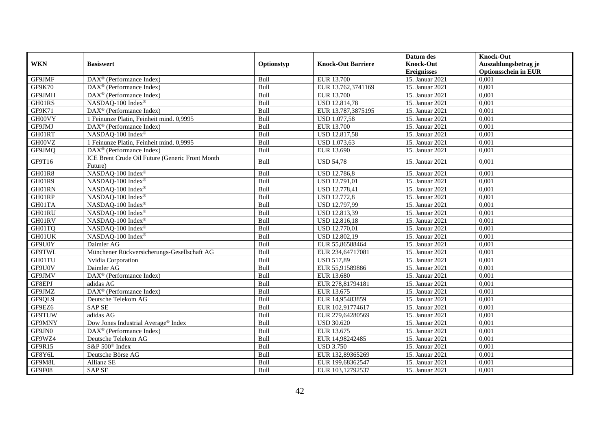|               |                                                 |            |                           | Datum des          | <b>Knock-Out</b>            |
|---------------|-------------------------------------------------|------------|---------------------------|--------------------|-----------------------------|
| <b>WKN</b>    | <b>Basiswert</b>                                | Optionstyp | <b>Knock-Out Barriere</b> | <b>Knock-Out</b>   | Auszahlungsbetrag je        |
|               |                                                 |            |                           | <b>Ereignisses</b> | <b>Optionsschein in EUR</b> |
| GF9JMF        | DAX <sup>®</sup> (Performance Index)            | Bull       | EUR 13.700                | 15. Januar 2021    | 0,001                       |
| <b>GF9K70</b> | $DAX^{\circledR}$ (Performance Index)           | Bull       | EUR 13.762,3741169        | 15. Januar 2021    | 0,001                       |
| GF9JMH        | DAX <sup>®</sup> (Performance Index)            | Bull       | <b>EUR 13.700</b>         | 15. Januar 2021    | 0,001                       |
| GH01RS        | NASDAQ-100 Index®                               | Bull       | <b>USD 12.814,78</b>      | 15. Januar 2021    | 0,001                       |
| GF9K71        | DAX <sup>®</sup> (Performance Index)            | Bull       | EUR 13.787,3875195        | 15. Januar 2021    | 0,001                       |
| GH00VY        | 1 Feinunze Platin, Feinheit mind. 0,9995        | Bull       | <b>USD 1.077,58</b>       | 15. Januar 2021    | 0,001                       |
| GF9JMJ        | $DAX^{\circledast}$ (Performance Index)         | Bull       | EUR 13.700                | 15. Januar 2021    | 0,001                       |
| GH01RT        | NASDAQ-100 Index®                               | Bull       | <b>USD 12.817,58</b>      | 15. Januar 2021    | 0,001                       |
| GH00VZ        | 1 Feinunze Platin, Feinheit mind. 0,9995        | Bull       | <b>USD 1.073,63</b>       | 15. Januar 2021    | 0,001                       |
| GF9JMQ        | DAX <sup>®</sup> (Performance Index)            | Bull       | EUR 13.690                | 15. Januar 2021    | 0,001                       |
| GF9T16        | ICE Brent Crude Oil Future (Generic Front Month | Bull       | <b>USD 54,78</b>          | 15. Januar 2021    | 0,001                       |
|               | Future)                                         |            |                           |                    |                             |
| <b>GH01R8</b> | NASDAQ-100 Index®                               | Bull       | <b>USD 12.786,8</b>       | 15. Januar 2021    | 0.001                       |
| GH01R9        | NASDAQ-100 Index®                               | Bull       | <b>USD 12.791,01</b>      | 15. Januar 2021    | 0,001                       |
| GH01RN        | NASDAQ-100 Index®                               | Bull       | <b>USD 12.778,41</b>      | 15. Januar 2021    | 0,001                       |
| GH01RP        | NASDAQ-100 Index®                               | Bull       | <b>USD 12.772,8</b>       | 15. Januar 2021    | 0,001                       |
| GH01TA        | NASDAQ-100 Index®                               | Bull       | <b>USD 12.797,99</b>      | 15. Januar 2021    | 0,001                       |
| GH01RU        | NASDAQ-100 Index®                               | Bull       | USD 12.813,39             | 15. Januar 2021    | 0,001                       |
| GH01RV        | NASDAQ-100 Index®                               | Bull       | <b>USD 12.816,18</b>      | 15. Januar 2021    | 0,001                       |
| GH01TQ        | NASDAQ-100 Index®                               | Bull       | <b>USD 12.770,01</b>      | 15. Januar 2021    | 0,001                       |
| GH01UK        | NASDAQ-100 Index®                               | Bull       | USD 12.802,19             | 15. Januar 2021    | 0,001                       |
| GF9U0Y        | Daimler AG                                      | Bull       | EUR 55,86588464           | 15. Januar 2021    | 0,001                       |
| GF9TWL        | Münchener Rückversicherungs-Gesellschaft AG     | Bull       | EUR 234,64717081          | 15. Januar 2021    | 0,001                       |
| GH01TU        | Nvidia Corporation                              | Bull       | <b>USD 517,89</b>         | 15. Januar 2021    | 0,001                       |
| GF9U0V        | Daimler AG                                      | Bull       | EUR 55,91589886           | 15. Januar 2021    | 0,001                       |
| GF9JMV        | $DAX^{\circledast}$ (Performance Index)         | Bull       | EUR 13.680                | 15. Januar 2021    | 0,001                       |
| GF8EPJ        | adidas AG                                       | Bull       | EUR 278,81794181          | 15. Januar 2021    | 0,001                       |
| GF9JMZ        | $DAX^{\circledR}$ (Performance Index)           | Bull       | EUR 13.675                | 15. Januar 2021    | 0,001                       |
| GF9QL9        | Deutsche Telekom AG                             | Bull       | EUR 14,95483859           | 15. Januar 2021    | 0,001                       |
| GF9EZ6        | <b>SAP SE</b>                                   | Bull       | EUR 102,91774617          | 15. Januar 2021    | 0,001                       |
| <b>GF9TUW</b> | adidas AG                                       | Bull       | EUR 279,64280569          | 15. Januar 2021    | 0,001                       |
| GF9MNY        | Dow Jones Industrial Average <sup>®</sup> Index | Bull       | <b>USD 30.620</b>         | 15. Januar 2021    | 0,001                       |
| GF9JN0        | DAX <sup>®</sup> (Performance Index)            | Bull       | EUR 13.675                | 15. Januar 2021    | 0,001                       |
| GF9WZ4        | Deutsche Telekom AG                             | Bull       | EUR 14,98242485           | 15. Januar 2021    | 0,001                       |
| GF9R15        | S&P 500 <sup>®</sup> Index                      | Bull       | <b>USD 3.750</b>          | 15. Januar 2021    | 0,001                       |
| GF8Y6L        | Deutsche Börse AG                               | Bull       | EUR 132,89365269          | 15. Januar 2021    | 0,001                       |
| GF9M8L        | Allianz SE                                      | Bull       | EUR 199,68362547          | 15. Januar 2021    | 0,001                       |
| GF9F08        | <b>SAP SE</b>                                   | Bull       | EUR 103,12792537          | 15. Januar 2021    | 0,001                       |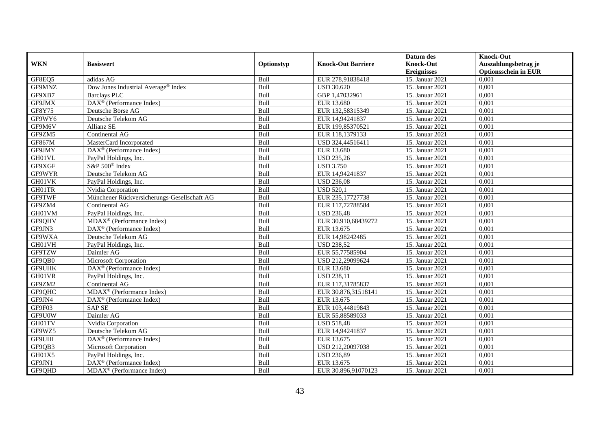|               |                                             |             |                           | Datum des          | <b>Knock-Out</b>            |
|---------------|---------------------------------------------|-------------|---------------------------|--------------------|-----------------------------|
| <b>WKN</b>    | <b>Basiswert</b>                            | Optionstyp  | <b>Knock-Out Barriere</b> | <b>Knock-Out</b>   | Auszahlungsbetrag je        |
|               |                                             |             |                           | <b>Ereignisses</b> | <b>Optionsschein in EUR</b> |
| GF8EQ5        | adidas AG                                   | Bull        | EUR 278,91838418          | 15. Januar 2021    | 0,001                       |
| GF9MNZ        | Dow Jones Industrial Average® Index         | Bull        | <b>USD 30.620</b>         | 15. Januar 2021    | 0,001                       |
| GF9XB7        | <b>Barclays PLC</b>                         | Bull        | GBP 1,47032961            | 15. Januar 2021    | 0,001                       |
| GF9JMX        | DAX <sup>®</sup> (Performance Index)        | Bull        | EUR 13.680                | 15. Januar 2021    | 0,001                       |
| GF8Y75        | Deutsche Börse AG                           | Bull        | EUR 132,58315349          | 15. Januar 2021    | 0,001                       |
| GF9WY6        | Deutsche Telekom AG                         | Bull        | EUR 14,94241837           | 15. Januar 2021    | 0,001                       |
| GF9M6V        | Allianz SE                                  | Bull        | EUR 199,85370521          | 15. Januar 2021    | 0,001                       |
| GF9ZM5        | Continental AG                              | Bull        | EUR 118,1379133           | 15. Januar 2021    | 0,001                       |
| <b>GF867M</b> | MasterCard Incorporated                     | Bull        | USD 324,44516411          | 15. Januar 2021    | 0,001                       |
| GF9JMY        | $DAX^{\circledast}$ (Performance Index)     | Bull        | EUR 13.680                | 15. Januar 2021    | 0,001                       |
| GH01VL        | PayPal Holdings, Inc.                       | Bull        | <b>USD 235,26</b>         | 15. Januar 2021    | 0,001                       |
| GF9XGF        | S&P 500 <sup>®</sup> Index                  | Bull        | <b>USD 3.750</b>          | 15. Januar 2021    | 0,001                       |
| GF9WYR        | Deutsche Telekom AG                         | Bull        | EUR 14,94241837           | 15. Januar 2021    | 0,001                       |
| GH01VK        | PayPal Holdings, Inc.                       | Bull        | <b>USD 236,08</b>         | 15. Januar 2021    | 0,001                       |
| GH01TR        | Nvidia Corporation                          | Bull        | <b>USD 520,1</b>          | 15. Januar 2021    | 0,001                       |
| <b>GF9TWF</b> | Münchener Rückversicherungs-Gesellschaft AG | Bull        | EUR 235,17727738          | 15. Januar 2021    | 0,001                       |
| GF9ZM4        | Continental AG                              | Bull        | EUR 117,72788584          | 15. Januar 2021    | 0,001                       |
| GH01VM        | PayPal Holdings, Inc.                       | <b>Bull</b> | <b>USD 236.48</b>         | 15. Januar 2021    | 0,001                       |
| GF9QHV        | MDAX <sup>®</sup> (Performance Index)       | Bull        | EUR 30.910,68439272       | 15. Januar 2021    | 0,001                       |
| GF9JN3        | $DAX^{\circledast}$ (Performance Index)     | Bull        | EUR 13.675                | 15. Januar 2021    | 0,001                       |
| GF9WXA        | Deutsche Telekom AG                         | Bull        | EUR 14,98242485           | 15. Januar 2021    | 0,001                       |
| GH01VH        | PayPal Holdings, Inc.                       | Bull        | <b>USD 238,52</b>         | 15. Januar 2021    | 0,001                       |
| GF9TZW        | Daimler AG                                  | Bull        | EUR 55,77585904           | 15. Januar 2021    | 0,001                       |
| GF9QB0        | Microsoft Corporation                       | Bull        | USD 212,29099624          | 15. Januar 2021    | 0,001                       |
| GF9UHK        | $DAX^{\circledR}$ (Performance Index)       | Bull        | EUR 13.680                | 15. Januar 2021    | 0,001                       |
| GH01VR        | PayPal Holdings, Inc.                       | Bull        | <b>USD 238,11</b>         | 15. Januar 2021    | 0,001                       |
| GF9ZM2        | Continental AG                              | Bull        | EUR 117,31785837          | 15. Januar 2021    | 0,001                       |
| GF9QHC        | MDAX <sup>®</sup> (Performance Index)       | Bull        | EUR 30.876,31518141       | 15. Januar 2021    | 0,001                       |
| GF9JN4        | DAX <sup>®</sup> (Performance Index)        | Bull        | EUR 13.675                | 15. Januar 2021    | 0,001                       |
| GF9F03        | <b>SAP SE</b>                               | Bull        | EUR 103,44819843          | 15. Januar 2021    | 0,001                       |
| GF9U0W        | Daimler AG                                  | Bull        | EUR 55,88589033           | 15. Januar 2021    | 0,001                       |
| GH01TV        | Nvidia Corporation                          | Bull        | <b>USD 518,48</b>         | 15. Januar 2021    | 0.001                       |
| GF9WZ5        | Deutsche Telekom AG                         | Bull        | EUR 14,94241837           | 15. Januar 2021    | 0,001                       |
| GF9UHL        | DAX <sup>®</sup> (Performance Index)        | Bull        | EUR 13.675                | 15. Januar 2021    | 0,001                       |
| GF9QB3        | Microsoft Corporation                       | Bull        | USD 212,20097038          | 15. Januar 2021    | 0,001                       |
| GH01X5        | PayPal Holdings, Inc.                       | Bull        | <b>USD 236,89</b>         | 15. Januar 2021    | 0,001                       |
| GF9JN1        | $DAX^{\circledast}$ (Performance Index)     | Bull        | EUR 13.675                | 15. Januar 2021    | 0,001                       |
| GF9QHD        | $MDAX^{\circledcirc}$ (Performance Index)   | Bull        | EUR 30.896,91070123       | 15. Januar 2021    | 0,001                       |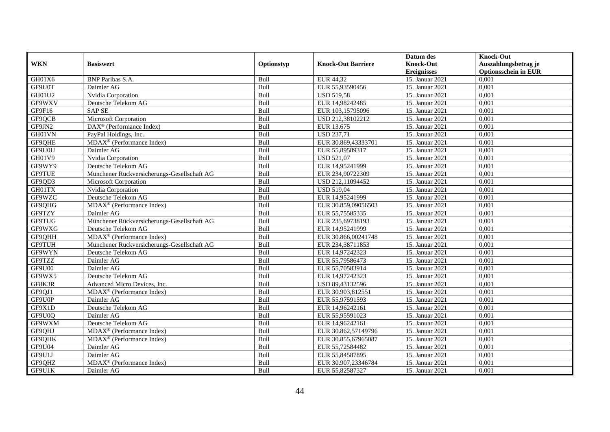|               |                                             |            |                           | Datum des          | <b>Knock-Out</b>            |
|---------------|---------------------------------------------|------------|---------------------------|--------------------|-----------------------------|
| <b>WKN</b>    | <b>Basiswert</b>                            | Optionstyp | <b>Knock-Out Barriere</b> | <b>Knock-Out</b>   | Auszahlungsbetrag je        |
|               |                                             |            |                           | <b>Ereignisses</b> | <b>Optionsschein in EUR</b> |
| GH01X6        | <b>BNP</b> Paribas S.A.                     | Bull       | EUR 44,32                 | 15. Januar 2021    | 0,001                       |
| GF9U0T        | Daimler AG                                  | Bull       | EUR 55,93590456           | 15. Januar 2021    | 0,001                       |
| GH01U2        | Nvidia Corporation                          | Bull       | <b>USD 519,58</b>         | 15. Januar 2021    | 0,001                       |
| GF9WXV        | Deutsche Telekom AG                         | Bull       | EUR 14,98242485           | 15. Januar 2021    | 0,001                       |
| GF9F16        | <b>SAP SE</b>                               | Bull       | EUR 103,15795096          | 15. Januar 2021    | 0,001                       |
| GF9QCB        | <b>Microsoft Corporation</b>                | Bull       | USD 212,38102212          | 15. Januar 2021    | 0,001                       |
| GF9JN2        | $DAX^{\circledast}$ (Performance Index)     | Bull       | EUR 13.675                | 15. Januar 2021    | 0,001                       |
| GH01VN        | PayPal Holdings, Inc.                       | Bull       | <b>USD 237,71</b>         | 15. Januar 2021    | 0,001                       |
| GF9QHE        | MDAX <sup>®</sup> (Performance Index)       | Bull       | EUR 30.869,43333701       | 15. Januar 2021    | 0,001                       |
| GF9U0U        | Daimler AG                                  | Bull       | EUR 55,89589317           | 15. Januar 2021    | 0,001                       |
| GH01V9        | Nvidia Corporation                          | Bull       | <b>USD 521,07</b>         | 15. Januar 2021    | 0,001                       |
| GF9WY9        | Deutsche Telekom AG                         | Bull       | EUR 14,95241999           | 15. Januar 2021    | 0,001                       |
| <b>GF9TUE</b> | Münchener Rückversicherungs-Gesellschaft AG | Bull       | EUR 234,90722309          | 15. Januar 2021    | 0,001                       |
| GF9QD3        | Microsoft Corporation                       | Bull       | USD 212,11094452          | 15. Januar 2021    | 0,001                       |
| GH01TX        | Nvidia Corporation                          | Bull       | <b>USD 519,04</b>         | 15. Januar 2021    | 0,001                       |
| GF9WZC        | Deutsche Telekom AG                         | Bull       | EUR 14,95241999           | 15. Januar 2021    | 0,001                       |
| GF9QHG        | $MDAX^{\circledR}$ (Performance Index)      | Bull       | EUR 30.859,09056503       | 15. Januar 2021    | 0,001                       |
| GF9TZY        | Daimler AG                                  | Bull       | EUR 55,75585335           | 15. Januar 2021    | 0,001                       |
| GF9TUG        | Münchener Rückversicherungs-Gesellschaft AG | Bull       | EUR 235,69738193          | 15. Januar 2021    | 0,001                       |
| GF9WXG        | Deutsche Telekom AG                         | Bull       | EUR 14,95241999           | 15. Januar 2021    | 0,001                       |
| GF9QHH        | MDAX <sup>®</sup> (Performance Index)       | Bull       | EUR 30.866,00241748       | 15. Januar 2021    | 0.001                       |
| <b>GF9TUH</b> | Münchener Rückversicherungs-Gesellschaft AG | Bull       | EUR 234,38711853          | 15. Januar 2021    | 0.001                       |
| GF9WYN        | Deutsche Telekom AG                         | Bull       | EUR 14,97242323           | 15. Januar 2021    | 0,001                       |
| GF9TZZ        | Daimler AG                                  | Bull       | EUR 55,79586473           | 15. Januar 2021    | 0,001                       |
| GF9U00        | Daimler AG                                  | Bull       | EUR 55,70583914           | 15. Januar 2021    | 0,001                       |
| GF9WX5        | Deutsche Telekom AG                         | Bull       | EUR 14,97242323           | 15. Januar 2021    | 0,001                       |
| GF8K3R        | Advanced Micro Devices, Inc.                | Bull       | USD 89,43132596           | 15. Januar 2021    | 0,001                       |
| GF9QJ1        | MDAX <sup>®</sup> (Performance Index)       | Bull       | EUR 30.903,812551         | 15. Januar 2021    | 0,001                       |
| GF9U0P        | Daimler AG                                  | Bull       | EUR 55,97591593           | 15. Januar 2021    | 0,001                       |
| GF9X1D        | Deutsche Telekom AG                         | Bull       | EUR 14,96242161           | 15. Januar 2021    | 0.001                       |
| GF9U0Q        | Daimler AG                                  | Bull       | EUR 55,95591023           | 15. Januar 2021    | 0,001                       |
| GF9WXM        | Deutsche Telekom AG                         | Bull       | EUR 14,96242161           | 15. Januar 2021    | 0,001                       |
| GF9QHJ        | $MDAX^{\circledR}$ (Performance Index)      | Bull       | EUR 30.862,57149796       | 15. Januar 2021    | 0,001                       |
| GF9QHK        | MDAX <sup>®</sup> (Performance Index)       | Bull       | EUR 30.855,67965087       | 15. Januar 2021    | 0,001                       |
| GF9U04        | Daimler AG                                  | Bull       | EUR 55,72584482           | 15. Januar 2021    | 0,001                       |
| GF9U1J        | Daimler AG                                  | Bull       | EUR 55,84587895           | 15. Januar 2021    | 0,001                       |
| GF9QHZ        | $MDAX^{\circledR}$ (Performance Index)      | Bull       | EUR 30.907,23346784       | 15. Januar 2021    | 0,001                       |
| GF9U1K        | Daimler AG                                  | Bull       | EUR 55,82587327           | 15. Januar 2021    | 0,001                       |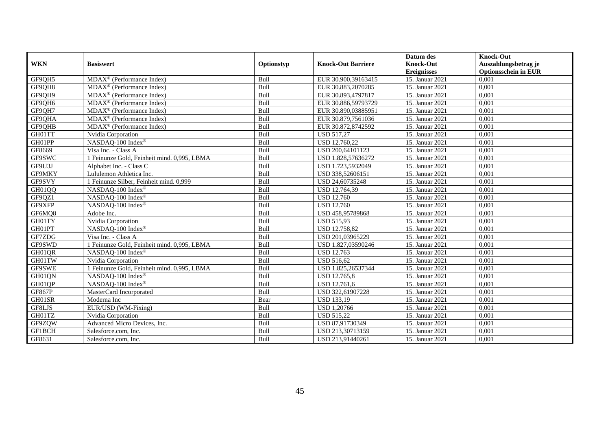| <b>WKN</b>    | <b>Basiswert</b>                            |             | <b>Knock-Out Barriere</b> | Datum des<br><b>Knock-Out</b> | <b>Knock-Out</b><br>Auszahlungsbetrag je |
|---------------|---------------------------------------------|-------------|---------------------------|-------------------------------|------------------------------------------|
|               |                                             | Optionstyp  |                           | <b>Ereignisses</b>            | <b>Optionsschein in EUR</b>              |
| GF9QH5        | $MDAX^{\circledR}$ (Performance Index)      | Bull        | EUR 30.900,39163415       | 15. Januar 2021               | 0.001                                    |
| GF9QH8        | $MDAX^{\circledR}$ (Performance Index)      | Bull        | EUR 30.883,2070285        | 15. Januar 2021               | 0,001                                    |
| GF9QH9        | $MDAX^{\circledR}$ (Performance Index)      | Bull        | EUR 30.893,4797817        | 15. Januar 2021               | 0,001                                    |
| GF9QH6        | MDAX <sup>®</sup> (Performance Index)       | Bull        | EUR 30.886,59793729       | 15. Januar 2021               | 0,001                                    |
| GF9QH7        | MDAX <sup>®</sup> (Performance Index)       | Bull        | EUR 30.890,03885951       | 15. Januar 2021               | 0.001                                    |
| GF9QHA        | MDAX <sup>®</sup> (Performance Index)       | Bull        | EUR 30.879,7561036        | 15. Januar 2021               | 0,001                                    |
| GF9QHB        | MDAX <sup>®</sup> (Performance Index)       | Bull        | EUR 30.872,8742592        | 15. Januar 2021               | 0.001                                    |
| GH01TT        | Nvidia Corporation                          | Bull        | <b>USD 517,27</b>         | 15. Januar 2021               | 0,001                                    |
| GH01PP        | NASDAQ-100 Index®                           | Bull        | USD 12.760.22             | 15. Januar 2021               | 0.001                                    |
| GF8669        | Visa Inc. - Class A                         | <b>Bull</b> | USD 200,64101123          | 15. Januar 2021               | 0,001                                    |
| GF9SWC        | 1 Feinunze Gold, Feinheit mind. 0,995, LBMA | Bull        | USD 1.828,57636272        | 15. Januar 2021               | 0,001                                    |
| GF9U3J        | Alphabet Inc. - Class C                     | Bull        | USD 1.723,5932049         | 15. Januar 2021               | 0,001                                    |
| GF9MKY        | Lululemon Athletica Inc.                    | Bull        | USD 338,52606151          | 15. Januar 2021               | 0.001                                    |
| GF9SVY        | 1 Feinunze Silber, Feinheit mind. 0,999     | Bull        | USD 24,60735248           | 15. Januar 2021               | 0,001                                    |
| GH01QQ        | NASDAQ-100 Index®                           | Bull        | USD 12.764,39             | 15. Januar 2021               | 0,001                                    |
| GF9QZ1        | NASDAQ-100 Index®                           | Bull        | <b>USD 12.760</b>         | 15. Januar 2021               | 0,001                                    |
| GF9XFP        | NASDAQ-100 Index®                           | Bull        | <b>USD 12.760</b>         | 15. Januar 2021               | 0,001                                    |
| GF6MQ8        | Adobe Inc.                                  | Bull        | USD 458,95789868          | 15. Januar 2021               | 0,001                                    |
| GH01TY        | Nvidia Corporation                          | Bull        | <b>USD 515,93</b>         | 15. Januar 2021               | 0,001                                    |
| GH01PT        | NASDAQ-100 Index®                           | Bull        | USD 12.758,82             | 15. Januar 2021               | 0,001                                    |
| GF7ZDG        | Visa Inc. - Class A                         | Bull        | USD 201,03965229          | 15. Januar 2021               | 0,001                                    |
| GF9SWD        | 1 Feinunze Gold, Feinheit mind. 0,995, LBMA | Bull        | USD 1.827,03590246        | 15. Januar 2021               | 0.001                                    |
| GH01QR        | NASDAQ-100 Index®                           | Bull        | <b>USD 12.763</b>         | 15. Januar 2021               | 0,001                                    |
| GH01TW        | Nvidia Corporation                          | Bull        | <b>USD 516,62</b>         | 15. Januar 2021               | 0,001                                    |
| GF9SWE        | 1 Feinunze Gold, Feinheit mind. 0,995, LBMA | Bull        | USD 1.825,26537344        | 15. Januar 2021               | 0,001                                    |
| GH01QN        | NASDAQ-100 Index®                           | Bull        | USD 12.765,8              | 15. Januar 2021               | 0.001                                    |
| GH01QP        | NASDAQ-100 Index®                           | Bull        | USD 12.761,6              | 15. Januar 2021               | 0,001                                    |
| <b>GF867P</b> | MasterCard Incorporated                     | Bull        | USD 322,61907228          | 15. Januar 2021               | 0,001                                    |
| GH01SR        | Moderna Inc                                 | Bear        | <b>USD 133,19</b>         | 15. Januar 2021               | 0,001                                    |
| GF8LJS        | EUR/USD (WM-Fixing)                         | Bull        | <b>USD 1,20766</b>        | 15. Januar 2021               | 0.001                                    |
| GH01TZ        | Nvidia Corporation                          | Bull        | <b>USD 515,22</b>         | 15. Januar 2021               | 0,001                                    |
| GF9ZQW        | Advanced Micro Devices, Inc.                | Bull        | USD 87,91730349           | 15. Januar 2021               | 0,001                                    |
| GF1BCH        | Salesforce.com, Inc.                        | Bull        | USD 213,30713159          | 15. Januar 2021               | 0,001                                    |
| GF8631        | Salesforce.com, Inc.                        | Bull        | USD 213,91440261          | 15. Januar 2021               | 0,001                                    |